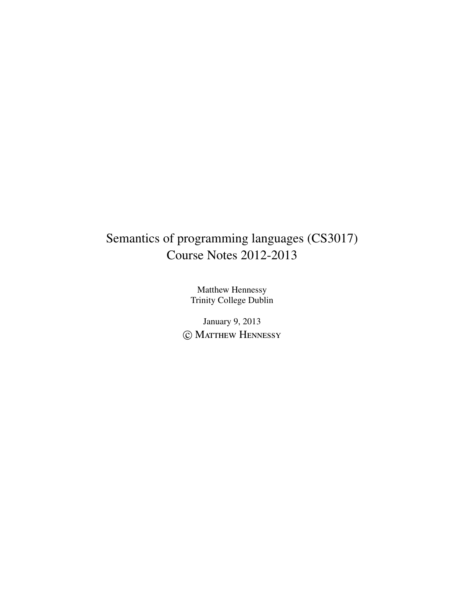# Semantics of programming languages (CS3017) Course Notes 2012-2013

Matthew Hennessy Trinity College Dublin

January 9, 2013 C MATTHEW HENNESSY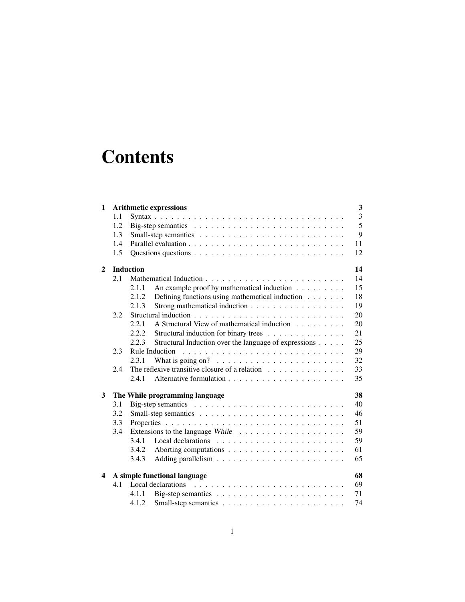# **Contents**

| $\mathbf{1}$   |     | <b>Arithmetic expressions</b>                                                 | $\mathbf{3}$   |
|----------------|-----|-------------------------------------------------------------------------------|----------------|
|                | 1.1 |                                                                               | $\overline{3}$ |
|                | 1.2 |                                                                               | 5              |
|                | 1.3 |                                                                               | 9              |
|                | 1.4 |                                                                               | 11             |
|                | 1.5 |                                                                               | 12             |
| $\overline{2}$ |     | <b>Induction</b>                                                              | 14             |
|                | 2.1 |                                                                               | 14             |
|                |     | An example proof by mathematical induction<br>2.1.1                           | 15             |
|                |     | Defining functions using mathematical induction<br>2.1.2                      | 18             |
|                |     | Strong mathematical induction<br>2.1.3                                        | 19             |
|                | 2.2 |                                                                               | 20             |
|                |     | A Structural View of mathematical induction<br>2.2.1                          | 20             |
|                |     | 2.2.2<br>Structural induction for binary trees                                | 21             |
|                |     | Structural Induction over the language of expressions<br>2.2.3                | 25             |
|                | 2.3 |                                                                               | 29             |
|                |     | What is going on? $\ldots \ldots \ldots \ldots \ldots \ldots \ldots$<br>2.3.1 | 32             |
|                | 2.4 | The reflexive transitive closure of a relation                                | 33             |
|                |     | 2.4.1                                                                         | 35             |
| 3              |     | The While programming language                                                | 38             |
|                | 3.1 |                                                                               | 40             |
|                | 3.2 |                                                                               | 46             |
|                | 3.3 |                                                                               | 51             |
|                | 3.4 |                                                                               | 59             |
|                |     | 3.4.1                                                                         | 59             |
|                |     | 3.4.2                                                                         | 61             |
|                |     | 3.4.3                                                                         | 65             |
| 4              |     | A simple functional language                                                  | 68             |
|                | 4.1 | Local declarations                                                            | 69             |
|                |     | 4.1.1                                                                         | 71             |
|                |     | 4.1.2                                                                         | 74             |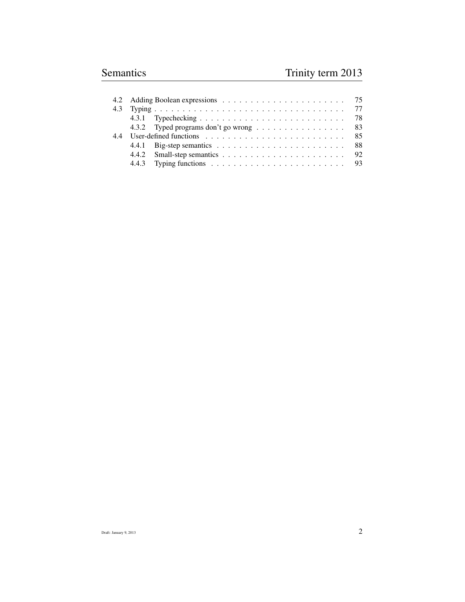|  | 4.3.2 Typed programs don't go wrong 83                                                     |  |
|--|--------------------------------------------------------------------------------------------|--|
|  | User-defined functions $\ldots \ldots \ldots \ldots \ldots \ldots \ldots \ldots \ldots$ 85 |  |
|  |                                                                                            |  |
|  |                                                                                            |  |
|  | 4.4.3 Typing functions $\ldots \ldots \ldots \ldots \ldots \ldots \ldots \ldots$ 93        |  |
|  |                                                                                            |  |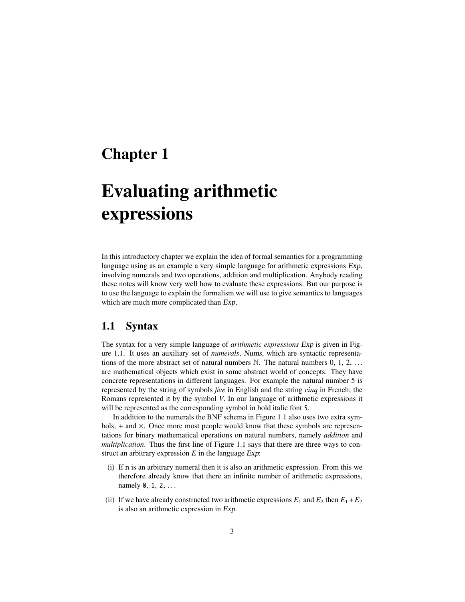# Chapter 1

# Evaluating arithmetic expressions

In this introductory chapter we explain the idea of formal semantics for a programming language using as an example a very simple language for arithmetic expressions Exp, involving numerals and two operations, addition and multiplication. Anybody reading these notes will know very well how to evaluate these expressions. But our purpose is to use the language to explain the formalism we will use to give semantics to languages which are much more complicated than Exp.

## 1.1 Syntax

The syntax for a very simple language of *arithmetic expressions* Exp is given in Figure 1.1. It uses an auxiliary set of *numerals*, Nums, which are syntactic representations of the more abstract set of natural numbers  $\mathbb N$ . The natural numbers  $0, 1, 2, \ldots$ are mathematical objects which exist in some abstract world of concepts. They have concrete representations in different languages. For example the natural number 5 is represented by the string of symbols *five* in English and the string *cinq* in French; the Romans represented it by the symbol *V*. In our language of arithmetic expressions it will be represented as the corresponding symbol in bold italic font 5.

In addition to the numerals the BNF schema in Figure 1.1 also uses two extra sym $b$ ols,  $+$  and  $\times$ . Once more most people would know that these symbols are representations for binary mathematical operations on natural numbers, namely *addition* and *multiplication*. Thus the first line of Figure 1.1 says that there are three ways to construct an arbitrary expression *E* in the language Exp:

- (i) If n is an arbitrary numeral then it is also an arithmetic expression. From this we therefore already know that there an infinite number of arithmetic expressions, namely 0, 1, 2, ...
- (ii) If we have already constructed two arithmetic expressions  $E_1$  and  $E_2$  then  $E_1 + E_2$ is also an arithmetic expression in Exp.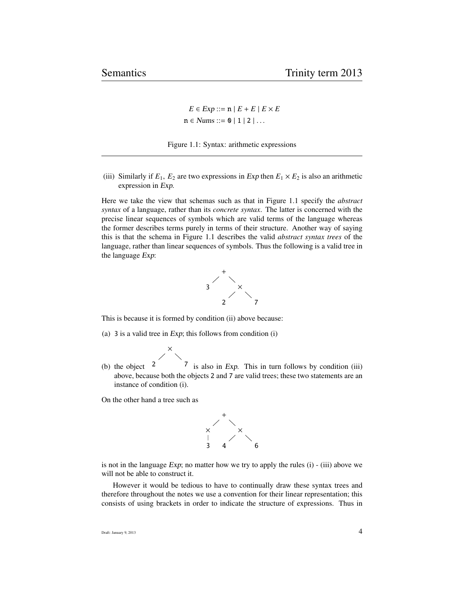$E \in \text{Exp} ::= \mathbf{n} | E + E | E \times E$  $n \in \textit{Nums} ::= 0 \mid 1 \mid 2 \mid \dots$ 



(iii) Similarly if  $E_1$ ,  $E_2$  are two expressions in *Exp* then  $E_1 \times E_2$  is also an arithmetic expression in Exp.

Here we take the view that schemas such as that in Figure 1.1 specify the *abstract syntax* of a language, rather than its *concrete syntax*. The latter is concerned with the precise linear sequences of symbols which are valid terms of the language whereas the former describes terms purely in terms of their structure. Another way of saying this is that the schema in Figure 1.1 describes the valid *abstract syntax trees* of the language, rather than linear sequences of symbols. Thus the following is a valid tree in the language Exp:



This is because it is formed by condition (ii) above because:

- (a) 3 is a valid tree in Exp; this follows from condition (i)
	- ×
- (b) the object 2 7 is also in Exp. This in turn follows by condition (iii) above, because both the objects 2 and 7 are valid trees; these two statements are an instance of condition (i).

On the other hand a tree such as



is not in the language  $Exp$ ; no matter how we try to apply the rules (i) - (iii) above we will not be able to construct it.

However it would be tedious to have to continually draw these syntax trees and therefore throughout the notes we use a convention for their linear representation; this consists of using brackets in order to indicate the structure of expressions. Thus in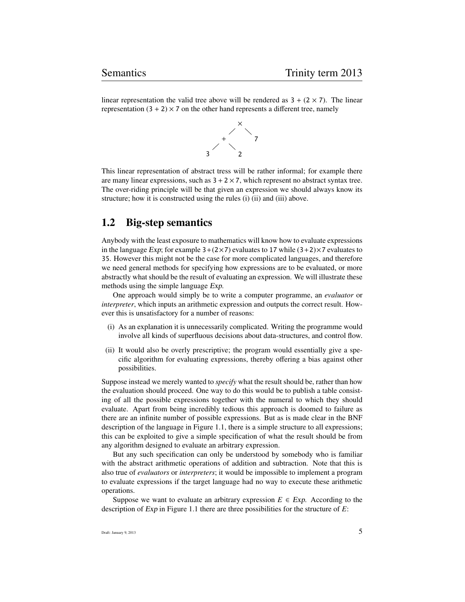linear representation the valid tree above will be rendered as  $3 + (2 \times 7)$ . The linear representation  $(3 + 2) \times 7$  on the other hand represents a different tree, namely



This linear representation of abstract tress will be rather informal; for example there are many linear expressions, such as  $3 + 2 \times 7$ , which represent no abstract syntax tree. The over-riding principle will be that given an expression we should always know its structure; how it is constructed using the rules (i) (ii) and (iii) above.

# 1.2 Big-step semantics

Anybody with the least exposure to mathematics will know how to evaluate expressions in the language Exp; for example  $3+(2\times7)$  evaluates to 17 while  $(3+2)\times7$  evaluates to 35. However this might not be the case for more complicated languages, and therefore we need general methods for specifying how expressions are to be evaluated, or more abstractly what should be the result of evaluating an expression. We will illustrate these methods using the simple language Exp.

One approach would simply be to write a computer programme, an *evaluator* or *interpreter*, which inputs an arithmetic expression and outputs the correct result. However this is unsatisfactory for a number of reasons:

- (i) As an explanation it is unnecessarily complicated. Writing the programme would involve all kinds of superfluous decisions about data-structures, and control flow.
- (ii) It would also be overly prescriptive; the program would essentially give a specific algorithm for evaluating expressions, thereby offering a bias against other possibilities.

Suppose instead we merely wanted to *specify* what the result should be, rather than how the evaluation should proceed. One way to do this would be to publish a table consisting of all the possible expressions together with the numeral to which they should evaluate. Apart from being incredibly tedious this approach is doomed to failure as there are an infinite number of possible expressions. But as is made clear in the BNF description of the language in Figure 1.1, there is a simple structure to all expressions; this can be exploited to give a simple specification of what the result should be from any algorithm designed to evaluate an arbitrary expression.

But any such specification can only be understood by somebody who is familiar with the abstract arithmetic operations of addition and subtraction. Note that this is also true of *evaluators* or *interpreters*; it would be impossible to implement a program to evaluate expressions if the target language had no way to execute these arithmetic operations.

Suppose we want to evaluate an arbitrary expression  $E \in Exp$ . According to the description of Exp in Figure 1.1 there are three possibilities for the structure of *E*: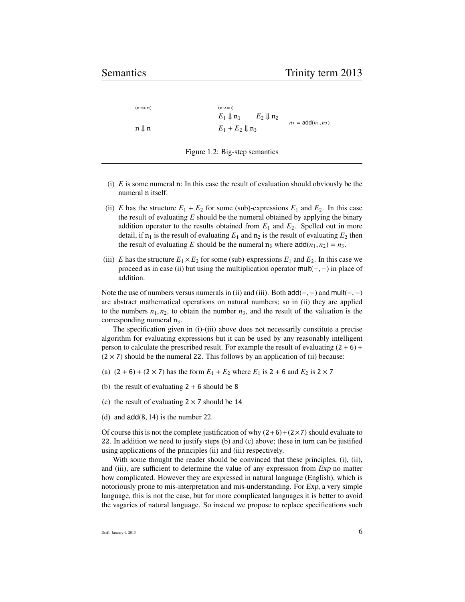| $(B-NUM)$       | $(B-ADD)$                  |                      |                              |
|-----------------|----------------------------|----------------------|------------------------------|
|                 | $E_1 \Downarrow n_1$       | $E_2 \Downarrow n_2$ |                              |
| $n \parallel n$ | $E_1 + E_2 \Downarrow n_3$ |                      | $n_3 = \text{add}(n_1, n_2)$ |

Figure 1.2: Big-step semantics

- (i) *E* is some numeral n: In this case the result of evaluation should obviously be the numeral n itself.
- (ii) *E* has the structure  $E_1 + E_2$  for some (sub)-expressions  $E_1$  and  $E_2$ . In this case the result of evaluating *E* should be the numeral obtained by applying the binary addition operator to the results obtained from  $E_1$  and  $E_2$ . Spelled out in more detail, if  $n_1$  is the result of evaluating  $E_1$  and  $n_2$  is the result of evaluating  $E_2$  then the result of evaluating *E* should be the numeral  $n_3$  where  $\text{add}(n_1, n_2) = n_3$ .
- (iii) *E* has the structure  $E_1 \times E_2$  for some (sub)-expressions  $E_1$  and  $E_2$ . In this case we proceed as in case (ii) but using the multiplication operator mult(−, <sup>−</sup>) in place of addition.

Note the use of numbers versus numerals in (ii) and (iii). Both  $add(-,-)$  and  $mult(-,-)$ are abstract mathematical operations on natural numbers; so in (ii) they are applied to the numbers  $n_1, n_2$ , to obtain the number  $n_3$ , and the result of the valuation is the corresponding numeral  $n_3$ .

The specification given in (i)-(iii) above does not necessarily constitute a precise algorithm for evaluating expressions but it can be used by any reasonably intelligent person to calculate the prescribed result. For example the result of evaluating  $(2 + 6) +$  $(2 \times 7)$  should be the numeral 22. This follows by an application of (ii) because:

- (a)  $(2 + 6) + (2 \times 7)$  has the form  $E_1 + E_2$  where  $E_1$  is  $2 + 6$  and  $E_2$  is  $2 \times 7$
- (b) the result of evaluating  $2 + 6$  should be 8
- (c) the result of evaluating  $2 \times 7$  should be 14
- (d) and  $add(8, 14)$  is the number 22.

Of course this is not the complete justification of why  $(2+6)+(2\times7)$  should evaluate to 22. In addition we need to justify steps (b) and (c) above; these in turn can be justified using applications of the principles (ii) and (iii) respectively.

With some thought the reader should be convinced that these principles, (i), (ii), and (iii), are sufficient to determine the value of any expression from Exp no matter how complicated. However they are expressed in natural language (English), which is notoriously prone to mis-interpretation and mis-understanding. For Exp, a very simple language, this is not the case, but for more complicated languages it is better to avoid the vagaries of natural language. So instead we propose to replace specifications such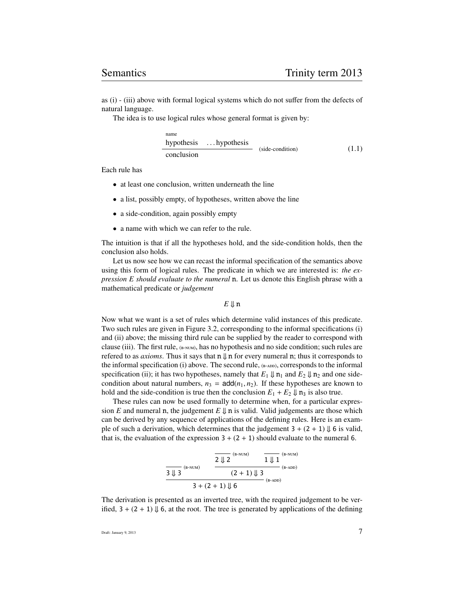as (i) - (iii) above with formal logical systems which do not suffer from the defects of natural language.

The idea is to use logical rules whose general format is given by:

name hypothesis . . . hypothesis conclusion (side-condition) (1.1)

Each rule has

- at least one conclusion, written underneath the line
- a list, possibly empty, of hypotheses, written above the line
- a side-condition, again possibly empty
- a name with which we can refer to the rule.

The intuition is that if all the hypotheses hold, and the side-condition holds, then the conclusion also holds.

Let us now see how we can recast the informal specification of the semantics above using this form of logical rules. The predicate in which we are interested is: *the expression E should evaluate to the numeral* n. Let us denote this English phrase with a mathematical predicate or *judgement*

 $E \Downarrow n$ 

Now what we want is a set of rules which determine valid instances of this predicate. Two such rules are given in Figure 3.2, corresponding to the informal specifications (i) and (ii) above; the missing third rule can be supplied by the reader to correspond with clause (iii). The first rule,  $_{(B-NUM)}$ , has no hypothesis and no side condition; such rules are refered to as *axioms*. Thus it says that  $\mathbf{n} \parallel \mathbf{n}$  for every numeral **n**; thus it corresponds to the informal specification (i) above. The second rule,  $_{(B-ADD)}$ , corresponds to the informal specification (ii); it has two hypotheses, namely that  $E_1 \Downarrow n_1$  and  $E_2 \Downarrow n_2$  and one sidecondition about natural numbers,  $n_3 = \text{add}(n_1, n_2)$ . If these hypotheses are known to hold and the side-condition is true then the conclusion  $E_1 + E_2 \Downarrow n_3$  is also true.

These rules can now be used formally to determine when, for a particular expression *E* and numeral n, the judgement  $E \Downarrow n$  is valid. Valid judgements are those which can be derived by any sequence of applications of the defining rules. Here is an example of such a derivation, which determines that the judgement  $3 + (2 + 1) \Downarrow 6$  is valid, that is, the evaluation of the expression  $3 + (2 + 1)$  should evaluate to the numeral 6.

$$
\begin{array}{c|c} \hline \rule[-1mm]{0mm}{3mm}\hline \rule[-1mm]{0mm}{3mm}\hline \rule[-1mm]{0mm}{3mm}\hline \rule[-1mm]{0mm}{3mm}\hline \rule[-1mm]{0mm}{3mm}\hline \rule[-1mm]{0mm}{3mm}\hline \rule[-1mm]{0mm}{3mm}\hline \rule[-1mm]{0mm}{3mm}\hline \rule[-1mm]{0mm}{3mm}\hline \rule[-1mm]{0mm}{3mm}\hline \rule[-1mm]{0mm}{3mm}\hline \rule[-1mm]{0mm}{3mm}\hline \rule[-1mm]{0mm}{3mm}\hline \rule[-1mm]{0mm}{3mm}\hline \rule[-1mm]{0mm}{3mm}\hline \rule[-1mm]{0mm}{3mm}\hline \rule[-1mm]{0mm}{3mm}\hline \rule[-1mm]{0mm}{3mm}\hline \rule[-1mm]{0mm}{3mm}\hline \rule[-1mm]{0mm}{3mm}\hline \rule[-1mm]{0mm}{3mm}\hline \rule[-1mm]{0mm}{3mm}\hline \rule[-1mm]{0mm}{3mm}\hline \rule[-1mm]{0mm}{3mm}\hline \rule[-1mm]{0mm}{3mm}\hline \rule[-1mm]{0mm}{3mm}\hline \rule[-1mm]{0mm}{3mm}\hline \rule[-1mm]{0mm}{3mm}\hline \rule[-1mm]{0mm}{3mm}\hline \rule[-1mm]{0mm}{3mm}\hline \rule[-1mm]{0mm}{3mm}\hline \rule[-1mm]{0mm}{3mm}\hline \rule[-1mm]{0mm}{3mm}\hline \rule[-1mm]{0mm}{3mm}\hline \rule[-1mm]{0mm}{3mm}\hline \rule[-1mm]{0mm}{3mm}\hline \rule[-1mm]{0mm}{3mm}\hline \rule[-1mm]{0mm}{3mm}\hline \rule[-1mm]{0mm}{3mm}\hline \rule[-1mm]{0mm}{3mm}\hline \rule[-1mm]{0mm}{3mm}\hline \rule[-1mm]{0mm}{3mm}\hline \rule[-1mm]{0mm}{3mm}\hline \rule[-1mm]{0mm}{3mm}\hline \rule[-1mm]{0mm}{3mm}\hline \rule[-1mm]{0mm}{3mm}\hline \rule[-1mm]{0mm}{3mm}\hline \rule[-1mm]{0mm}{3mm}\hline \rule[-1mm]{0mm}{3mm}\hline \rule[-1mm]{0mm}{3mm}\hline \rule[-1mm]{0mm}{3mm}\hline \rule[-1mm]{0mm}{3mm}\hline \rule[-1mm]{0mm}{3mm}\hline \rule[-1mm]{
$$

The derivation is presented as an inverted tree, with the required judgement to be verified,  $3 + (2 + 1) \Downarrow 6$ , at the root. The tree is generated by applications of the defining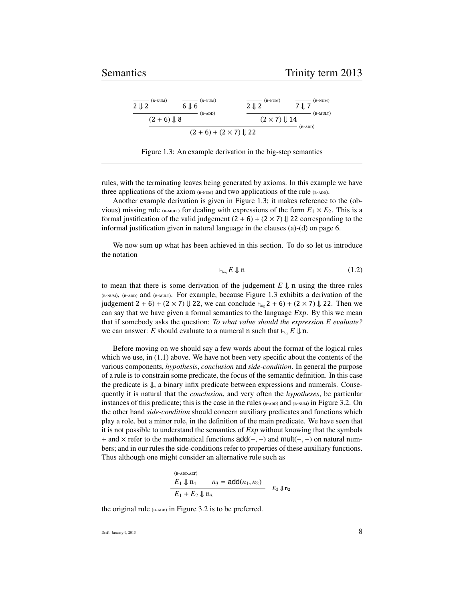| $(B-NUM)$<br>$2 \downarrow 2$ | $(B-NUM)$                              | $(B-NUM)$<br>$2 \parallel 2$ | $(B-NUM)$<br>7 JL 7 |
|-------------------------------|----------------------------------------|------------------------------|---------------------|
| $(2 + 6) \downarrow 8$        | $(B-ADD)$                              | $(2 \times 7)$   14          | $(B-MULT)$          |
|                               | $(2 + 6) + (2 \times 7) \downarrow 22$ |                              | $(B-ADD)$           |

Figure 1.3: An example derivation in the big-step semantics

rules, with the terminating leaves being generated by axioms. In this example we have three applications of the axiom  $_{(B-NUM)}$  and two applications of the rule  $_{(B-ADD)}$ .

Another example derivation is given in Figure 1.3; it makes reference to the (obvious) missing rule ( $_{\text{B-MULT}}$ ) for dealing with expressions of the form  $E_1 \times E_2$ . This is a formal justification of the valid judgement  $(2 + 6) + (2 \times 7) \downarrow$  22 corresponding to the informal justification given in natural language in the clauses (a)-(d) on page 6.

We now sum up what has been achieved in this section. To do so let us introduce the notation

$$
\vdash_{\mathit{big}} E \Downarrow \mathbf{n} \tag{1.2}
$$

to mean that there is some derivation of the judgement  $E \Downarrow n$  using the three rules  $_{(B-NUM)}$ ,  $_{(B-ADD)}$  and  $_{(B-MULT)}$ . For example, because Figure 1.3 exhibits a derivation of the judgement  $2 + 6$ ) + ( $2 \times 7$ )  $\downarrow$  22, we can conclude  $\nvdash_{\text{big}} 2 + 6$ ) + ( $2 \times 7$ )  $\downarrow$  22. Then we can say that we have given a formal semantics to the language Exp. By this we mean that if somebody asks the question: *To what value should the expression E evaluate?* we can answer: *E* should evaluate to a numeral **n** such that  $\vdash_{\text{bie}} E \Downarrow \mathbf{n}$ .

Before moving on we should say a few words about the format of the logical rules which we use, in  $(1.1)$  above. We have not been very specific about the contents of the various components, *hypothesis*, *conclusion* and *side-condition*. In general the purpose of a rule is to constrain some predicate, the focus of the semantic definition. In this case the predicate is  $\Downarrow$ , a binary infix predicate between expressions and numerals. Consequently it is natural that the *conclusion*, and very often the *hypotheses*, be particular instances of this predicate; this is the case in the rules  $_{(B-ADD)}$  and  $_{(B-NUM)}$  in Figure 3.2. On the other hand *side-condition* should concern auxiliary predicates and functions which play a role, but a minor role, in the definition of the main predicate. We have seen that it is not possible to understand the semantics of Exp without knowing that the symbols <sup>+</sup> and <sup>×</sup> refer to the mathematical functions add(−, <sup>−</sup>) and mult(−, <sup>−</sup>) on natural numbers; and in our rules the side-conditions refer to properties of these auxiliary functions. Thus although one might consider an alternative rule such as

$$
\frac{E_1 \Downarrow n_1}{E_1 + E_2 \Downarrow n_3} = \text{add}(n_1, n_2) \quad E_2 \Downarrow n_2
$$

the original rule  $_{(B-ADD)}$  in Figure 3.2 is to be preferred.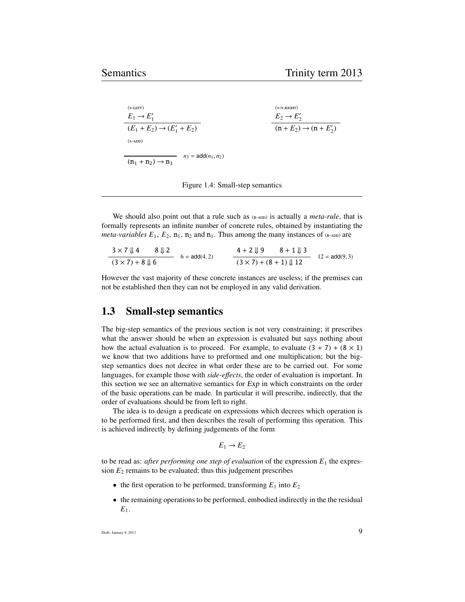(-) *E*<sup>1</sup> → *E* 0 1 (*E*<sup>1</sup> + *E*2) → (*E* 0 1 + *E*2) (-.) *E*<sup>2</sup> → *E* 0 2 (n + *E*2) → (n + *E* 0 2 ) (-) (n<sup>1</sup> + n2) → n<sup>3</sup> *<sup>n</sup>*<sup>3</sup> <sup>=</sup> add(*n*1, *<sup>n</sup>*2)

Figure 1.4: Small-step semantics

We should also point out that a rule such as  $(A-DD)$  is actually a *meta-rule*, that is formally represents an infinite number of concrete rules, obtained by instantiating the *meta-variables*  $E_1$ ,  $E_2$ ,  $n_1$ ,  $n_2$  and  $n_1$ . Thus among the many instances of (B-ADD) are

$$
\frac{3 \times 7 \downarrow 4}{(3 \times 7) + 8 \downarrow 6} \quad \frac{8 \downarrow 2}{6} = \text{add}(4,2) \qquad \frac{4 + 2 \downarrow 9 \qquad 8 + 1 \downarrow 3}{(3 \times 7) + (8 + 1) \downarrow 12} \quad 12 = \text{add}(9,3)
$$

However the vast majority of these concrete instances are useless; if the premises can not be established then they can not be employed in any valid derivation.

## 1.3 Small-step semantics

The big-step semantics of the previous section is not very constraining; it prescribes what the answer should be when an expression is evaluated but says nothing about how the actual evaluation is to proceed. For example, to evaluate  $(3 + 7) + (8 \times 1)$ we know that two additions have to preformed and one multiplication; but the bigstep semantics does not decree in what order these are to be carried out. For some languages, for example those with *side-e*ff*ects*, the order of evaluation is important. In this section we see an alternative semantics for Exp in which constraints on the order of the basic operations can be made. In particular it will prescribe, indirectly, that the order of evaluations should be from left to right.

The idea is to design a predicate on expressions which decrees which operation is to be performed first, and then describes the result of performing this operation. This is achieved indirectly by defining judgements of the form

$$
E_1 \to E_2
$$

to be read as: *after performing one step of evaluation* of the expression  $E_1$  the expression  $E_2$  remains to be evaluated; thus this judgement prescribes

- the first operation to be performed, transforming  $E_1$  into  $E_2$
- the remaining operations to be performed, embodied indirectly in the the residual *E*1.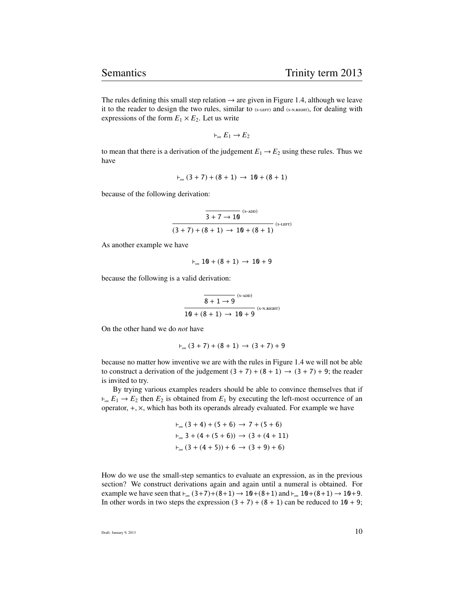The rules defining this small step relation  $\rightarrow$  are given in Figure 1.4, although we leave it to the reader to design the two rules, similar to (S-LEFT) and (S-N.RIGHT), for dealing with expressions of the form  $E_1 \times E_2$ . Let us write

$$
\vdash_{\mathit{sm}} E_1 \to E_2
$$

to mean that there is a derivation of the judgement  $E_1 \rightarrow E_2$  using these rules. Thus we have

$$
\vdash_{_{\mathit{Sm}}}(3+7)+(8+1)\,\to\,10+(8+1)
$$

because of the following derivation:

$$
\frac{\dfrac{}{3+7\rightarrow 10}\xrightarrow{\text{(s-ADD)}}}{(3+7)+(8+1)\rightarrow 10+(8+1)}\xrightarrow{\text{(s-LEFT)}}
$$

As another example we have

 $\vdash_{\text{sm}} 10 + (8 + 1) \rightarrow 10 + 9$ 

because the following is a valid derivation:

$$
\frac{\overline{8+1\rightarrow 9}^{(s\text{-ADD})}}{10+(8+1)\rightarrow 10+9}^{(s\text{-ADD})}
$$

On the other hand we do *not* have

$$
\vdash_{_{\mathit{sm}}}(3+7)+(8+1)\,\to\,(3+7)+9
$$

because no matter how inventive we are with the rules in Figure 1.4 we will not be able to construct a derivation of the judgement  $(3 + 7) + (8 + 1) \rightarrow (3 + 7) + 9$ ; the reader is invited to try.

By trying various examples readers should be able to convince themselves that if  $\nu_{\rm sm} E_1 \rightarrow E_2$  then  $E_2$  is obtained from  $E_1$  by executing the left-most occurrence of an operator, <sup>+</sup>, <sup>×</sup>, which has both its operands already evaluated. For example we have

$$
F_{sm} (3 + 4) + (5 + 6) \rightarrow 7 + (5 + 6)
$$
  

$$
F_{sm} 3 + (4 + (5 + 6)) \rightarrow (3 + (4 + 11)
$$
  

$$
F_{sm} (3 + (4 + 5)) + 6 \rightarrow (3 + 9) + 6)
$$

How do we use the small-step semantics to evaluate an expression, as in the previous section? We construct derivations again and again until a numeral is obtained. For example we have seen that  $\vdash_{sm} (3+7)+(8+1) \to 10+(8+1)$  and  $\vdash_{sm} 10+(8+1) \to 10+9$ . In other words in two steps the expression  $(3 + 7) + (8 + 1)$  can be reduced to  $10 + 9$ ;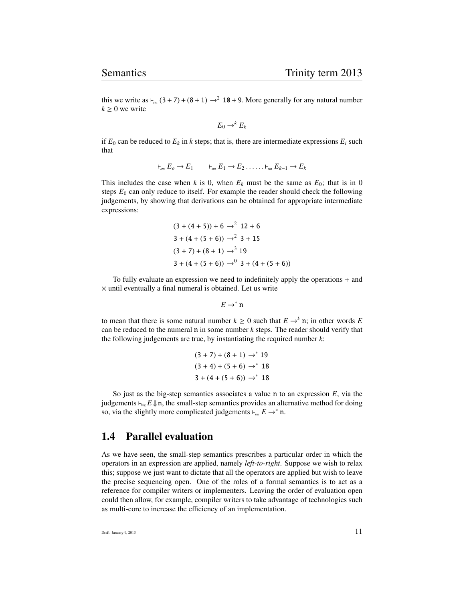this we write as  $\vdash_{sm} (3 + 7) + (8 + 1) \rightarrow^2 10 + 9$ . More generally for any natural number  $k \geq 0$  we write

$$
E_0 \rightarrow^k E_k
$$

if  $E_0$  can be reduced to  $E_k$  in  $k$  steps; that is, there are intermediate expressions  $E_i$  such that

$$
\vdash_{sm} E_o \to E_1 \qquad \vdash_{sm} E_1 \to E_2 \ldots \ldots \vdash_{sm} E_{k-1} \to E_k
$$

This includes the case when *k* is 0, when  $E_k$  must be the same as  $E_0$ ; that is in 0 steps  $E_0$  can only reduce to itself. For example the reader should check the following judgements, by showing that derivations can be obtained for appropriate intermediate expressions:

$$
(3 + (4 + 5)) + 6 \rightarrow ^2 12 + 6
$$
  
3 + (4 + (5 + 6)) \rightarrow ^2 3 + 15  
(3 + 7) + (8 + 1) \rightarrow ^3 19  
3 + (4 + (5 + 6)) \rightarrow ^0 3 + (4 + (5 + 6))

To fully evaluate an expression we need to indefinitely apply the operations + and  $\times$  until eventually a final numeral is obtained. Let us write

$$
E\to^*{\mathfrak n}
$$

to mean that there is some natural number  $k \geq 0$  such that  $E \rightarrow^k n$ ; in other words *E* can be reduced to the numeral n in some number *k* steps. The reader should verify that the following judgements are true, by instantiating the required number *k*:

$$
(3 + 7) + (8 + 1) \rightarrow^* 19
$$
  

$$
(3 + 4) + (5 + 6) \rightarrow^* 18
$$
  

$$
3 + (4 + (5 + 6)) \rightarrow^* 18
$$

So just as the big-step semantics associates a value n to an expression *E*, via the judgements  $\vdash_{\mathit{bie}} E \Downarrow n$ , the small-step semantics provides an alternative method for doing so, via the slightly more complicated judgements  $\vdash_{sm} E \to^* n$ .

# 1.4 Parallel evaluation

As we have seen, the small-step semantics prescribes a particular order in which the operators in an expression are applied, namely *left-to-right*. Suppose we wish to relax this; suppose we just want to dictate that all the operators are applied but wish to leave the precise sequencing open. One of the roles of a formal semantics is to act as a reference for compiler writers or implementers. Leaving the order of evaluation open could then allow, for example, compiler writers to take advantage of technologies such as multi-core to increase the efficiency of an implementation.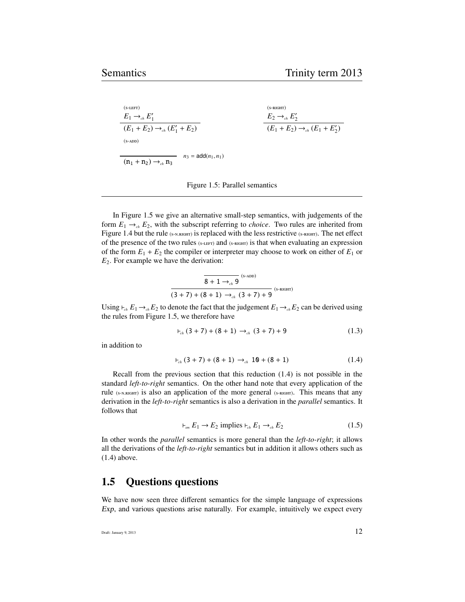$$
\frac{E_1 \rightarrow_{ch} E_1'}{(E_1 + E_2) \rightarrow_{ch} (E_1' + E_2)}
$$
\n
$$
\frac{E_2 \rightarrow_{ch} E_2'}{(E_1 + E_2) \rightarrow_{ch} (E_1' + E_2)}
$$
\n
$$
\frac{E_2 \rightarrow_{ch} E_2'}{(E_1 + E_2) \rightarrow_{ch} (E_1 + E_2')}
$$
\n
$$
n_3 = \text{add}(n_1, n_1)
$$

Figure 1.5: Parallel semantics

In Figure 1.5 we give an alternative small-step semantics, with judgements of the form  $E_1 \rightarrow_{ch} E_2$ , with the subscript referring to *choice*. Two rules are inherited from Figure 1.4 but the rule (S-N.RIGHT) is replaced with the less restrictive (S-RIGHT). The net effect of the presence of the two rules (S-LEFT) and (S-RIGHT) is that when evaluating an expression of the form  $E_1 + E_2$  the compiler or interpreter may choose to work on either of  $E_1$  or *E*2. For example we have the derivation:

$$
\frac{\overline{8+1\to_{ch}9}}{(3+7)+(8+1)\to_{ch} (3+7)+9}
$$
 (s-right)

Using  $\vdash_{ch} E_1 \rightarrow_{ch} E_2$  to denote the fact that the judgement  $E_1 \rightarrow_{ch} E_2$  can be derived using the rules from Figure 1.5, we therefore have

$$
\vdash_{\text{ch}} (3+7) + (8+1) \rightarrow_{\text{ch}} (3+7) + 9 \tag{1.3}
$$

in addition to

$$
\vdash_{ch} (3+7) + (8+1) \rightarrow_{ch} 10 + (8+1) \tag{1.4}
$$

Recall from the previous section that this reduction (1.4) is not possible in the standard *left-to-right* semantics. On the other hand note that every application of the rule (S-N.RIGHT) is also an application of the more general (S-RIGHT). This means that any derivation in the *left-to-right* semantics is also a derivation in the *parallel* semantics. It follows that

$$
\vdashsm E1 \to E2 implies \vdashch E1 \toch E2
$$
 (1.5)

In other words the *parallel* semantics is more general than the *left-to-right*; it allows all the derivations of the *left-to-right* semantics but in addition it allows others such as (1.4) above.

## 1.5 Questions questions

We have now seen three different semantics for the simple language of expressions Exp, and various questions arise naturally. For example, intuitively we expect every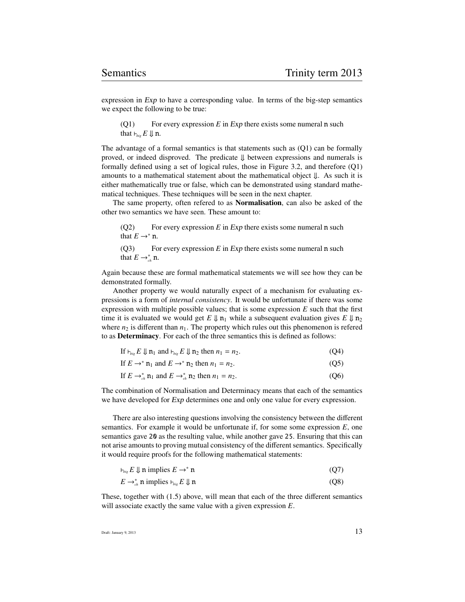expression in Exp to have a corresponding value. In terms of the big-step semantics we expect the following to be true:

(Q1) For every expression *E* in Exp there exists some numeral n such that  $\vdash_{\mathit{bie}} E \Downarrow$  n.

The advantage of a formal semantics is that statements such as  $(Q1)$  can be formally proved, or indeed disproved. The predicate ⇓ between expressions and numerals is formally defined using a set of logical rules, those in Figure 3.2, and therefore (Q1) amounts to a mathematical statement about the mathematical object ⇓. As such it is either mathematically true or false, which can be demonstrated using standard mathematical techniques. These techniques will be seen in the next chapter.

The same property, often refered to as Normalisation, can also be asked of the other two semantics we have seen. These amount to:

(Q2) For every expression *E* in Exp there exists some numeral n such that  $E \rightarrow^* \mathbf{n}$ .

(Q3) For every expression *E* in Exp there exists some numeral n such that  $E \rightarrow_{ch}^* \mathbf{n}$ .

Again because these are formal mathematical statements we will see how they can be demonstrated formally.

Another property we would naturally expect of a mechanism for evaluating expressions is a form of *internal consistency*. It would be unfortunate if there was some expression with multiple possible values; that is some expression  $E$  such that the first time it is evaluated we would get  $E \Downarrow n_1$  while a subsequent evaluation gives  $E \Downarrow n_2$ where  $n_2$  is different than  $n_1$ . The property which rules out this phenomenon is refered to as Determinacy. For each of the three semantics this is defined as follows:

|  |  |  |  | If $\vdash_{\mathit{big}} E \Downarrow \mathbf{n}_1$ and $\vdash_{\mathit{big}} E \Downarrow \mathbf{n}_2$ then $n_1 = n_2$ . | (Q4) |
|--|--|--|--|-------------------------------------------------------------------------------------------------------------------------------|------|
|--|--|--|--|-------------------------------------------------------------------------------------------------------------------------------|------|

| If $E \rightarrow^* n_1$ and $E \rightarrow^* n_2$ then $n_1 = n_2$ . | (Q5) |
|-----------------------------------------------------------------------|------|
|-----------------------------------------------------------------------|------|

If  $E \to_{ch}^* \mathbf{n}_1$  and  $E \to_{ch}^* \mathbf{n}_2$  then  $n_1 = n_2$ . (Q6)

The combination of Normalisation and Determinacy means that each of the semantics we have developed for Exp determines one and only one value for every expression.

There are also interesting questions involving the consistency between the different semantics. For example it would be unfortunate if, for some some expression *E*, one semantics gave 20 as the resulting value, while another gave 25. Ensuring that this can not arise amounts to proving mutual consistency of the different semantics. Specifically it would require proofs for the following mathematical statements:

$$
\vdash_{\mathit{big}} E \Downarrow \mathbf{n} \text{ implies } E \to^* \mathbf{n} \tag{Q7}
$$

$$
E \to_{\scriptscriptstyle ch}^* \mathbf{n} \text{ implies } \vdash_{\scriptscriptstyle big} E \Downarrow \mathbf{n} \tag{Q8}
$$

These, together with (1.5) above, will mean that each of the three different semantics will associate exactly the same value with a given expression *E*.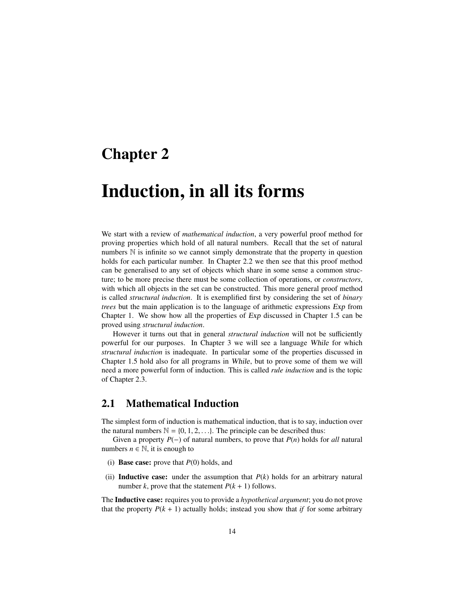# Chapter 2

# Induction, in all its forms

We start with a review of *mathematical induction*, a very powerful proof method for proving properties which hold of all natural numbers. Recall that the set of natural numbers  $\mathbb N$  is infinite so we cannot simply demonstrate that the property in question holds for each particular number. In Chapter 2.2 we then see that this proof method can be generalised to any set of objects which share in some sense a common structure; to be more precise there must be some collection of operations, or *constructors*, with which all objects in the set can be constructed. This more general proof method is called *structural induction*. It is exemplified first by considering the set of *binary trees* but the main application is to the language of arithmetic expressions Exp from Chapter 1. We show how all the properties of Exp discussed in Chapter 1.5 can be proved using *structural induction*.

However it turns out that in general *structural induction* will not be sufficiently powerful for our purposes. In Chapter 3 we will see a language While for which *structural induction* is inadequate. In particular some of the properties discussed in Chapter 1.5 hold also for all programs in While, but to prove some of them we will need a more powerful form of induction. This is called *rule induction* and is the topic of Chapter 2.3.

# 2.1 Mathematical Induction

The simplest form of induction is mathematical induction, that is to say, induction over the natural numbers  $\mathbb{N} = \{0, 1, 2, \ldots\}$ . The principle can be described thus:

Given a property *P*(−) of natural numbers, to prove that *P*(*n*) holds for *all* natural numbers  $n \in \mathbb{N}$ , it is enough to

- (i) Base case: prove that *P*(0) holds, and
- (ii) **Inductive case:** under the assumption that  $P(k)$  holds for an arbitrary natural number *k*, prove that the statement  $P(k + 1)$  follows.

The Inductive case: requires you to provide a *hypothetical argument*; you do not prove that the property  $P(k + 1)$  actually holds; instead you show that *if* for some arbitrary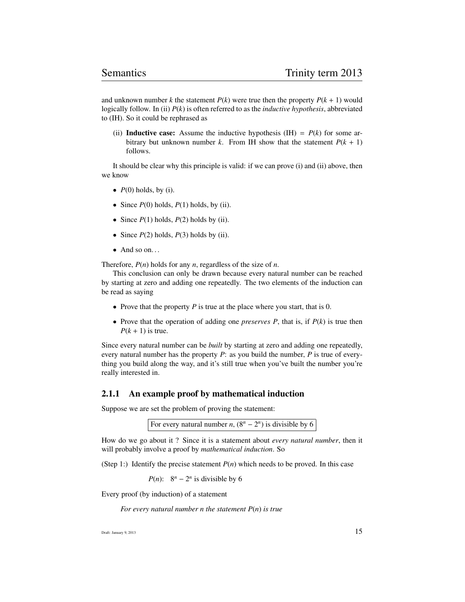and unknown number *k* the statement  $P(k)$  were true then the property  $P(k + 1)$  would logically follow. In (ii) *P*(*k*) is often referred to as the *inductive hypothesis*, abbreviated to (IH). So it could be rephrased as

(ii) **Inductive case:** Assume the inductive hypothesis (IH) =  $P(k)$  for some arbitrary but unknown number *k*. From IH show that the statement  $P(k + 1)$ follows.

It should be clear why this principle is valid: if we can prove (i) and (ii) above, then we know

- $P(0)$  holds, by (i).
- Since  $P(0)$  holds,  $P(1)$  holds, by (ii).
- Since  $P(1)$  holds,  $P(2)$  holds by (ii).
- Since  $P(2)$  holds,  $P(3)$  holds by (ii).
- And so on...

Therefore, *P*(*n*) holds for any *n*, regardless of the size of *n*.

This conclusion can only be drawn because every natural number can be reached by starting at zero and adding one repeatedly. The two elements of the induction can be read as saying

- Prove that the property *P* is true at the place where you start, that is 0.
- Prove that the operation of adding one *preserves P*, that is, if  $P(k)$  is true then  $P(k + 1)$  is true.

Since every natural number can be *built* by starting at zero and adding one repeatedly, every natural number has the property *P*: as you build the number, *P* is true of everything you build along the way, and it's still true when you've built the number you're really interested in.

#### 2.1.1 An example proof by mathematical induction

Suppose we are set the problem of proving the statement:

For every natural number *n*,  $(8^n - 2^n)$  is divisible by 6

How do we go about it ? Since it is a statement about *every natural number*, then it will probably involve a proof by *mathematical induction*. So

(Step 1:) Identify the precise statement  $P(n)$  which needs to be proved. In this case

*P*(*n*):  $8^n - 2^n$  is divisible by 6

Every proof (by induction) of a statement

*For every natural number n the statement P*(*n*) *is true*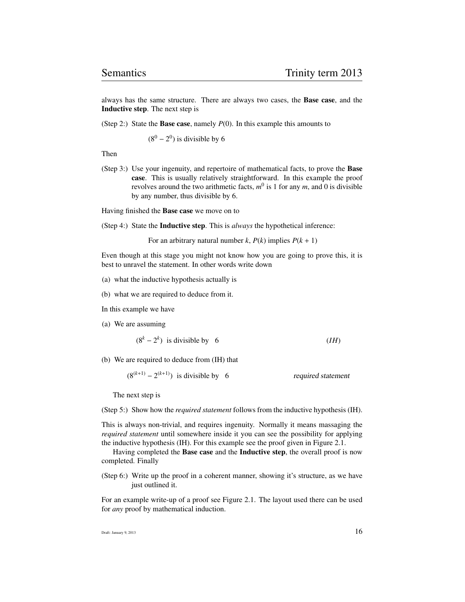always has the same structure. There are always two cases, the Base case, and the Inductive step. The next step is

(Step 2:) State the **Base case**, namely  $P(0)$ . In this example this amounts to

 $(8^0 – 2^0)$  is divisible by 6

Then

(Step 3:) Use your ingenuity, and repertoire of mathematical facts, to prove the Base case. This is usually relatively straightforward. In this example the proof revolves around the two arithmetic facts,  $m^0$  is 1 for any  $m$ , and 0 is divisible by any number, thus divisible by 6.

Having finished the Base case we move on to

(Step 4:) State the Inductive step. This is *always* the hypothetical inference:

For an arbitrary natural number *k*,  $P(k)$  implies  $P(k + 1)$ 

Even though at this stage you might not know how you are going to prove this, it is best to unravel the statement. In other words write down

- (a) what the inductive hypothesis actually is
- (b) what we are required to deduce from it.

In this example we have

(a) We are assuming

$$
(8k - 2k) \text{ is divisible by } 6 \qquad (IH)
$$

(b) We are required to deduce from (IH) that

 $(8^{(k+1)} – 2^{(k+1)})$  is divisible by 6 required statement

The next step is

(Step 5:) Show how the *required statement* follows from the inductive hypothesis (IH).

This is always non-trivial, and requires ingenuity. Normally it means massaging the *required statement* until somewhere inside it you can see the possibility for applying the inductive hypothesis (IH). For this example see the proof given in Figure 2.1.

Having completed the Base case and the Inductive step, the overall proof is now completed. Finally

(Step 6:) Write up the proof in a coherent manner, showing it's structure, as we have just outlined it.

For an example write-up of a proof see Figure 2.1. The layout used there can be used for *any* proof by mathematical induction.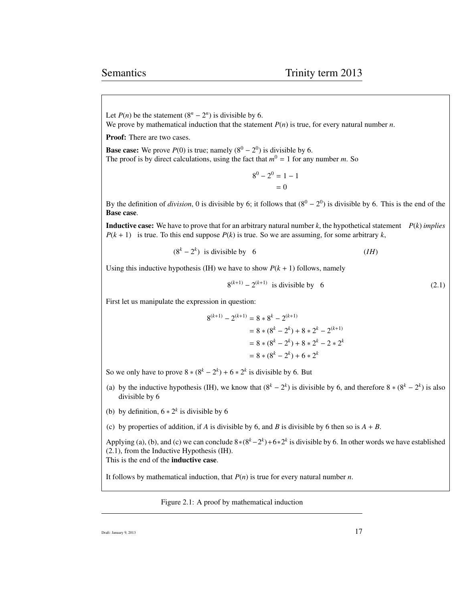Let  $P(n)$  be the statement  $(8^n - 2^n)$  is divisible by 6. We prove by mathematical induction that the statement *P*(*n*) is true, for every natural number *n*.

Proof: There are two cases.

**Base case:** We prove  $P(0)$  is true; namely  $(8^0 - 2^0)$  is divisible by 6. The proof is by direct calculations, using the fact that  $m^0 = 1$  for any number *m*. So

> $8^0 - 2^0 = 1 - 1$  $= 0$

By the definition of *division*, 0 is divisible by 6; it follows that  $(8^0 - 2^0)$  is divisible by 6. This is the end of the Base case.

**Inductive case:** We have to prove that for an arbitrary natural number  $k$ , the hypothetical statement  $P(k)$  *implies*  $P(k + 1)$  is true. To this end suppose  $P(k)$  is true. So we are assuming, for some arbitrary *k*,

$$
(8k - 2k) \t is divisible by 6 \t\t (IH)
$$

Using this inductive hypothesis (IH) we have to show  $P(k + 1)$  follows, namely

$$
8^{(k+1)} - 2^{(k+1)}
$$
 is divisible by 6 (2.1)

First let us manipulate the expression in question:

$$
8^{(k+1)} - 2^{(k+1)} = 8 * 8^{k} - 2^{(k+1)}
$$
  
= 8 \* (8<sup>k</sup> - 2<sup>k</sup>) + 8 \* 2<sup>k</sup> - 2<sup>(k+1)</sup>  
= 8 \* (8<sup>k</sup> - 2<sup>k</sup>) + 8 \* 2<sup>k</sup> - 2 \* 2<sup>k</sup>  
= 8 \* (8<sup>k</sup> - 2<sup>k</sup>) + 6 \* 2<sup>k</sup>

So we only have to prove  $8 * (8<sup>k</sup> – 2<sup>k</sup>) + 6 * 2<sup>k</sup>$  is divisible by 6. But

- (a) by the inductive hypothesis (IH), we know that  $(8^k 2^k)$  is divisible by 6, and therefore  $8 \times (8^k 2^k)$  is also divisible by 6
- (b) by definition,  $6 * 2^k$  is divisible by 6

(c) by properties of addition, if *A* is divisible by 6, and *B* is divisible by 6 then so is  $A + B$ .

Applying (a), (b), and (c) we can conclude  $8*(8^k-2^k)+6*2^k$  is divisible by 6. In other words we have established (2.1), from the Inductive Hypothesis (IH). This is the end of the inductive case.

It follows by mathematical induction, that *P*(*n*) is true for every natural number *n*.

Figure 2.1: A proof by mathematical induction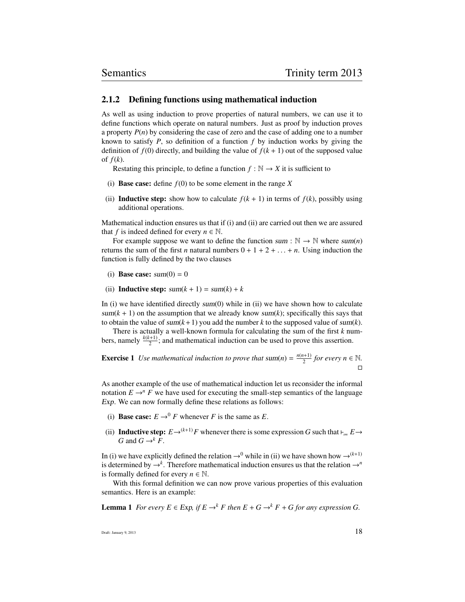#### 2.1.2 Defining functions using mathematical induction

As well as using induction to prove properties of natural numbers, we can use it to define functions which operate on natural numbers. Just as proof by induction proves a property *P*(*n*) by considering the case of zero and the case of adding one to a number known to satisfy *P*, so definition of a function *f* by induction works by giving the definition of  $f(0)$  directly, and building the value of  $f(k + 1)$  out of the supposed value of  $f(k)$ .

Restating this principle, to define a function  $f : \mathbb{N} \to X$  it is sufficient to

- (i) **Base case:** define  $f(0)$  to be some element in the range  $\overline{X}$
- (ii) **Inductive step:** show how to calculate  $f(k + 1)$  in terms of  $f(k)$ , possibly using additional operations.

Mathematical induction ensures us that if (i) and (ii) are carried out then we are assured that *f* is indeed defined for every  $n \in \mathbb{N}$ .

For example suppose we want to define the function sum :  $\mathbb{N} \to \mathbb{N}$  where sum(*n*) returns the sum of the first *n* natural numbers  $0 + 1 + 2 + ... + n$ . Using induction the function is fully defined by the two clauses

- (i) Base case:  $sum(0) = 0$
- (ii) **Inductive step:**  $sum(k + 1) = sum(k) + k$

In (i) we have identified directly sum(0) while in (ii) we have shown how to calculate  $sum(k + 1)$  on the assumption that we already know  $sum(k)$ ; specifically this says that to obtain the value of sum(*k*+1) you add the number *k* to the supposed value of sum(*k*).

There is actually a well-known formula for calculating the sum of the first *k* numbers, namely  $\frac{k(k+1)}{2}$ ; and mathematical induction can be used to prove this assertion.

**Exercise 1** Use mathematical induction to prove that sum(n) =  $\frac{n(n+1)}{2}$  $\frac{n+1}{2}$  for every  $n \in \mathbb{N}$ .  $\Box$ 

As another example of the use of mathematical induction let us reconsider the informal notation  $E \rightarrow^n F$  we have used for executing the small-step semantics of the language Exp. We can now formally define these relations as follows:

- (i) **Base case:**  $E \rightarrow^{0} F$  whenever *F* is the same as *E*.
- (ii) **Inductive step:**  $E \rightarrow (k+1)F$  whenever there is some expression G such that  $\nvdash_{\mathcal{S}_m} E \rightarrow$ *G* and  $G \rightarrow^k F$ .

In (i) we have explicitly defined the relation  $\rightarrow$ <sup>0</sup> while in (ii) we have shown how  $\rightarrow$ <sup>(k+1)</sup> is determined by  $\rightarrow^k$ . Therefore mathematical induction ensures us that the relation  $\rightarrow^n$ is formally defined for every  $n \in \mathbb{N}$ .

With this formal definition we can now prove various properties of this evaluation semantics. Here is an example:

**Lemma 1** *For every*  $E \in Exp$ , if  $E \to^k F$  then  $E + G \to^k F + G$  for any expression G.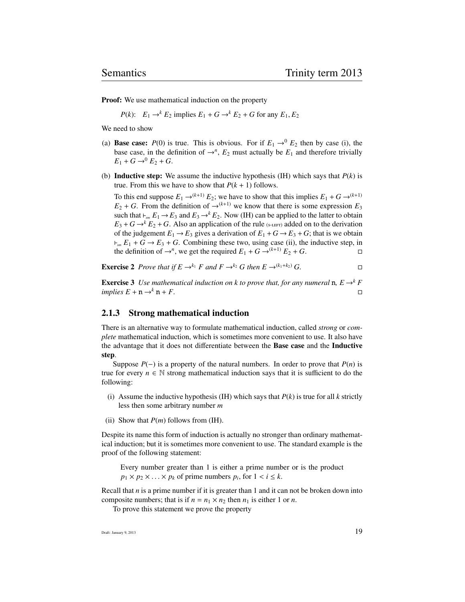**Proof:** We use mathematical induction on the property

*P*(*k*):  $E_1 \rightarrow k E_2$  implies  $E_1 + G \rightarrow k E_2 + G$  for any  $E_1, E_2$ 

We need to show

- (a) **Base case:**  $P(0)$  is true. This is obvious. For if  $E_1 \rightarrow 0^0 E_2$  then by case (i), the base case, in the definition of  $\rightarrow^n$ ,  $E_2$  must actually be  $E_1$  and therefore trivially  $E_1 + G \rightarrow 0 E_2 + G$ .
- (b) **Inductive step:** We assume the inductive hypothesis (IH) which says that  $P(k)$  is true. From this we have to show that  $P(k + 1)$  follows.

To this end suppose  $E_1 \rightarrow (k+1) E_2$ ; we have to show that this implies  $E_1 + G \rightarrow (k+1)$  $E_2 + G$ . From the definition of  $\rightarrow^{(k+1)}$  we know that there is some expression  $E_3$ such that  $\vdash_{sm} E_1 \to E_3$  and  $E_3 \to^k E_2$ . Now (IH) can be applied to the latter to obtain  $E_3 + G \rightarrow k E_2 + G$ . Also an application of the rule (s-LEFT) added on to the derivation of the judgement  $E_1 \rightarrow E_3$  gives a derivation of  $E_1 + G \rightarrow E_3 + G$ ; that is we obtain  $\dashv_{\mathit{sm}} E_1 + G \rightarrow E_3 + G$ . Combining these two, using case (ii), the inductive step, in the definition of  $\rightarrow^n$ , we get the required  $E_1 + G \rightarrow^{(k+1)} E_2 + G$ .

**Exercise 2** Prove that if  $E \rightarrow^{k_1} F$  and  $F \rightarrow^{k_2} G$  then  $E \rightarrow^{(k_1+k_2)} G$ .

**Exercise 3** *Use mathematical induction on k to prove that, for any numeral* **n**,  $E \rightarrow^k F$  $implies E + n \rightarrow^k n + F.$ 

#### 2.1.3 Strong mathematical induction

There is an alternative way to formulate mathematical induction, called *strong* or *complete* mathematical induction, which is sometimes more convenient to use. It also have the advantage that it does not differentiate between the Base case and the Inductive step.

Suppose  $P(-)$  is a property of the natural numbers. In order to prove that  $P(n)$  is true for every  $n \in \mathbb{N}$  strong mathematical induction says that it is sufficient to do the following:

- (i) Assume the inductive hypothesis (IH) which says that  $P(k)$  is true for all  $k$  strictly less then some arbitrary number *m*
- (ii) Show that  $P(m)$  follows from (IH).

Despite its name this form of induction is actually no stronger than ordinary mathematical induction; but it is sometimes more convenient to use. The standard example is the proof of the following statement:

Every number greater than 1 is either a prime number or is the product  $p_1 \times p_2 \times \ldots \times p_k$  of prime numbers  $p_i$ , for  $1 < i \leq k$ .

Recall that *n* is a prime number if it is greater than 1 and it can not be broken down into composite numbers; that is if  $n = n_1 \times n_2$  then  $n_1$  is either 1 or *n*.

To prove this statement we prove the property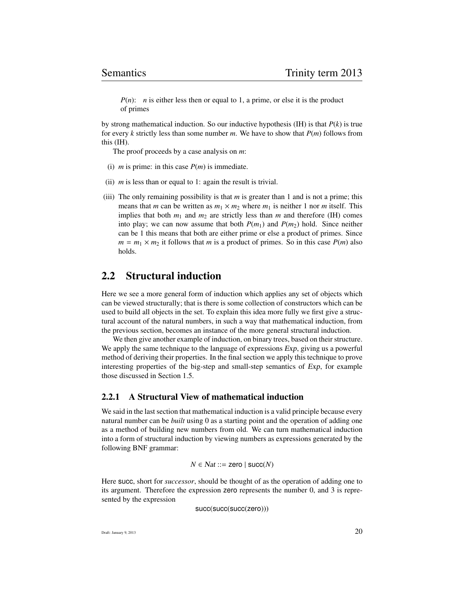*P(n)*: *n* is either less then or equal to 1, a prime, or else it is the product of primes

by strong mathematical induction. So our inductive hypothesis (IH) is that *P*(*k*) is true for every *k* strictly less than some number *m*. We have to show that *P*(*m*) follows from this (IH).

The proof proceeds by a case analysis on *m*:

- (i) *m* is prime: in this case  $P(m)$  is immediate.
- (ii) *m* is less than or equal to 1: again the result is trivial.
- (iii) The only remaining possibility is that *m* is greater than 1 and is not a prime; this means that *m* can be written as  $m_1 \times m_2$  where  $m_1$  is neither 1 nor *m* itself. This implies that both  $m_1$  and  $m_2$  are strictly less than  $m$  and therefore (IH) comes into play; we can now assume that both  $P(m_1)$  and  $P(m_2)$  hold. Since neither can be 1 this means that both are either prime or else a product of primes. Since  $m = m_1 \times m_2$  it follows that *m* is a product of primes. So in this case  $P(m)$  also holds.

# 2.2 Structural induction

Here we see a more general form of induction which applies any set of objects which can be viewed structurally; that is there is some collection of constructors which can be used to build all objects in the set. To explain this idea more fully we first give a structural account of the natural numbers, in such a way that mathematical induction, from the previous section, becomes an instance of the more general structural induction.

We then give another example of induction, on binary trees, based on their structure. We apply the same technique to the language of expressions  $Exp$ , giving us a powerful method of deriving their properties. In the final section we apply this technique to prove interesting properties of the big-step and small-step semantics of Exp, for example those discussed in Section 1.5.

#### 2.2.1 A Structural View of mathematical induction

We said in the last section that mathematical induction is a valid principle because every natural number can be *built* using 0 as a starting point and the operation of adding one as a method of building new numbers from old. We can turn mathematical induction into a form of structural induction by viewing numbers as expressions generated by the following BNF grammar:

$$
N \in Nat ::= \mathsf{zero} \mid \mathsf{succ}(N)
$$

Here succ, short for *successor*, should be thought of as the operation of adding one to its argument. Therefore the expression zero represents the number 0, and 3 is represented by the expression

succ(succ(succ(zero)))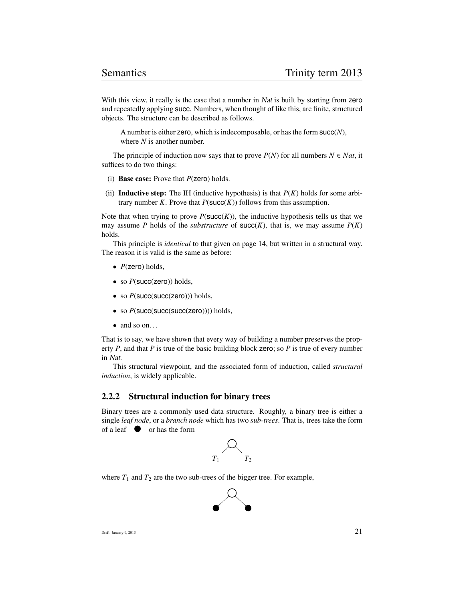With this view, it really is the case that a number in Nat is built by starting from zero and repeatedly applying succ. Numbers, when thought of like this, are finite, structured objects. The structure can be described as follows.

A number is either zero, which is indecomposable, or has the form succ(*N*), where *N* is another number.

The principle of induction now says that to prove  $P(N)$  for all numbers  $N \in Nat$ , it suffices to do two things:

- (i) Base case: Prove that *P*(zero) holds.
- (ii) **Inductive step:** The IH (inductive hypothesis) is that  $P(K)$  holds for some arbitrary number *K*. Prove that  $P(\text{succ}(K))$  follows from this assumption.

Note that when trying to prove  $P(\text{succ}(K))$ , the inductive hypothesis tells us that we may assume *P* holds of the *substructure* of  $succ(K)$ , that is, we may assume  $P(K)$ holds.

This principle is *identical* to that given on page 14, but written in a structural way. The reason it is valid is the same as before:

- *P*(zero) holds,
- so  $P$ (succ(zero)) holds,
- so  $P(\text{succ}(\text{succ}(\text{zero})))$  holds,
- so  $P(\text{succ}(\text{succ}(\text{succ}(\text{zero}))))$  holds,
- $\bullet$  and so on...

That is to say, we have shown that every way of building a number preserves the property *P*, and that *P* is true of the basic building block zero; so *P* is true of every number in Nat.

This structural viewpoint, and the associated form of induction, called *structural induction*, is widely applicable.

#### 2.2.2 Structural induction for binary trees

Binary trees are a commonly used data structure. Roughly, a binary tree is either a single *leaf node*, or a *branch node* which has two *sub-trees*. That is, trees take the form of a leaf  $\bullet$  or has the form



where  $T_1$  and  $T_2$  are the two sub-trees of the bigger tree. For example,

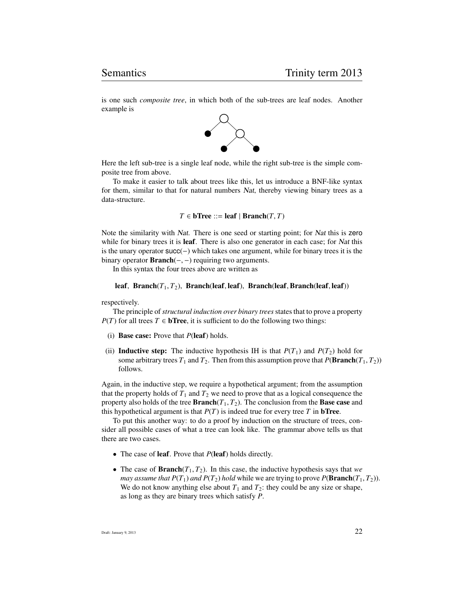is one such *composite tree*, in which both of the sub-trees are leaf nodes. Another example is



Here the left sub-tree is a single leaf node, while the right sub-tree is the simple composite tree from above.

To make it easier to talk about trees like this, let us introduce a BNF-like syntax for them, similar to that for natural numbers Nat, thereby viewing binary trees as a data-structure.

$$
T \in \mathbf{bTree} ::= \mathbf{leaf} \mid \mathbf{Branch}(T, T)
$$

Note the similarity with Nat. There is one seed or starting point; for Nat this is zero while for binary trees it is **leaf**. There is also one generator in each case; for *Nat* this is the unary operator succ(−) which takes one argument, while for binary trees it is the binary operator **Branch**( $\text{-}$ ,  $\text{-}$ ) requiring two arguments.

In this syntax the four trees above are written as

#### leaf, Branch( $T_1, T_2$ ), Branch(leaf, leaf), Branch(leaf, Branch(leaf, leaf))

respectively.

The principle of*structural induction over binary trees*states that to prove a property *P*(*T*) for all trees *T* ∈ **bTree**, it is sufficient to do the following two things:

- (i) Base case: Prove that *P*(leaf) holds.
- (ii) **Inductive step:** The inductive hypothesis IH is that  $P(T_1)$  and  $P(T_2)$  hold for some arbitrary trees  $T_1$  and  $T_2$ . Then from this assumption prove that  $P(\textbf{Branch}(T_1, T_2))$ follows.

Again, in the inductive step, we require a hypothetical argument; from the assumption that the property holds of  $T_1$  and  $T_2$  we need to prove that as a logical consequence the property also holds of the tree **Branch** $(T_1, T_2)$ . The conclusion from the **Base case** and this hypothetical argument is that  $P(T)$  is indeed true for every tree  $T$  in **bTree**.

To put this another way: to do a proof by induction on the structure of trees, consider all possible cases of what a tree can look like. The grammar above tells us that there are two cases.

- The case of leaf. Prove that *P*(leaf) holds directly.
- The case of **Branch** $(T_1, T_2)$ . In this case, the inductive hypothesis says that *we may assume that P(T<sub>1</sub>) and P(T<sub>2</sub>) hold while we are trying to prove <i>P*(**Branch**(*T*<sub>1</sub>, *T*<sub>2</sub>)). We do not know anything else about  $T_1$  and  $T_2$ : they could be any size or shape, as long as they are binary trees which satisfy *P*.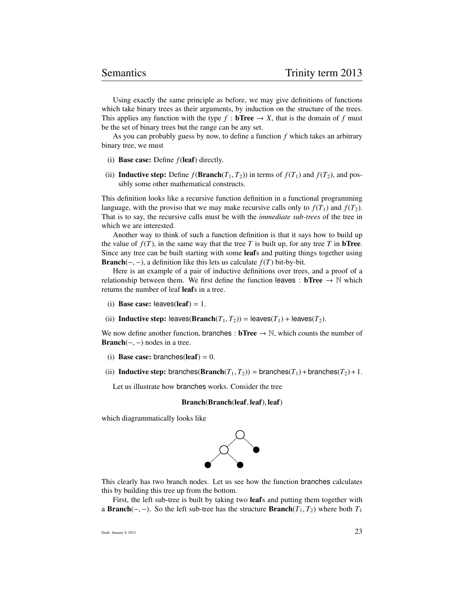Using exactly the same principle as before, we may give definitions of functions which take binary trees as their arguments, by induction on the structure of the trees. This applies any function with the type  $f : b$ **Tree**  $\rightarrow X$ , that is the domain of f must be the set of binary trees but the range can be any set.

As you can probably guess by now, to define a function *f* which takes an arbitrary binary tree, we must

- (i) Base case: Define *f*(leaf) directly.
- (ii) **Inductive step:** Define  $f(\textbf{Branch}(T_1, T_2))$  in terms of  $f(T_1)$  and  $f(T_2)$ , and possibly some other mathematical constructs.

This definition looks like a recursive function definition in a functional programming language, with the proviso that we may make recursive calls only to  $f(T_1)$  and  $f(T_2)$ . That is to say, the recursive calls must be with the *immediate sub-trees* of the tree in which we are interested.

Another way to think of such a function definition is that it says how to build up the value of  $f(T)$ , in the same way that the tree *T* is built up, for any tree *T* in **bTree**. Since any tree can be built starting with some leafs and putting things together using Branch(-, -), a definition like this lets us calculate  $f(T)$  bit-by-bit.

Here is an example of a pair of inductive definitions over trees, and a proof of a relationship between them. We first define the function leaves :  $bTree \rightarrow \mathbb{N}$  which returns the number of leaf leafs in a tree.

- (i) Base case: leaves(leaf) = 1.
- (ii) **Inductive step:** leaves( $\textbf{Branch}(T_1, T_2)$ ) = leaves( $T_1$ ) + leaves( $T_2$ ).

We now define another function, branches :  $bTree \rightarrow \mathbb{N}$ , which counts the number of Branch( $-$ ,  $-$ ) nodes in a tree.

- (i) Base case: branches(leaf) =  $0$ .
- (ii) **Inductive step:** branches( $\textbf{Branch}(T_1, T_2)$ ) = branches( $T_1$ ) + branches( $T_2$ ) + 1.

Let us illustrate how branches works. Consider the tree

#### Branch(Branch(leaf, leaf), leaf)

which diagrammatically looks like



This clearly has two branch nodes. Let us see how the function branches calculates this by building this tree up from the bottom.

First, the left sub-tree is built by taking two leafs and putting them together with a **Branch**(−,−). So the left sub-tree has the structure **Branch**( $T_1, T_2$ ) where both  $T_1$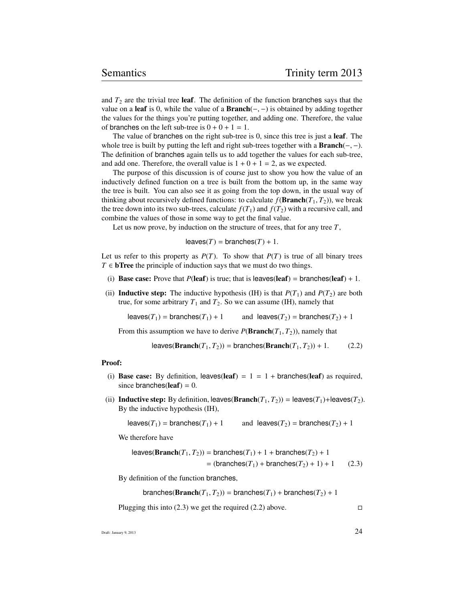and  $T_2$  are the trivial tree **leaf**. The definition of the function branches says that the value on a leaf is 0, while the value of a **Branch**( $-$ ,  $-$ ) is obtained by adding together the values for the things you're putting together, and adding one. Therefore, the value of branches on the left sub-tree is  $0 + 0 + 1 = 1$ .

The value of branches on the right sub-tree is 0, since this tree is just a **leaf**. The whole tree is built by putting the left and right sub-trees together with a  $Branch(-, -)$ . The definition of branches again tells us to add together the values for each sub-tree, and add one. Therefore, the overall value is  $1 + 0 + 1 = 2$ , as we expected.

The purpose of this discussion is of course just to show you how the value of an inductively defined function on a tree is built from the bottom up, in the same way the tree is built. You can also see it as going from the top down, in the usual way of thinking about recursively defined functions: to calculate  $f(\textbf{Branch}(T_1, T_2))$ , we break the tree down into its two sub-trees, calculate  $f(T_1)$  and  $f(T_2)$  with a recursive call, and combine the values of those in some way to get the final value.

Let us now prove, by induction on the structure of trees, that for any tree *T*,

$$
leaves(T) = branches(T) + 1.
$$

Let us refer to this property as  $P(T)$ . To show that  $P(T)$  is true of all binary trees  $T \in$  **bTree** the principle of induction says that we must do two things.

- (i) **Base case:** Prove that  $P(\text{leaf})$  is true; that is leaves(leaf) = branches(leaf) + 1.
- (ii) **Inductive step:** The inductive hypothesis (IH) is that  $P(T_1)$  and  $P(T_2)$  are both true, for some arbitrary  $T_1$  and  $T_2$ . So we can assume (IH), namely that

leaves( $T_1$ ) = branches( $T_1$ ) + 1 and leaves( $T_2$ ) = branches( $T_2$ ) + 1

From this assumption we have to derive  $P(\textbf{Branch}(T_1, T_2))$ , namely that

$$
\text{leaves}(\text{Branch}(T_1, T_2)) = \text{branches}(\text{Branch}(T_1, T_2)) + 1. \tag{2.2}
$$

#### Proof:

- (i) Base case: By definition, leaves(leaf) =  $1 = 1 +$  branches(leaf) as required, since branches(leaf) =  $0$ .
- (ii) **Inductive step:** By definition, leaves( $\textbf{Branch}(T_1, T_2)$ ) = leaves( $T_1$ )+leaves( $T_2$ ). By the inductive hypothesis (IH),

leaves( $T_1$ ) = branches( $T_1$ ) + 1 and leaves( $T_2$ ) = branches( $T_2$ ) + 1

We therefore have

leaves(Branch
$$
(T_1, T_2)
$$
) = branches $(T_1)$  + 1 + branches $(T_2)$  + 1  
= (branches $(T_1)$  + branches $(T_2)$  + 1) + 1 (2.3)

By definition of the function branches,

$$
branches(Branch(T_1, T_2)) = branches(T_1) + branches(T_2) + 1
$$

Plugging this into (2.3) we get the required (2.2) above.  $\square$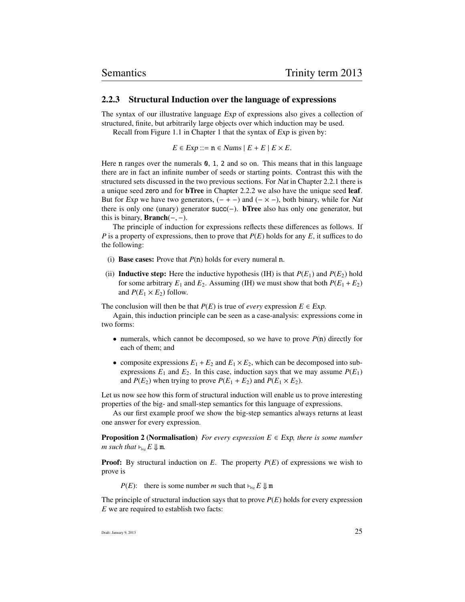#### 2.2.3 Structural Induction over the language of expressions

The syntax of our illustrative language Exp of expressions also gives a collection of structured, finite, but arbitrarily large objects over which induction may be used. Recall from Figure 1.1 in Chapter 1 that the syntax of Exp is given by:

 $E \in Exp ::= n \in \text{Nums} \mid E + E \mid E \times E.$ 

Here n ranges over the numerals 0, 1, 2 and so on. This means that in this language there are in fact an infinite number of seeds or starting points. Contrast this with the structured sets discussed in the two previous sections. For Nat in Chapter 2.2.1 there is a unique seed zero and for bTree in Chapter 2.2.2 we also have the unique seed leaf. But for Exp we have two generators,  $(- + -)$  and  $(- \times -)$ , both binary, while for Nat there is only one (unary) generator succ(−). bTree also has only one generator, but this is binary, **Branch** $(-, -)$ .

The principle of induction for expressions reflects these differences as follows. If *P* is a property of expressions, then to prove that *P*(*E*) holds for any *E*, it suffices to do the following:

- (i) **Base cases:** Prove that  $P(n)$  holds for every numeral n.
- (ii) **Inductive step:** Here the inductive hypothesis (IH) is that  $P(E_1)$  and  $P(E_2)$  hold for some arbitrary  $E_1$  and  $E_2$ . Assuming (IH) we must show that both  $P(E_1 + E_2)$ and  $P(E_1 \times E_2)$  follow.

The conclusion will then be that  $P(E)$  is true of *every* expression  $E \in Exp$ .

Again, this induction principle can be seen as a case-analysis: expressions come in two forms:

- numerals, which cannot be decomposed, so we have to prove  $P(n)$  directly for each of them; and
- composite expressions  $E_1 + E_2$  and  $E_1 \times E_2$ , which can be decomposed into subexpressions  $E_1$  and  $E_2$ . In this case, induction says that we may assume  $P(E_1)$ and  $P(E_2)$  when trying to prove  $P(E_1 + E_2)$  and  $P(E_1 \times E_2)$ .

Let us now see how this form of structural induction will enable us to prove interesting properties of the big- and small-step semantics for this language of expressions.

As our first example proof we show the big-step semantics always returns at least one answer for every expression.

**Proposition 2 (Normalisation)** *For every expression*  $E \in Exp$ *, there is some number m* such that  $\vdash_{\mathit{big}} E \Downarrow \mathfrak{m}$ .

**Proof:** By structural induction on *E*. The property  $P(E)$  of expressions we wish to prove is

*P*(*E*): there is some number *m* such that  $\nvdash_{\textit{bie}} E \Downarrow \textit{m}$ 

The principle of structural induction says that to prove *P*(*E*) holds for every expression *E* we are required to establish two facts: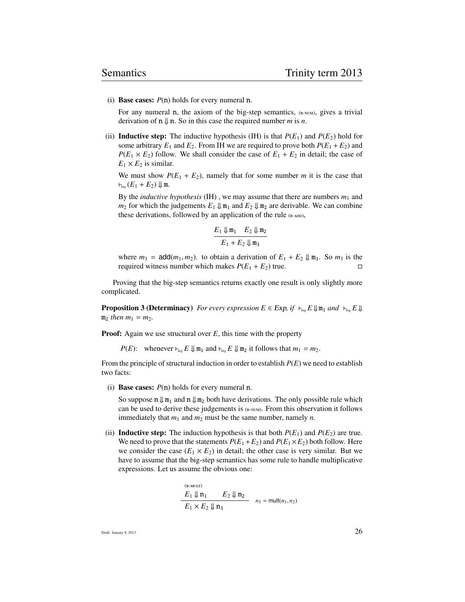(i) **Base cases:**  $P(n)$  holds for every numeral n.

For any numeral n, the axiom of the big-step semantics,  $(E-NUM)$ , gives a trivial derivation of  $n \downarrow n$ . So in this case the required number *m* is *n*.

(ii) **Inductive step:** The inductive hypothesis (IH) is that  $P(E_1)$  and  $P(E_2)$  hold for some arbitrary  $E_1$  and  $E_2$ . From IH we are required to prove both  $P(E_1 + E_2)$  and  $P(E_1 \times E_2)$  follow. We shall consider the case of  $E_1 + E_2$  in detail; the case of  $E_1 \times E_2$  is similar.

We must show  $P(E_1 + E_2)$ , namely that for some number *m* it is the case that  $\vdash_{\mathit{bie}} (E_1 + E_2) \Downarrow \mathfrak{m}.$ 

By the *inductive hypothesis* (IH), we may assume that there are numbers  $m_1$  and  $m_2$  for which the judgements  $E_1 \Downarrow m_1$  and  $E_2 \Downarrow m_2$  are derivable. We can combine these derivations, followed by an application of the rule (B-ADD),

$$
\frac{E_1 \Downarrow \mathfrak{m}_1 \quad E_2 \Downarrow \mathfrak{m}_2}{E_1 + E_2 \Downarrow \mathfrak{m}_3}
$$

where  $m_3 = \text{add}(m_1, m_2)$ . to obtain a derivation of  $E_1 + E_2 \Downarrow m_3$ . So  $m_3$  is the required witness number which makes  $P(E_1 + E_2)$  true.

Proving that the big-step semantics returns exactly one result is only slightly more complicated.

**Proposition 3 (Determinacy)** *For every expression*  $E \in Exp$ , if  $\downarrow_{\text{big}} E \Downarrow m_1$  and  $\downarrow_{\text{big}} E \Downarrow$  $m_2$  *then*  $m_1 = m_2$ *.* 

**Proof:** Again we use structural over *E*, this time with the property

*P*(*E*): whenever  $\vdash_{\text{big}} E \Downarrow m_1$  and  $\vdash_{\text{big}} E \Downarrow m_2$  it follows that  $m_1 = m_2$ .

From the principle of structural induction in order to establish *P*(*E*) we need to establish two facts:

(i) Base cases: *P*(n) holds for every numeral n.

So suppose  $n \Downarrow m_1$  and  $n \Downarrow m_2$  both have derivations. The only possible rule which can be used to derive these judgements is (B-NUM). From this observation it follows immediately that  $m_1$  and  $m_2$  must be the same number, namely  $n$ .

(ii) **Inductive step:** The induction hypothesis is that both  $P(E_1)$  and  $P(E_2)$  are true. We need to prove that the statements  $P(E_1 + E_2)$  and  $P(E_1 \times E_2)$  both follow. Here we consider the case  $(E_1 \times E_2)$  in detail; the other case is very similar. But we have to assume that the big-step semantics has some rule to handle multiplicative expressions. Let us assume the obvious one:

$$
\frac{E_1 \Downarrow n_1}{E_1 \vee E_2 \Downarrow n_3} \quad E_2 \Downarrow n_2
$$
\n
$$
n_3 = \text{mult}(n_1, n_2)
$$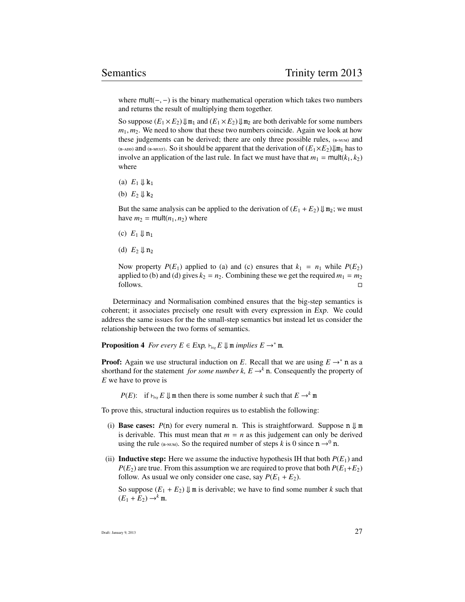where  $mult(-, -)$  is the binary mathematical operation which takes two numbers and returns the result of multiplying them together.

So suppose  $(E_1 \times E_2) \Downarrow m_1$  and  $(E_1 \times E_2) \Downarrow m_2$  are both derivable for some numbers  $m_1, m_2$ . We need to show that these two numbers coincide. Again we look at how these judgements can be derived; there are only three possible rules,  $(F_{\text{F-NUM}})$  and (B-ADD) and (B-MULT). So it should be apparent that the derivation of  $(E_1 \times E_2) \parallel m_1$  has to involve an application of the last rule. In fact we must have that  $m_1 = \text{mult}(k_1, k_2)$ where

- (a)  $E_1 \Downarrow k_1$
- (b)  $E_2 \Downarrow k_2$

But the same analysis can be applied to the derivation of  $(E_1 + E_2) \Downarrow m_2$ ; we must have  $m_2$  = mult( $n_1, n_2$ ) where

- (c)  $E_1 \Downarrow n_1$
- (d)  $E_2 \Downarrow n_2$

Now property  $P(E_1)$  applied to (a) and (c) ensures that  $k_1 = n_1$  while  $P(E_2)$ applied to (b) and (d) gives  $k_2 = n_2$ . Combining these we get the required  $m_1 = m_2$ follows.

Determinacy and Normalisation combined ensures that the big-step semantics is coherent; it associates precisely one result with every expression in Exp. We could address the same issues for the the small-step semantics but instead let us consider the relationship between the two forms of semantics.

**Proposition 4** *For every*  $E \in Exp$ ,  $\vdash_{\text{bie}} E \Downarrow$  m *implies*  $E \rightarrow^* m$ *.* 

**Proof:** Again we use structural induction on *E*. Recall that we are using  $E \rightarrow^* n$  as a shorthand for the statement *for some number k, E*  $\rightarrow$ <sup>k</sup> n. Consequently the property of *E* we have to prove is

*P*(*E*): if  $\vdash_{\text{big}} E \Downarrow$  m then there is some number *k* such that  $E \rightarrow^k m$ 

To prove this, structural induction requires us to establish the following:

- (i) **Base cases:**  $P(n)$  for every numeral n. This is straightforward. Suppose n  $\Downarrow$  m is derivable. This must mean that  $m = n$  as this judgement can only be derived using the rule (B-NUM). So the required number of steps *k* is 0 since  $n \rightarrow 0$  n.
- (ii) **Inductive step:** Here we assume the inductive hypothesis IH that both  $P(E_1)$  and  $P(E_2)$  are true. From this assumption we are required to prove that both  $P(E_1+E_2)$ follow. As usual we only consider one case, say  $P(E_1 + E_2)$ .

So suppose  $(E_1 + E_2)$   $\downarrow$  m is derivable; we have to find some number *k* such that  $(E_1 + E_2) \rightarrow^k \mathfrak{m}$ .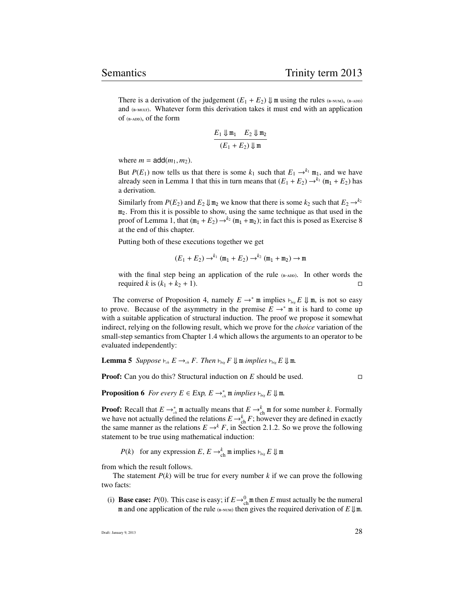There is a derivation of the judgement  $(E_1 + E_2) \Downarrow$  m using the rules (B-NUM), (B-ADD) and  $(B-MULT)$ . Whatever form this derivation takes it must end with an application of  $(B-ADD)$ , of the form

$$
\frac{E_1 \Downarrow \mathfrak{m}_1 \quad E_2 \Downarrow \mathfrak{m}_2}{(E_1 + E_2) \Downarrow \mathfrak{m}}
$$

where  $m = \text{add}(m_1, m_2)$ .

But *P*(*E*<sub>1</sub>) now tells us that there is some  $k_1$  such that  $E_1 \rightarrow k_1$  m<sub>1</sub>, and we have already seen in Lemma 1 that this in turn means that  $(E_1 + E_2) \rightarrow^{k_1} (m_1 + E_2)$  has a derivation.

Similarly from  $P(E_2)$  and  $E_2 \downarrow \text{Im}_2$  we know that there is some  $k_2$  such that  $E_2 \rightarrow k_2$  $m<sub>2</sub>$ . From this it is possible to show, using the same technique as that used in the proof of Lemma 1, that  $(m_1 + E_2) \rightarrow k_2 (m_1 + m_2)$ ; in fact this is posed as Exercise 8 at the end of this chapter.

Putting both of these executions together we get

$$
(E_1 + E_2) \to^{k_1} (\mathfrak{m}_1 + E_2) \to^{k_2} (\mathfrak{m}_1 + \mathfrak{m}_2) \to \mathfrak{m}
$$

with the final step being an application of the rule  $_{(B-ADD)}$ . In other words the required *k* is  $(k_1 + k_2 + 1)$ .

The converse of Proposition 4, namely  $E \to^* \mathfrak{m}$  implies  $\vdash_{\mathit{big}} E \Downarrow \mathfrak{m}$ , is not so easy to prove. Because of the asymmetry in the premise  $E \rightarrow^* m$  it is hard to come up with a suitable application of structural induction. The proof we propose it somewhat indirect, relying on the following result, which we prove for the *choice* variation of the small-step semantics from Chapter 1.4 which allows the arguments to an operator to be evaluated independently:

**Lemma 5** *Suppose*  $\vdash_{ch} E \rightarrow_{ch} F$ . Then  $\vdash_{bip} F \Downarrow$  m *implies*  $\vdash_{bip} E \Downarrow$  m.

**Proof:** Can you do this? Structural induction on *E* should be used. □

**Proposition 6** For every  $E \in Exp$ ,  $E \rightarrow_{ch}^{*}$  m *implies*  $\vdash_{big} E \Downarrow$  m.

**Proof:** Recall that  $E \rightarrow_{ch}^*$  m actually means that  $E \rightarrow_{ch}^k$  m for some number k. Formally we have not actually defined the relations  $E \rightarrow_{\text{ch}}^k F$ ; however they are defined in exactly the same manner as the relations  $E \rightarrow^k F$ , in Section 2.1.2. So we prove the following statement to be true using mathematical induction:

*P*(*k*) for any expression *E*,  $E \rightarrow_{\text{ch}}^k \mathfrak{m}$  implies  $\vdash_{\text{big}} E \Downarrow \mathfrak{m}$ 

from which the result follows.

The statement  $P(k)$  will be true for every number  $k$  if we can prove the following two facts:

(i) **Base case:**  $P(0)$ . This case is easy; if  $E \rightarrow {}_{ch}^{0}$  m then *E* must actually be the numeral m and one application of the rule (B-NUM) then gives the required derivation of  $E \downarrow m$ .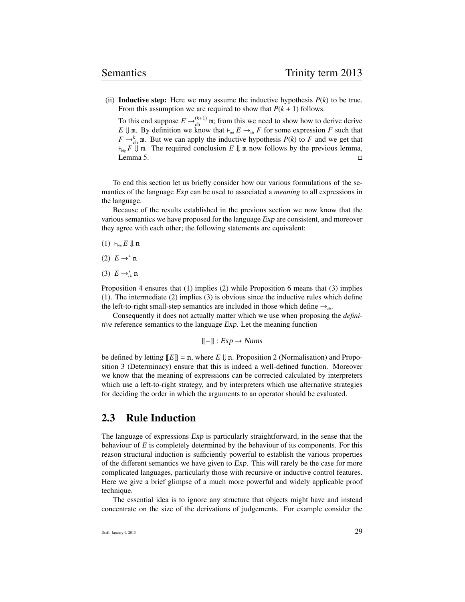(ii) **Inductive step:** Here we may assume the inductive hypothesis  $P(k)$  to be true. From this assumption we are required to show that  $P(k + 1)$  follows.

To this end suppose  $E \rightarrow_{\text{ch}}^{(k+1)} \mathfrak{m}$ ; from this we need to show how to derive derive *E*  $\downarrow$  m. By definition we know that  $\vdash_{sm} E \rightarrow_{ch} F$  for some expression *F* such that  $F \rightarrow_{\text{ch}}^k$  m. But we can apply the inductive hypothesis  $P(k)$  to  $F$  and we get that  $\vdash_{\mathit{big}} F \Downarrow \mathfrak{m}$ . The required conclusion  $E \Downarrow \mathfrak{m}$  now follows by the previous lemma,  $L$ emma 5.

To end this section let us briefly consider how our various formulations of the semantics of the language Exp can be used to associated a *meaning* to all expressions in the language.

Because of the results established in the previous section we now know that the various semantics we have proposed for the language Exp are consistent, and moreover they agree with each other; the following statements are equivalent:

- $(1)$   $\vdash_{big}$  *E*  $\Downarrow$  n
- (2)  $E \rightarrow^* n$
- (3)  $E \rightarrow_{ch}^* \mathbf{n}$

Proposition 4 ensures that (1) implies (2) while Proposition 6 means that (3) implies (1). The intermediate (2) implies (3) is obvious since the inductive rules which define the left-to-right small-step semantics are included in those which define  $\rightarrow$ <sub>ch</sub>.

Consequently it does not actually matter which we use when proposing the *definitive* reference semantics to the language Exp. Let the meaning function

 $[-]$  :  $Exp \rightarrow Nums$ 

be defined by letting  $[|E|] = n$ , where  $E \downarrow n$ . Proposition 2 (Normalisation) and Proposition 3 (Determinacy) ensure that this is indeed a well-defined function. Moreover we know that the meaning of expressions can be corrected calculated by interpreters which use a left-to-right strategy, and by interpreters which use alternative strategies for deciding the order in which the arguments to an operator should be evaluated.

## 2.3 Rule Induction

The language of expressions Exp is particularly straightforward, in the sense that the behaviour of *E* is completely determined by the behaviour of its components. For this reason structural induction is sufficiently powerful to establish the various properties of the different semantics we have given to  $Exp$ . This will rarely be the case for more complicated languages, particularly those with recursive or inductive control features. Here we give a brief glimpse of a much more powerful and widely applicable proof technique.

The essential idea is to ignore any structure that objects might have and instead concentrate on the size of the derivations of judgements. For example consider the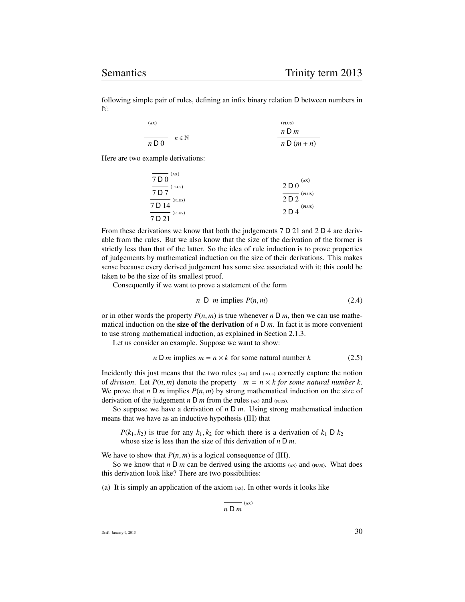following simple pair of rules, defining an infix binary relation D between numbers in N:

| (AX)                                                             | (PLUS)           |
|------------------------------------------------------------------|------------------|
|                                                                  | $n \mathsf{D}$ m |
| $n \in \mathbb{N}$<br>and the control of the control of<br>n D 0 | $n D(m+n)$       |

Here are two example derivations:

| $\overline{7\,\mathsf{D}\,0}$ <sup>(AX)</sup>  | (xA)                                            |
|------------------------------------------------|-------------------------------------------------|
| $\overline{7\,D\,7}$ <sup>(PLUS)</sup>         | $\overline{2\,\overline{\mathrm{D}\,0}}$        |
|                                                | $\overline{2\,\mathsf{D}\,2}$ <sup>(PLUS)</sup> |
| $\overline{7 \text{ D } 14}$ <sup>(PLUS)</sup> |                                                 |
|                                                | $\overline{2\,\mathsf{D}\,4}$ <sup>(PLUS)</sup> |
| $\overline{7 \text{ D } 21}$ <sup>(PLUS)</sup> |                                                 |
|                                                |                                                 |

From these derivations we know that both the judgements 7 D 21 and 2 D 4 are derivable from the rules. But we also know that the size of the derivation of the former is strictly less than that of the latter. So the idea of rule induction is to prove properties of judgements by mathematical induction on the size of their derivations. This makes sense because every derived judgement has some size associated with it; this could be taken to be the size of its smallest proof.

Consequently if we want to prove a statement of the form

$$
n \, \mathsf{D} \, m \text{ implies } P(n,m) \tag{2.4}
$$

or in other words the property  $P(n, m)$  is true whenever  $n \, D \, m$ , then we can use mathematical induction on the **size of the derivation** of  $n \text{ D } m$ . In fact it is more convenient to use strong mathematical induction, as explained in Section 2.1.3.

Let us consider an example. Suppose we want to show:

$$
n \, \text{D } m \text{ implies } m = n \times k \text{ for some natural number } k \tag{2.5}
$$

Incidently this just means that the two rules  $(xx)$  and  $(x)$  correctly capture the notion of *division*. Let  $P(n, m)$  denote the property  $m = n \times k$  for some natural number k. We prove that *n* D *m* implies  $P(n, m)$  by strong mathematical induction on the size of derivation of the judgement  $n \, D \, m$  from the rules (AX) and (PLUS).

So suppose we have a derivation of *n* D *m*. Using strong mathematical induction means that we have as an inductive hypothesis (IH) that

 $P(k_1, k_2)$  is true for any  $k_1, k_2$  for which there is a derivation of  $k_1 \, \mathsf{D} \, k_2$ whose size is less than the size of this derivation of *n* D *m*.

We have to show that  $P(n, m)$  is a logical consequence of (IH).

So we know that  $n \, \mathsf{D}$  *m* can be derived using the axioms  $(xx)$  and  $(p_{LUS})$ . What does this derivation look like? There are two possibilities:

(a) It is simply an application of the axiom  $(xx)$ . In other words it looks like

$$
\overline{n\mathrel{\mathsf{D}} m}^{\textup{(ax)}}
$$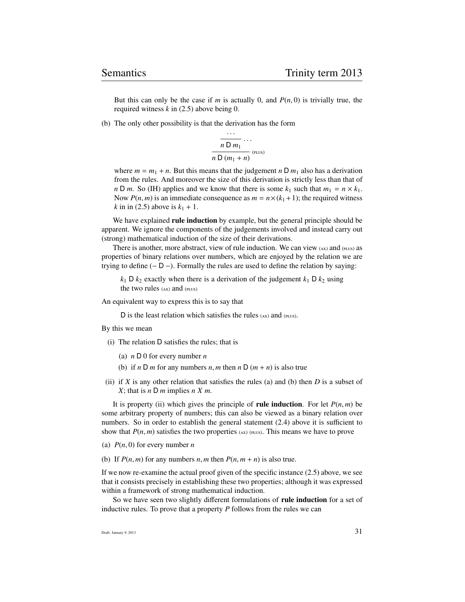But this can only be the case if  $m$  is actually 0, and  $P(n, 0)$  is trivially true, the required witness *k* in (2.5) above being 0.

(b) The only other possibility is that the derivation has the form

$$
\frac{n D m_1}{n D (m_1 + n)}
$$
 (plus)

where  $m = m_1 + n$ . But this means that the judgement *n* D  $m_1$  also has a derivation from the rules. And moreover the size of this derivation is strictly less than that of *n* D *m*. So (IH) applies and we know that there is some  $k_1$  such that  $m_1 = n \times k_1$ . Now  $P(n, m)$  is an immediate consequence as  $m = n \times (k_1 + 1)$ ; the required witness *k* in in (2.5) above is  $k_1 + 1$ .

We have explained rule induction by example, but the general principle should be apparent. We ignore the components of the judgements involved and instead carry out (strong) mathematical induction of the size of their derivations.

There is another, more abstract, view of rule induction. We can view  $(x)$  and  $(p_{LUS})$  as properties of binary relations over numbers, which are enjoyed by the relation we are trying to define  $(-D -)$ . Formally the rules are used to define the relation by saying:

 $k_1$  D  $k_2$  exactly when there is a derivation of the judgement  $k_1$  D  $k_2$  using the two rules  $(x)$  and  $(p_{LUS})$ 

An equivalent way to express this is to say that

D is the least relation which satisfies the rules  $(xx)$  and  $(pLUS)$ .

By this we mean

- (i) The relation D satisfies the rules; that is
	- (a) *n* D 0 for every number *n*
	- (b) if *n* D *m* for any numbers *n*, *m* then *n* D ( $m + n$ ) is also true
- (ii) if *X* is any other relation that satisfies the rules (a) and (b) then *D* is a subset of *X*; that is *n* D *m* implies *n X m*.

It is property (ii) which gives the principle of **rule induction**. For let  $P(n, m)$  be some arbitrary property of numbers; this can also be viewed as a binary relation over numbers. So in order to establish the general statement (2.4) above it is sufficient to show that  $P(n, m)$  satisfies the two properties ( $\alpha x$ ) ( $\beta L(x)$ ). This means we have to prove

- (a) *<sup>P</sup>*(*n*, 0) for every number *<sup>n</sup>*
- (b) If  $P(n, m)$  for any numbers *n*, *m* then  $P(n, m + n)$  is also true.

If we now re-examine the actual proof given of the specific instance (2.5) above, we see that it consists precisely in establishing these two properties; although it was expressed within a framework of strong mathematical induction.

So we have seen two slightly different formulations of **rule induction** for a set of inductive rules. To prove that a property *P* follows from the rules we can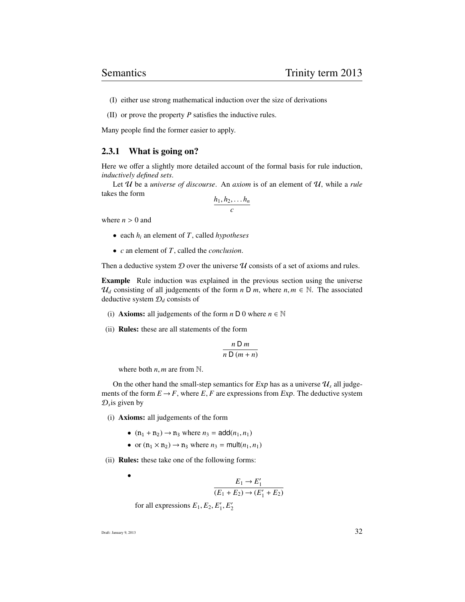(I) either use strong mathematical induction over the size of derivations

(II) or prove the property *P* satisfies the inductive rules.

Many people find the former easier to apply.

#### 2.3.1 What is going on?

Here we offer a slightly more detailed account of the formal basis for rule induction, *inductively defined sets*.

Let U be a *universe of discourse*. An *axiom* is of an element of U, while a *rule* takes the form

$$
\frac{h_1, h_2, \ldots h_n}{c}
$$

where  $n > 0$  and

- each *h<sup>i</sup>* an element of *T*, called *hypotheses*
- *c* an element of *T*, called the *conclusion*.

Then a deductive system  $D$  over the universe  $U$  consists of a set of axioms and rules.

Example Rule induction was explained in the previous section using the universe  $\mathcal{U}_d$  consisting of all judgements of the form *n* D *m*, where *n*,  $m \in \mathbb{N}$ . The associated deductive system D*<sup>d</sup>* consists of

- (i) **Axioms:** all judgements of the form  $n \text{ } D \text{ } 0$  where  $n \in \mathbb{N}$
- (ii) Rules: these are all statements of the form

$$
\frac{n \, \mathsf{D} \, m}{n \, \mathsf{D} \, (m+n)}
$$

where both  $n$ ,  $m$  are from  $\mathbb{N}$ .

On the other hand the small-step semantics for  $Exp$  has as a universe  $\mathcal{U}_s$  all judgements of the form  $E \to F$ , where  $E, F$  are expressions from Exp. The deductive system  $\mathcal{D}_s$  is given by

- (i) Axioms: all judgements of the form
	- $(n_1 + n_2) \to n_3$  where  $n_3 = \text{add}(n_1, n_1)$
	- or  $(n_1 \times n_2) \rightarrow n_3$  where  $n_3 = \text{mult}(n_1, n_1)$

(ii) Rules: these take one of the following forms:

 $E_1 \rightarrow E'_1$  $(E_1 + E_2) \rightarrow (E'_1 + E_2)$ for all expressions  $E_1, E_2, E'_1, E'_2$ 

Draft: January 9, 2013  $32$ 

•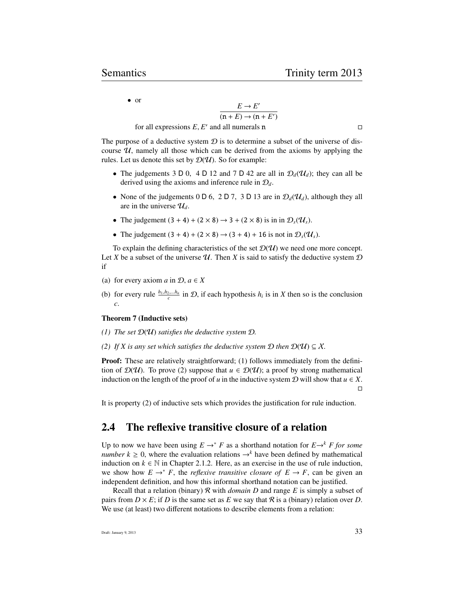• or

 $E \rightarrow E'$  $(n + E) \rightarrow (n + E')$ 

for all expressions  $E, E'$  and all numerals n

The purpose of a deductive system  $D$  is to determine a subset of the universe of discourse  $U$ , namely all those which can be derived from the axioms by applying the rules. Let us denote this set by  $\mathcal{D}(\mathcal{U})$ . So for example:

- The judgements 3 D 0, 4 D 12 and 7 D 42 are all in  $\mathcal{D}_d(\mathcal{U}_d)$ ; they can all be derived using the axioms and inference rule in D*d*.
- None of the judgements 0 D 6, 2 D 7, 3 D 13 are in  $\mathcal{D}_d(\mathcal{U}_d)$ , although they all are in the universe  $\mathcal{U}_d$ .
- The judgement  $(3 + 4) + (2 \times 8) \rightarrow 3 + (2 \times 8)$  is in in  $\mathcal{D}_s(\mathcal{U}_s)$ .
- The judgement  $(3 + 4) + (2 \times 8) \rightarrow (3 + 4) + 16$  is not in  $\mathcal{D}_s(\mathcal{U}_s)$ .

To explain the defining characteristics of the set  $\mathcal{D}(\mathcal{U})$  we need one more concept. Let *X* be a subset of the universe  $U$ . Then *X* is said to satisfy the deductive system  $D$ if

- (a) for every axiom  $a$  in  $D$ ,  $a \in X$
- (b) for every rule  $\frac{h_1, h_2, \dots, h_n}{c}$  in  $\mathcal{D}$ , if each hypothesis  $h_i$  is in *X* then so is the conclusion *c*.

#### Theorem 7 (Inductive sets)

- *(1) The set* D(U) *satisfies the deductive system* D*.*
- *(2) If X* is any set which satisfies the deductive system  $D$  *then*  $D(\mathcal{U}) \subseteq \mathcal{X}$ .

**Proof:** These are relatively straightforward; (1) follows immediately from the definition of  $\mathcal{D}(\mathcal{U})$ . To prove (2) suppose that  $u \in \mathcal{D}(\mathcal{U})$ ; a proof by strong mathematical induction on the length of the proof of *u* in the inductive system  $D$  will show that  $u \in X$ .  $\Box$ 

It is property (2) of inductive sets which provides the justification for rule induction.

## 2.4 The reflexive transitive closure of a relation

Up to now we have been using  $E \rightarrow^* F$  as a shorthand notation for  $E \rightarrow^k F$  for some *number k*  $\geq$  0, where the evaluation relations  $\rightarrow$ <sup>k</sup> have been defined by mathematical induction on  $k \in \mathbb{N}$  in Chapter 2.1.2. Here, as an exercise in the use of rule induction, we show how  $E \to^* F$ , the *reflexive transitive closure of*  $E \to F$ , can be given an independent definition, and how this informal shorthand notation can be justified.

Recall that a relation (binary) R with *domain D* and range *E* is simply a subset of pairs from  $D \times E$ ; if *D* is the same set as *E* we say that *R* is a (binary) relation over *D*. We use (at least) two different notations to describe elements from a relation: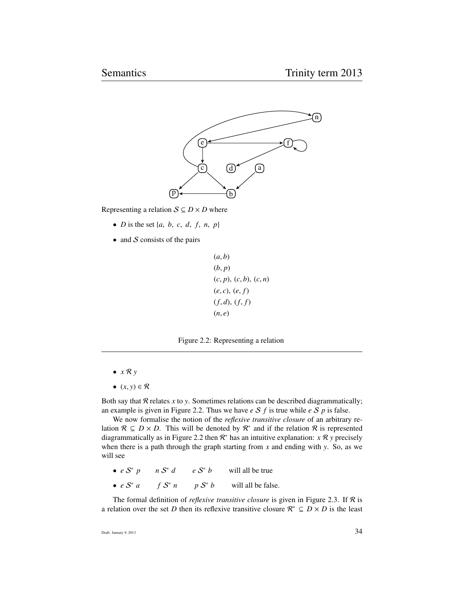

Representing a relation  $S \subseteq D \times D$  where

- *D* is the set  $\{a, b, c, d, f, n, p\}$
- and  $S$  consists of the pairs

$$
(a, b) \n(b, p) \n(c, p), (c, b), (c, n) \n(e, c), (e, f) \n(f, d), (f, f) \n(n, e)
$$

Figure 2.2: Representing a relation

- *x* R *y*
- $(x, y) \in \mathcal{R}$

Both say that  $R$  relates  $x$  to  $y$ . Sometimes relations can be described diagrammatically; an example is given in Figure 2.2. Thus we have *e* S *f* is true while *e* S *p* is false.

We now formalise the notion of the *reflexive transitive closure* of an arbitrary relation  $\mathcal{R} \subseteq D \times D$ . This will be denoted by  $\mathcal{R}^*$  and if the relation  $\mathcal{R}$  is represented diagrammatically as in Figure 2.2 then  $\mathcal{R}^*$  has an intuitive explanation:  $x \mathcal{R} y$  precisely when there is a path through the graph starting from *x* and ending with *y*. So, as we will see

- $\bullet$  *e*  $S^*$  *p n*  $S^*$  *d* e S<sup>\*</sup> b will all be true
- $\bullet$  *e*  $S^*$  *a f*  $S^*$  *n n* S<sup>\*</sup> *b* will all be false.

The formal definition of *reflexive transitive closure* is given in Figure 2.3. If R is a relation over the set *D* then its reflexive transitive closure  $\mathcal{R}^* \subseteq D \times D$  is the least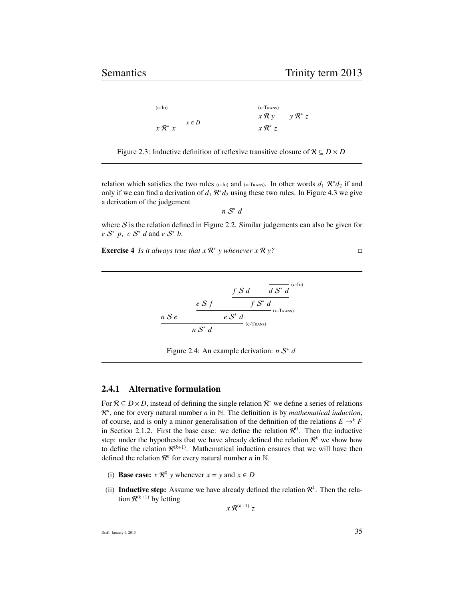| $(c-ID)$                                                              | $(C-Trans)$                                |  |
|-----------------------------------------------------------------------|--------------------------------------------|--|
|                                                                       | $x \mathcal{R} y \qquad y \mathcal{R}^* z$ |  |
| $x \in D$<br>the control of the control of the<br>$x \mathcal{R}^* x$ | $x \mathcal{R}^* z$                        |  |

Figure 2.3: Inductive definition of reflexive transitive closure of  $\mathcal{R} \subseteq D \times D$ 

relation which satisfies the two rules ( $c$ -ID) and ( $c$ -TRANS). In other words  $d_1 \mathcal{R}^* d_2$  if and only if we can find a derivation of  $d_1 \mathcal{R}^* d_2$  using these two rules. In Figure 4.3 we give a derivation of the judgement

$$
n\mathrel{\mathcal{S}}^*d
$$

where  $S$  is the relation defined in Figure 2.2. Similar judgements can also be given for *e*  $S^*$  *p*, *c*  $S^*$  *d* and *e*  $S^*$  *b*.

**Exercise 4** *Is it always true that*  $x \mathbb{R}^* y$  *whenever*  $x \mathbb{R} y$ ?

$$
\begin{array}{r}\n\frac{f S d}{d S^* d} \frac{d S^* d}{d S^* d} \cdot \frac{e S f}{d S^* d} \\
\frac{e S f}{d S^* d} \cdot \frac{e S^* d}{d (c-Trans)}\n\end{array}
$$

Figure 2.4: An example derivation: *n* S ∗ *d*

#### 2.4.1 Alternative formulation

For  $\mathcal{R} \subseteq D \times D$ , instead of defining the single relation  $\mathcal{R}^*$  we define a series of relations  $\mathbb{R}^n$ , one for every natural number *n* in N. The definition is by *mathematical induction*, of course, and is only a minor generalisation of the definition of the relations  $E \rightarrow^k F$ in Section 2.1.2. First the base case: we define the relation  $\mathcal{R}^0$ . Then the inductive step: under the hypothesis that we have already defined the relation  $\mathcal{R}^k$  we show how to define the relation  $\mathcal{R}^{(k+1)}$ . Mathematical induction ensures that we will have then defined the relation  $\mathcal{R}^n$  for every natural number *n* in N.

- (i) **Base case:**  $x \mathcal{R}^0$  y whenever  $x = y$  and  $x \in D$
- (ii) Inductive step: Assume we have already defined the relation  $\mathcal{R}^k$ . Then the relation  $\mathcal{R}^{(k+1)}$  by letting

 $x \mathcal{R}^{(k+1)}$  *z*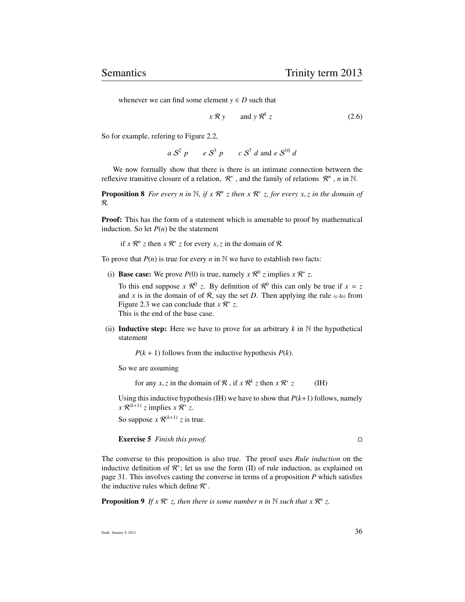whenever we can find some element  $y \in D$  such that

$$
x \mathcal{R} y \qquad \text{and } y \mathcal{R}^k z \tag{2.6}
$$

So for example, refering to Figure 2.2,

 $a S^2 p$  *e*  $S^3 p$  *c*  $S^7 d$  and *e*  $S^{10} d$ 

We now formally show that there is there is an intimate connection between the reflexive transitive closure of a relation,  $\mathcal{R}^*$ , and the family of relations  $\mathcal{R}^n$ , *n* in N.

**Proposition 8** For every *n* in  $\mathbb{N}$ , if  $x \mathbb{R}^n$  *z* then  $x \mathbb{R}^*$  *z*, for every  $x, z$  in the domain of R*.*

Proof: This has the form of a statement which is amenable to proof by mathematical induction. So let  $P(n)$  be the statement

if *x*  $\mathcal{R}^n$  *z* then *x*  $\mathcal{R}^*$  *z* for every *x*, *z* in the domain of  $\mathcal{R}$ .

To prove that  $P(n)$  is true for every  $n$  in  $N$  we have to establish two facts:

(i) **Base case:** We prove  $P(0)$  is true, namely  $x \mathcal{R}^0 z$  implies  $x \mathcal{R}^* z$ .

To this end suppose  $x \mathcal{R}^0$  z. By definition of  $\mathcal{R}^0$  this can only be true if  $x = z$ and x is in the domain of of  $\mathcal{R}$ , say the set D. Then applying the rule (c-I<sub>D</sub>) from Figure 2.3 we can conclude that  $x \mathcal{R}^* z$ . This is the end of the base case.

(ii) **Inductive step:** Here we have to prove for an arbitrary  $k$  in  $\mathbb N$  the hypothetical statement

 $P(k + 1)$  follows from the inductive hypothesis  $P(k)$ .

So we are assuming

for any *x*, *z* in the domain of  $\mathcal{R}$ , if  $x \mathcal{R}^k$  *z* then  $x \mathcal{R}^*$ *z* (IH)

Using this inductive hypothesis (IH) we have to show that  $P(k+1)$  follows, namely  $x \mathcal{R}^{(k+1)}$  *z* implies  $x \mathcal{R}^*$  *z*.

So suppose  $x \mathcal{R}^{(k+1)}$  *z* is true.

Exercise 5 *Finish this proof.*

The converse to this proposition is also true. The proof uses *Rule induction* on the inductive definition of  $\mathcal{R}^*$ ; let us use the form (II) of rule induction, as explained on page 31. This involves casting the converse in terms of a proposition *P* which satisfies the inductive rules which define  $\mathcal{R}^*$ .

**Proposition 9** If  $x \mathbb{R}^* z$ , then there is some number n in N such that  $x \mathbb{R}^n z$ .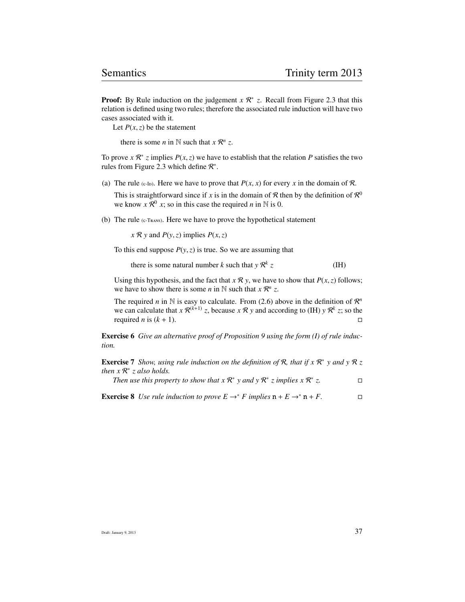**Proof:** By Rule induction on the judgement  $x \, \mathbb{R}^*$  z. Recall from Figure 2.3 that this relation is defined using two rules; therefore the associated rule induction will have two cases associated with it.

Let  $P(x, z)$  be the statement

there is some *n* in  $\mathbb N$  such that  $x \mathbb R^n$  *z*.

To prove  $x \mathcal{R}^* z$  implies  $P(x, z)$  we have to establish that the relation  $P$  satisfies the two rules from Figure 2.3 which define  $\mathcal{R}^*$ rules from Figure 2.3 which define  $\mathcal{R}^*$ .

(a) The rule (c-I<sub>D</sub>). Here we have to prove that  $P(x, x)$  for every *x* in the domain of  $\mathcal{R}$ .

This is straightforward since if *x* is in the domain of  $R$  then by the definition of  $R^0$ we know  $x \mathcal{R}^0$  x; so in this case the required *n* in N is 0.

(b) The rule  $(c$ -TRANS). Here we have to prove the hypothetical statement

 $x \mathcal{R} y$  and  $P(y, z)$  implies  $P(x, z)$ 

To this end suppose  $P(y, z)$  is true. So we are assuming that

there is some natural number *k* such that 
$$
y \mathcal{R}^k z
$$
 (IH)

Using this hypothesis, and the fact that  $x \mathcal{R} y$ , we have to show that  $P(x, z)$  follows; we have to show there is some *n* in  $\mathbb N$  such that  $x \mathbb R^n$  *z*.

The required *n* in N is easy to calculate. From (2.6) above in the definition of  $\mathbb{R}^n$ we can calculate that  $x \mathcal{R}^{(k+1)}$  *z*, because  $x \mathcal{R} y$  and according to (IH)  $y \mathcal{R}^{k} z$ ; so the required *n* is  $(k + 1)$ .

Exercise 6 *Give an alternative proof of Proposition 9 using the form (I) of rule induction.*

Exercise 7 *Show, using rule induction on the definition of* R*, that if x* R ∗ *y and y* R *z then x* R ∗ *z also holds.*

*Then use this property to show that*  $x \mathbb{R}^*$  *y and y*  $\mathbb{R}^*$  *z implies*  $x \mathbb{R}^*$ *z.*

**Exercise 8** *Use rule induction to prove*  $E \rightarrow^* F$  *implies*  $n + E \rightarrow^* n + F$ .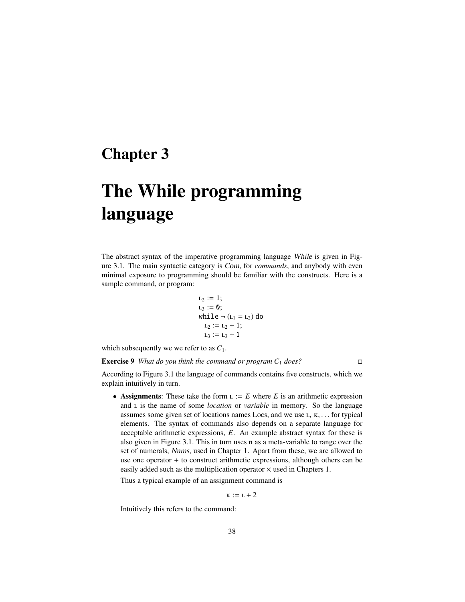# Chapter 3

# The While programming language

The abstract syntax of the imperative programming language While is given in Figure 3.1. The main syntactic category is Com, for *commands*, and anybody with even minimal exposure to programming should be familiar with the constructs. Here is a sample command, or program:

$$
L_2 := 1;\nL_3 := 0;\nwhile  $\neg$  (L<sub>1</sub> = L<sub>2</sub>) do  
\nL<sub>2</sub> := L<sub>2</sub> + 1;  
\nL<sub>3</sub> := L<sub>3</sub> + 1
$$

which subsequently we we refer to as  $C_1$ .

Exercise 9 *What do you think the command or program C*<sup>1</sup> *does?*

According to Figure 3.1 the language of commands contains five constructs, which we explain intuitively in turn.

• Assignments: These take the form  $L := E$  where  $E$  is an arithmetic expression and *L* is the name of some *location* or *variable* in memory. So the language assumes some given set of locations names Locs, and we use  $L, K, \ldots$  for typical elements. The syntax of commands also depends on a separate language for acceptable arithmetic expressions, *E*. An example abstract syntax for these is also given in Figure 3.1. This in turn uses n as a meta-variable to range over the set of numerals, Nums, used in Chapter 1. Apart from these, we are allowed to use one operator + to construct arithmetic expressions, although others can be easily added such as the multiplication operator  $\times$  used in Chapters 1.

Thus a typical example of an assignment command is

 $K := L + 2$ 

Intuitively this refers to the command: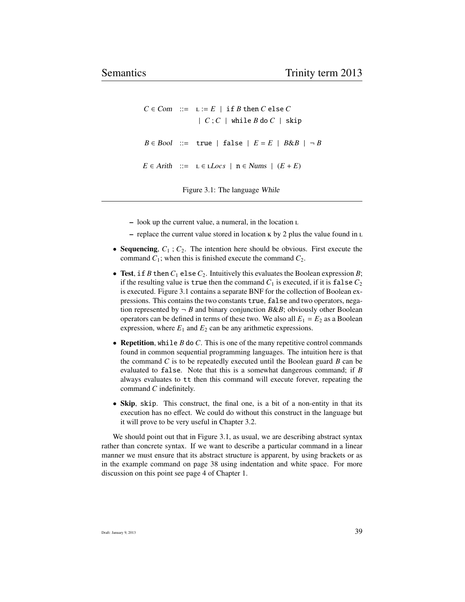```
C \in Com ::= L := E | if B then C else C| C ; C | while B do C | skip
B \in \text{Bool} ::= true | false | E = E | B \& B | \neg BE ∈ Arith ::=  ∈ Locs | n ∈ Nums | (E + E)
```
Figure 3.1: The language While

- look up the current value, a numeral, in the location
- $-$  replace the current value stored in location  $\kappa$  by 2 plus the value found in  $\kappa$
- Sequencing,  $C_1$ ;  $C_2$ . The intention here should be obvious. First execute the command  $C_1$ ; when this is finished execute the command  $C_2$ .
- Test, if *B* then  $C_1$  else  $C_2$ . Intuitively this evaluates the Boolean expression *B*; if the resulting value is true then the command  $C_1$  is executed, if it is false  $C_2$ is executed. Figure 3.1 contains a separate BNF for the collection of Boolean expressions. This contains the two constants true, false and two operators, negation represented by  $\neg$  *B* and binary conjunction *B&B*; obviously other Boolean operators can be defined in terms of these two. We also all  $E_1 = E_2$  as a Boolean expression, where  $E_1$  and  $E_2$  can be any arithmetic expressions.
- Repetition, while *B* do *C*. This is one of the many repetitive control commands found in common sequential programming languages. The intuition here is that the command *C* is to be repeatedly executed until the Boolean guard *B* can be evaluated to false. Note that this is a somewhat dangerous command; if *B* always evaluates to tt then this command will execute forever, repeating the command *C* indefinitely.
- Skip, skip. This construct, the final one, is a bit of a non-entity in that its execution has no effect. We could do without this construct in the language but it will prove to be very useful in Chapter 3.2.

We should point out that in Figure 3.1, as usual, we are describing abstract syntax rather than concrete syntax. If we want to describe a particular command in a linear manner we must ensure that its abstract structure is apparent, by using brackets or as in the example command on page 38 using indentation and white space. For more discussion on this point see page 4 of Chapter 1.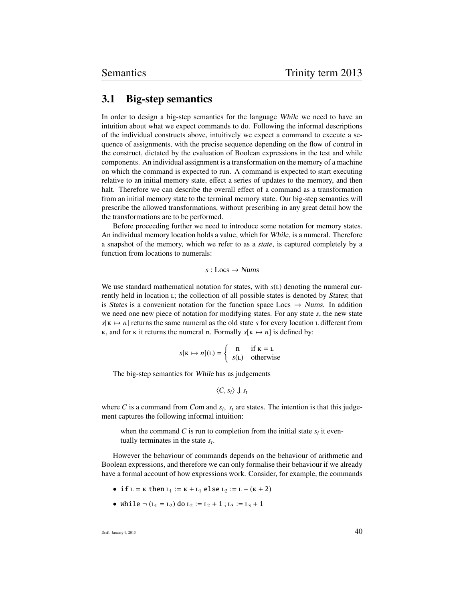### 3.1 Big-step semantics

In order to design a big-step semantics for the language While we need to have an intuition about what we expect commands to do. Following the informal descriptions of the individual constructs above, intuitively we expect a command to execute a sequence of assignments, with the precise sequence depending on the flow of control in the construct, dictated by the evaluation of Boolean expressions in the test and while components. An individual assignment is a transformation on the memory of a machine on which the command is expected to run. A command is expected to start executing relative to an initial memory state, effect a series of updates to the memory, and then halt. Therefore we can describe the overall effect of a command as a transformation from an initial memory state to the terminal memory state. Our big-step semantics will prescribe the allowed transformations, without prescribing in any great detail how the the transformations are to be performed.

Before proceeding further we need to introduce some notation for memory states. An individual memory location holds a value, which for While, is a numeral. Therefore a snapshot of the memory, which we refer to as a *state*, is captured completely by a function from locations to numerals:

 $s:$  Locs  $\rightarrow$  Nums

We use standard mathematical notation for states, with  $s(t)$  denoting the numeral currently held in location L; the collection of all possible states is denoted by States; that is States is a convenient notation for the function space Locs  $\rightarrow$  Nums. In addition we need one new piece of notation for modifying states. For any state *s*, the new state  $s[K \mapsto n]$  returns the same numeral as the old state *s* for every location L different from  $\kappa$ , and for  $\kappa$  it returns the numeral n. Formally  $s[\kappa \mapsto n]$  is defined by:

$$
s[\mathbf{k} \mapsto n](\mathbf{L}) = \begin{cases} \mathbf{n} & \text{if } \mathbf{k} = \mathbf{L} \\ s(\mathbf{L}) & \text{otherwise} \end{cases}
$$

The big-step semantics for While has as judgements

$$
\langle C, s_i \rangle \Downarrow s_t
$$

where *C* is a command from *Com* and  $s_i$ ,  $s_t$  are states. The intention is that this judge-<br>ment captures the following informal intuition: ment captures the following informal intuition:

when the command  $C$  is run to completion from the initial state  $s_i$  it eventually terminates in the state *s<sup>t</sup>* .

However the behaviour of commands depends on the behaviour of arithmetic and Boolean expressions, and therefore we can only formalise their behaviour if we already have a formal account of how expressions work. Consider, for example, the commands

- if  $L = K$  then  $L_1 := K + L_1$  else  $L_2 := L + (K + 2)$
- while  $\neg$  ( $L_1 = L_2$ ) do  $L_2 := L_2 + 1$ ;  $L_3 := L_3 + 1$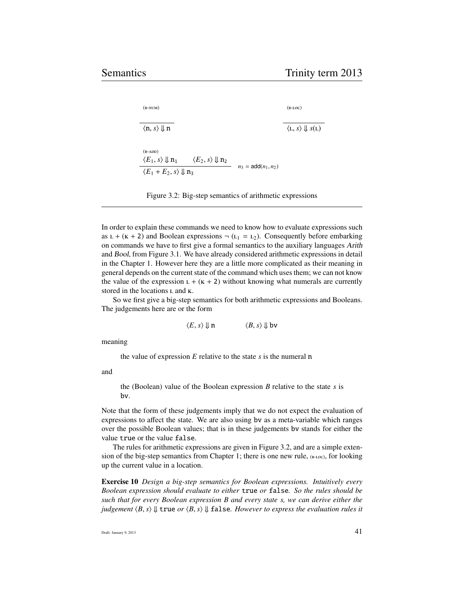|                                         |                                              | $\langle L, s \rangle \Downarrow s(L)$ |
|-----------------------------------------|----------------------------------------------|----------------------------------------|
|                                         |                                              |                                        |
| $\langle E_2, s \rangle \Downarrow n_2$ |                                              |                                        |
|                                         |                                              |                                        |
|                                         | $\langle E_1 + E_2, s \rangle \parallel n_3$ | $n_3 = \text{add}(n_1, n_2)$           |

Figure 3.2: Big-step semantics of arithmetic expressions

In order to explain these commands we need to know how to evaluate expressions such as  $L + (K + 2)$  and Boolean expressions  $\neg$  ( $L_1 = L_2$ ). Consequently before embarking on commands we have to first give a formal semantics to the auxiliary languages Arith and Bool, from Figure 3.1. We have already considered arithmetic expressions in detail in the Chapter 1. However here they are a little more complicated as their meaning in general depends on the current state of the command which uses them; we can not know the value of the expression  $L + (K + 2)$  without knowing what numerals are currently stored in the locations  $\iota$  and  $\kappa$ .

So we first give a big-step semantics for both arithmetic expressions and Booleans. The judgements here are or the form

$$
\langle E, s \rangle \Downarrow \mathbf{n} \qquad \qquad \langle B, s \rangle \Downarrow \mathbf{bv}
$$

meaning

the value of expression *E* relative to the state *s* is the numeral n

and

the (Boolean) value of the Boolean expression *B* relative to the state *s* is bv.

Note that the form of these judgements imply that we do not expect the evaluation of expressions to affect the state. We are also using bv as a meta-variable which ranges over the possible Boolean values; that is in these judgements bv stands for either the value true or the value false.

The rules for arithmetic expressions are given in Figure 3.2, and are a simple extension of the big-step semantics from Chapter 1; there is one new rule,  $_{(B-LOC)}$ , for looking up the current value in a location.

Exercise 10 *Design a big-step semantics for Boolean expressions. Intuitively every Boolean expression should evaluate to either* true *or* false*. So the rules should be such that for every Boolean expression B and every state s, we can derive either the judgement*  $\langle B, s \rangle \Downarrow$  true *or*  $\langle B, s \rangle \Downarrow$  false. However to express the evaluation rules it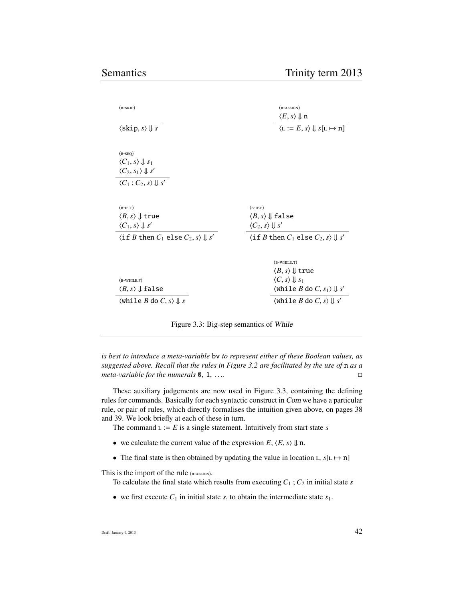| $(B-SKIP)$                                                                     | $(B-ASSIGN)$                                                                   |  |
|--------------------------------------------------------------------------------|--------------------------------------------------------------------------------|--|
|                                                                                | $\langle E, s \rangle \Downarrow n$                                            |  |
| $\langle$ skip, s $\rangle \downarrow$ s                                       | $\langle L := E, s \rangle \Downarrow s[L \mapsto n]$                          |  |
|                                                                                |                                                                                |  |
| $(B-SEQ)$                                                                      |                                                                                |  |
| $\langle C_1, s \rangle \Downarrow s_1$                                        |                                                                                |  |
| $\langle C_2, s_1 \rangle \Downarrow s'$                                       |                                                                                |  |
| $\langle C_1; C_2, s \rangle \Downarrow s'$                                    |                                                                                |  |
|                                                                                |                                                                                |  |
| $(B-IF.T)$                                                                     | $(B-IF.F)$                                                                     |  |
| $\langle B, s \rangle \Downarrow$ true                                         | $\langle B, s \rangle \Downarrow$ false                                        |  |
| $\langle C_1, s \rangle \Downarrow s'$                                         | $\langle C_2, s \rangle \parallel s'$                                          |  |
| $\langle$ if <i>B</i> then $C_1$ else $C_2$ , <i>s</i> $\rangle \Downarrow s'$ | $\langle$ if <i>B</i> then $C_1$ else $C_2$ , <i>s</i> $\rangle \Downarrow s'$ |  |
|                                                                                |                                                                                |  |
|                                                                                | $(B-WHILE.T)$                                                                  |  |
|                                                                                | $\langle B,s\rangle \Downarrow$ true                                           |  |
| $(B-WHILE.F)$                                                                  | $\langle C, s \rangle \parallel s_1$                                           |  |
| $\langle B,s\rangle \Downarrow$ false                                          | $\langle$ while <i>B</i> do <i>C</i> , $s_1$ $\rangle \Downarrow s'$           |  |
| $\langle$ while <i>B</i> do <i>C</i> , <i>s</i> $\rangle \Downarrow s$         | $\langle$ while <i>B</i> do <i>C</i> , <i>s</i> $\rangle \Downarrow s'$        |  |

Figure 3.3: Big-step semantics of While

*is best to introduce a meta-variable* bv *to represent either of these Boolean values, as suggested above. Recall that the rules in Figure 3.2 are facilitated by the use of* n *as a meta-variable for the numerals*  $\mathbf{0}, 1, \ldots$  ...

These auxiliary judgements are now used in Figure 3.3, containing the defining rules for commands. Basically for each syntactic construct in Com we have a particular rule, or pair of rules, which directly formalises the intuition given above, on pages 38 and 39. We look briefly at each of these in turn.

The command  $L := E$  is a single statement. Intuitively from start state *s* 

- we calculate the current value of the expression  $E$ ,  $\langle E, s \rangle \Downarrow$  n.
- The final state is then obtained by updating the value in location  $L$ ,  $s[L \rightarrow n]$

This is the import of the rule (B-ASSIGN).

To calculate the final state which results from executing  $C_1$ ;  $C_2$  in initial state *s* 

• we first execute  $C_1$  in initial state  $s$ , to obtain the intermediate state  $s_1$ .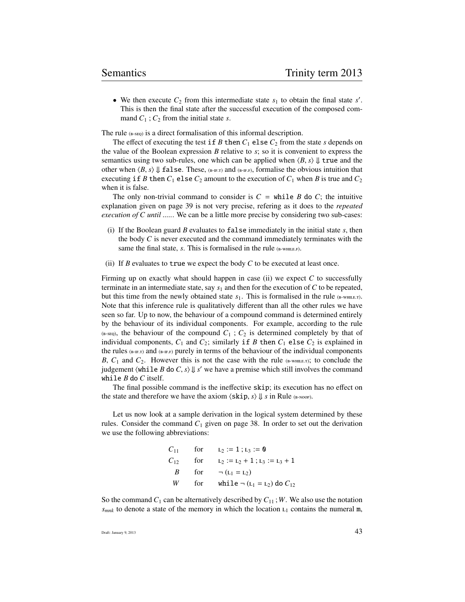• We then execute  $C_2$  from this intermediate state  $s_1$  to obtain the final state  $s'$ . This is then the final state after the successful execution of the composed command  $C_1$ ;  $C_2$  from the initial state *s*.

The rule  $(B-SEQ)$  is a direct formalisation of this informal description.

The effect of executing the test if *B* then  $C_1$  else  $C_2$  from the state *s* depends on the value of the Boolean expression *B* relative to *s*; so it is convenient to express the semantics using two sub-rules, one which can be applied when  $\langle B, s \rangle \downarrow$  true and the other when  $\langle B, s \rangle \Downarrow$  false. These, ( $_{\text{B-F,T}}$ ) and ( $_{\text{B-F,F}}$ ), formalise the obvious intuition that executing if *B* then  $C_1$  else  $C_2$  amount to the execution of  $C_1$  when *B* is true and  $C_2$ when it is false.

The only non-trivial command to consider is  $C =$  while *B* do *C*; the intuitive explanation given on page 39 is not very precise, refering as it does to the *repeated execution of C until ......* We can be a little more precise by considering two sub-cases:

- (i) If the Boolean guard *B* evaluates to false immediately in the initial state *s*, then the body *C* is never executed and the command immediately terminates with the same the final state,  $s$ . This is formalised in the rule  $_{(B-WHILE,F)}$ .
- (ii) If  $B$  evaluates to true we expect the body  $C$  to be executed at least once.

Firming up on exactly what should happen in case (ii) we expect *C* to successfully terminate in an intermediate state, say  $s_1$  and then for the execution of  $C$  to be repeated, but this time from the newly obtained state  $s_1$ . This is formalised in the rule ( $B$ -WHILE.T). Note that this inference rule is qualitatively different than all the other rules we have seen so far. Up to now, the behaviour of a compound command is determined entirely by the behaviour of its individual components. For example, according to the rule  $(E-SEO)$ , the behaviour of the compound  $C_1$ ;  $C_2$  is determined completely by that of individual components,  $C_1$  and  $C_2$ ; similarly if *B* then  $C_1$  else  $C_2$  is explained in the rules  $_{(B-F,T)}$  and  $_{(B-F,F)}$  purely in terms of the behaviour of the individual components *B*,  $C_1$  and  $C_2$ . However this is not the case with the rule ( $B$ -WHILE.T); to conclude the judgement  $\langle$ while *B* do *C*, *s* $\rangle \Downarrow$  *s'* we have a premise which still involves the command while *B* do *C* itself.

The final possible command is the ineffective skip; its execution has no effect on the state and therefore we have the axiom  $\langle$ skip, *s*)  $\Downarrow$  *s* in Rule (B-NOOP).

Let us now look at a sample derivation in the logical system determined by these rules. Consider the command  $C_1$  given on page 38. In order to set out the derivation we use the following abbreviations:

$$
C_{11} \qquad \text{for} \qquad L_2 := 1; L_3 := 0
$$
\n
$$
C_{12} \qquad \text{for} \qquad L_2 := L_2 + 1; L_3 := L_3 + 1
$$
\n
$$
B \qquad \text{for} \qquad \neg (L_1 = L_2)
$$
\n
$$
W \qquad \text{for} \qquad \text{while } \neg (L_1 = L_2) \text{ do } C_{12}
$$

So the command  $C_1$  can be alternatively described by  $C_{11}$ ; *W*. We also use the notation  $s_{mnk}$  to denote a state of the memory in which the location  $L_1$  contains the numeral m,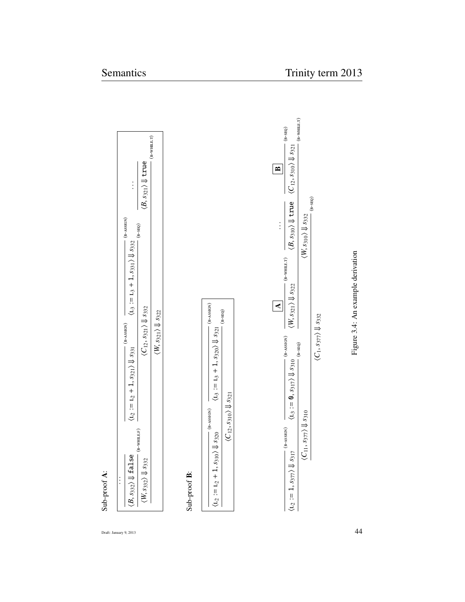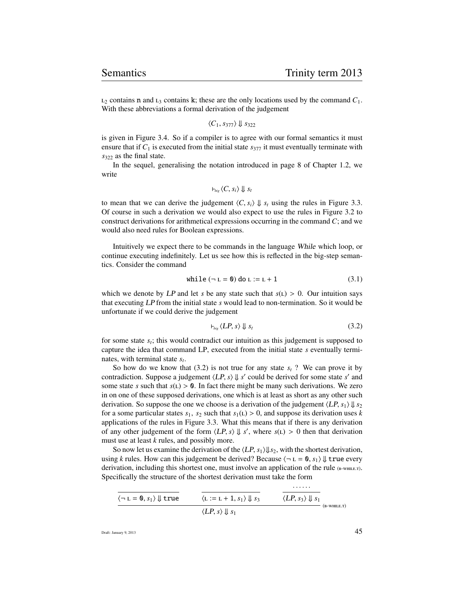$L_2$  contains n and  $L_3$  contains k; these are the only locations used by the command  $C_1$ . With these abbreviations a formal derivation of the judgement

 $\langle C_1, s_{377} \rangle \Downarrow s_{322}$ 

is given in Figure 3.4. So if a compiler is to agree with our formal semantics it must ensure that if  $C_1$  is executed from the initial state  $s_{377}$  it must eventually terminate with *s*<sup>322</sup> as the final state.

In the sequel, generalising the notation introduced in page 8 of Chapter 1.2, we write

$$
\vdash_{\mathit{big}} \langle C, s_i \rangle \Downarrow s_t
$$

to mean that we can derive the judgement  $\langle C, s_i \rangle \Downarrow s_t$  using the rules in Figure 3.3. Of course in such a derivation we would also expect to use the rules in Figure 3.2 to construct derivations for arithmetical expressions occurring in the command *C*; and we would also need rules for Boolean expressions.

Intuitively we expect there to be commands in the language While which loop, or continue executing indefinitely. Let us see how this is reflected in the big-step semantics. Consider the command

while 
$$
(\neg L = 0)
$$
 do  $L := L + 1$  (3.1)

which we denote by LP and let *s* be any state such that  $s(L) > 0$ . Our intuition says that executing LP from the initial state *s* would lead to non-termination. So it would be unfortunate if we could derive the judgement

$$
\vdash_{\text{big}} \langle LP, s \rangle \Downarrow s_t \tag{3.2}
$$

for some state *s<sup>t</sup>* ; this would contradict our intuition as this judgement is supposed to capture the idea that command LP, executed from the initial state *s* eventually terminates, with terminal state *s<sup>t</sup>* .

So how do we know that (3.2) is not true for any state  $s_t$  ? We can prove it by contradiction. Suppose a judgement  $\langle LP, s \rangle \downarrow s'$  could be derived for some state *s'* and some state *s* such that  $s(t) > 0$ . In fact there might be many such derivations. We zero some state *s* such that  $s(L) > 0$ . In fact there might be many such derivations. We zero in on one of these supposed derivations, one which is at least as short as any other such derivation. So suppose the one we choose is a derivation of the judgement  $\langle LP, s_1 \rangle \downarrow s_2$ for a some particular states  $s_1$ ,  $s_2$  such that  $s_1(L) > 0$ , and suppose its derivation uses *k* applications of the rules in Figure 3.3. What this means that if there is any derivation of any other judgement of the form  $\langle LP, s \rangle \downarrow s'$ , where  $s(L) > 0$  then that derivation must use at least *k* rules, and possibly more must use at least *k* rules, and possibly more.

So now let us examine the derivation of the  $\langle LP, s_1 \rangle \downarrow s_2$ , with the shortest derivation, using *k* rules. How can this judgement be derived? Because  $\langle \neg L = 0, s_1 \rangle \Downarrow$  true every derivation, including this shortest one, must involve an application of the rule  $_{(B-WHILE,T)}$ . Specifically the structure of the shortest derivation must take the form

$$
\frac{\langle \neg L = 0, s_1 \rangle \Downarrow \text{true}}{\langle L := L + 1, s_1 \rangle \Downarrow s_3} \qquad \frac{\langle LP, s_3 \rangle \Downarrow s_1}{\langle LP, s_2 \rangle \Downarrow s_1}
$$
\n(B-WHILE.T)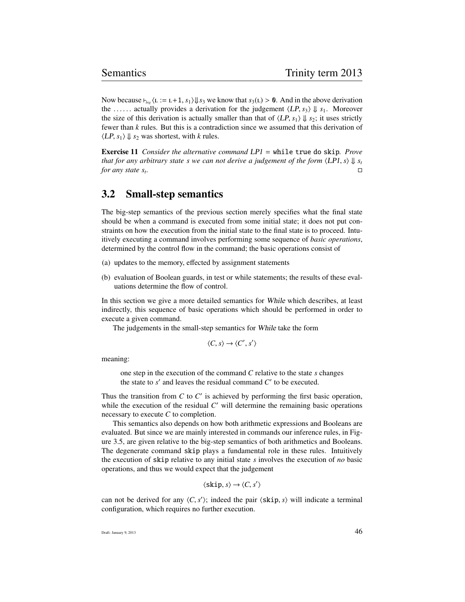Now because  $\vdash_{\text{big}}$  ( $\text{L} := \text{L} + 1$ ,  $s_1 \rangle \Downarrow s_3$  we know that  $s_3(\text{L}) > 0$ . And in the above derivation the ...... actually provides a derivation for the judgement  $\langle LP, s_3 \rangle \Downarrow s_1$ . Moreover the size of this derivation is actually smaller than that of  $\langle LP, s_1 \rangle \Downarrow s_2$ ; it uses strictly fewer than *k* rules. But this is a contradiction since we assumed that this derivation of  $\langle LP, s_1 \rangle \Downarrow s_2$  was shortest, with *k* rules.

Exercise 11 *Consider the alternative command* LP1 = while true do skip*. Prove that for any arbitrary state s we can not derive a judgement of the form*  $\langle LPI, s \rangle \Downarrow s_t$ <br>for any state s. *for any state s<sup>t</sup> .*

### 3.2 Small-step semantics

The big-step semantics of the previous section merely specifies what the final state should be when a command is executed from some initial state; it does not put constraints on how the execution from the initial state to the final state is to proceed. Intuitively executing a command involves performing some sequence of *basic operations*, determined by the control flow in the command; the basic operations consist of

- (a) updates to the memory, effected by assignment statements
- (b) evaluation of Boolean guards, in test or while statements; the results of these evaluations determine the flow of control.

In this section we give a more detailed semantics for While which describes, at least indirectly, this sequence of basic operations which should be performed in order to execute a given command.

The judgements in the small-step semantics for While take the form

$$
\langle C, s \rangle \to \langle C', s' \rangle
$$

meaning:

one step in the execution of the command *C* relative to the state *s* changes the state to  $s'$  and leaves the residual command  $C'$  to be executed.

Thus the transition from  $C$  to  $C'$  is achieved by performing the first basic operation, while the execution of the residual  $C'$  will determine the remaining basic operations necessary to execute *C* to completion.

This semantics also depends on how both arithmetic expressions and Booleans are evaluated. But since we are mainly interested in commands our inference rules, in Figure 3.5, are given relative to the big-step semantics of both arithmetics and Booleans. The degenerate command skip plays a fundamental role in these rules. Intuitively the execution of skip relative to any initial state *s* involves the execution of *no* basic operations, and thus we would expect that the judgement

 $\langle$ skip, *s* $\rangle \rightarrow \langle C, s' \rangle$ 

can not be derived for any  $\langle C, s' \rangle$ ; indeed the pair  $\langle$ skip, *s*) will indicate a terminal configuration which requires no further execution configuration, which requires no further execution.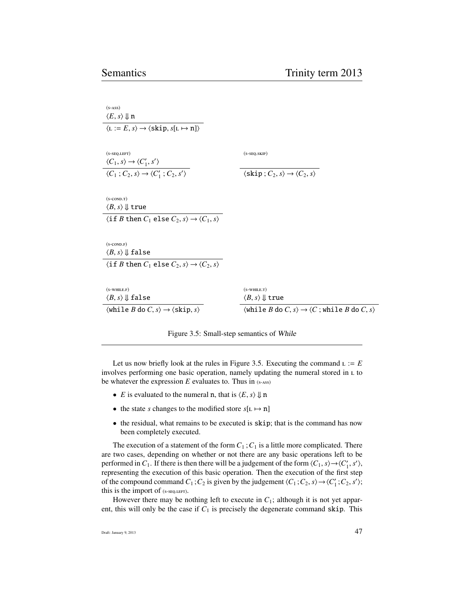| $(s-ASS)$                                                                                              |                                                                                                                                   |
|--------------------------------------------------------------------------------------------------------|-----------------------------------------------------------------------------------------------------------------------------------|
| $\langle E, s \rangle \Downarrow n$                                                                    |                                                                                                                                   |
| $\langle L := E, s \rangle \rightarrow \langle$ skip, $s[L \mapsto n] \rangle$                         |                                                                                                                                   |
|                                                                                                        |                                                                                                                                   |
| $(s$ -SEQ.LEFT)                                                                                        | $(s-sEQ.SKIP)$                                                                                                                    |
| $\langle C_1, s \rangle \rightarrow \langle C'_1, s' \rangle$                                          |                                                                                                                                   |
| $\langle C_1; C_2, s \rangle \rightarrow \langle C'_1; C_2, s' \rangle$                                | $\langle$ skip; $C_2, s \rangle \rightarrow \langle C_2, s \rangle$                                                               |
|                                                                                                        |                                                                                                                                   |
| $(s$ -COND.T)                                                                                          |                                                                                                                                   |
| $\langle B, s \rangle \Downarrow$ true                                                                 |                                                                                                                                   |
| $\langle$ if <i>B</i> then $C_1$ else $C_2$ , $s \rangle \rightarrow \langle C_1, s \rangle$           |                                                                                                                                   |
|                                                                                                        |                                                                                                                                   |
| $(s$ -COND.F)                                                                                          |                                                                                                                                   |
| $\langle B, s \rangle \Downarrow$ false                                                                |                                                                                                                                   |
| $\langle$ if <i>B</i> then $C_1$ else $C_2$ , $s \rangle \rightarrow \langle C_2, s \rangle$           |                                                                                                                                   |
|                                                                                                        |                                                                                                                                   |
| $(s$ -WHILE.F)                                                                                         | $(s$ -WHILE.T)                                                                                                                    |
| $\langle B, s \rangle \Downarrow$ false                                                                | $\langle B,s\rangle \Downarrow$ true                                                                                              |
| $\langle$ while <i>B</i> do <i>C</i> , <i>s</i> $\rangle \rightarrow \langle$ skip, <i>s</i> $\rangle$ | $\langle$ while <i>B</i> do <i>C</i> , <i>s</i> $\rangle \rightarrow \langle C ;$ while <i>B</i> do <i>C</i> , <i>s</i> $\rangle$ |
|                                                                                                        |                                                                                                                                   |

Figure 3.5: Small-step semantics of While

Let us now briefly look at the rules in Figure 3.5. Executing the command  $L := E$ involves performing one basic operation, namely updating the numeral stored in to be whatever the expression  $E$  evaluates to. Thus in  $(s\text{-}ass)$ 

- *E* is evaluated to the numeral **n**, that is  $\langle E, s \rangle \Downarrow$  **n**
- the state *s* changes to the modified store  $s[L \mapsto n]$
- the residual, what remains to be executed is skip; that is the command has now been completely executed.

The execution of a statement of the form  $C_1$ ;  $C_1$  is a little more complicated. There are two cases, depending on whether or not there are any basic operations left to be performed in  $C_1$ . If there is then there will be a judgement of the form  $\langle C_1, s \rangle \rightarrow \langle C'_1, s' \rangle$ , representing the execution of this basic operation. Then the execution of the first step representing the execution of this basic operation. Then the execution of the first step of the compound command  $C_1$ ;  $C_2$  is given by the judgement  $\langle C_1; C_2, s \rangle \rightarrow \langle C'_1; C_2, s' \rangle$ ;<br>this is the import of  $(c_1, c_2, s')$ this is the import of  $(s$ - $seq$ .LEFT $)$ .

However there may be nothing left to execute in  $C_1$ ; although it is not yet apparent, this will only be the case if  $C_1$  is precisely the degenerate command skip. This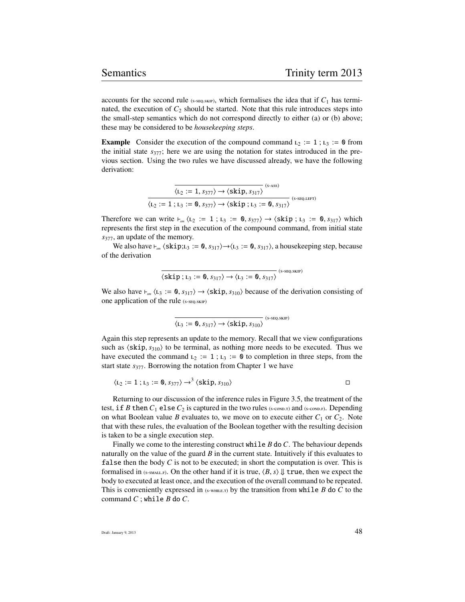accounts for the second rule ( $s$ -se<sub>Q-</sub>skIP), which formalises the idea that if  $C_1$  has terminated, the execution of  $C_2$  should be started. Note that this rule introduces steps into the small-step semantics which do not correspond directly to either (a) or (b) above; these may be considered to be *housekeeping steps*.

**Example** Consider the execution of the compound command  $L_2 := 1$ ;  $L_3 := 0$  from the initial state *s*377; here we are using the notation for states introduced in the previous section. Using the two rules we have discussed already, we have the following derivation:

$$
\frac{\overline{\langle L_2:=1,s_{377}\rangle\rightarrow\langle skip,s_{317}\rangle}^{(s\text{-ass})}}{\langle L_2:=1;L_3:=\text{\textbf{0}},s_{377}\rangle\rightarrow\langle skip\text{ ; }L_3:=\text{\textbf{0}},s_{317}\rangle}^{(s\text{-ass})}
$$

Therefore we can write  $\vdash_{\mathit{sm}}$   $\langle L_2 := 1 ; L_3 := \mathbf{0}, s_{377} \rangle \rightarrow \langle \mathit{skip} ; L_3 := \mathbf{0}, s_{317} \rangle$  which represents the first step in the execution of the compound command, from initial state *s*377, an update of the memory.

We also have  $\vdash_{sm}$   $\langle$ skip; $L_3 := 0$ ,  $s_{317} \rangle \rightarrow \langle L_3 := 0$ ,  $s_{317} \rangle$ , a housekeeping step, because of the derivation

$$
\overline{\langle \text{skip}; \text{L}_3 := \text{0}, s_{317} \rangle} \rightarrow \langle \text{L}_3 := \text{0}, s_{317} \rangle \xrightarrow{\text{(s-seq.sKP)}}
$$

We also have  $\vdash_{sm}$   $\langle$  L<sub>3</sub> := 0,  $s_{317}$   $\rangle \rightarrow \langle$ **skip**,  $s_{310}$  because of the derivation consisting of one application of the rule (s-SEQ.SKIP)

$$
\overline{\langle L_3 := \mathbf{0}, s_{317} \rangle} \rightarrow \langle \text{skip}, s_{310} \rangle \,^{(s\text{-}seq,\text{skr})}
$$

Again this step represents an update to the memory. Recall that we view configurations such as  $\langle$ skip,  $s_{310}$  $\rangle$  to be terminal, as nothing more needs to be executed. Thus we have executed the command  $L_2 := 1$ ;  $L_3 := 0$  to completion in three steps, from the start state *s*377. Borrowing the notation from Chapter 1 we have

$$
\langle L_2 := 1 ; L_3 := 0, s_{377} \rangle \rightarrow^3 \langle \text{skip}, s_{310} \rangle
$$

Returning to our discussion of the inference rules in Figure 3.5, the treatment of the test, if *B* then  $C_1$  else  $C_2$  is captured in the two rules (s-cond.) and (s-cond.). Depending on what Boolean value *B* evaluates to, we move on to execute either  $C_1$  or  $C_2$ . Note that with these rules, the evaluation of the Boolean together with the resulting decision is taken to be a single execution step.

Finally we come to the interesting construct while *B* do *C*. The behaviour depends naturally on the value of the guard *B* in the current state. Intuitively if this evaluates to false then the body  $C$  is not to be executed; in short the computation is over. This is formalised in (s-SMALL.F). On the other hand if it is true,  $\langle B, s \rangle \Downarrow$  true, then we expect the body to executed at least once, and the execution of the overall command to be repeated. This is conveniently expressed in  $(s\text{-}w_{\text{MLE},T})$  by the transition from while *B* do *C* to the command *C* ; while *B* do *C*.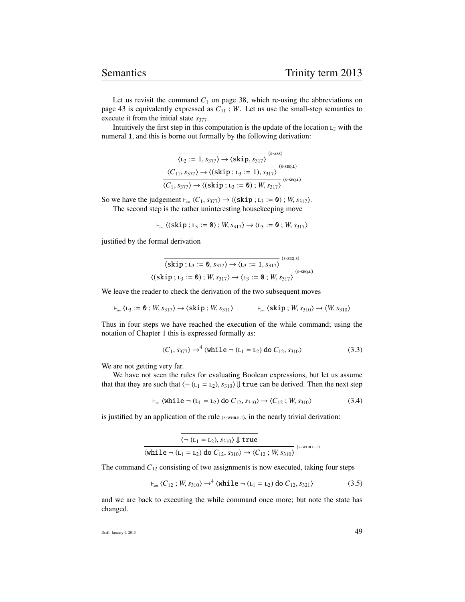Let us revisit the command  $C_1$  on page 38, which re-using the abbreviations on page 43 is equivalently expressed as  $C_{11}$ ; *W*. Let us use the small-step semantics to execute it from the initial state  $s_{377}$ .

Intuitively the first step in this computation is the update of the location  $L_2$  with the numeral 1, and this is borne out formally by the following derivation:

| $(s-ASS)$<br>$\langle L_2 := 1, s_{377} \rangle \rightarrow \langle \text{skip}, s_{317} \rangle$             |             |
|---------------------------------------------------------------------------------------------------------------|-------------|
| $\langle C_{11}, s_{377} \rangle \rightarrow \langle (\text{skip}; \text{L}_3 := 1), s_{317} \rangle$         | $(S-SEQ.L)$ |
| $\langle C_1, s_{377} \rangle \rightarrow \langle (\text{skip}; \text{L}_3 := \text{O}) ; W, s_{317} \rangle$ | $(S-SEQ.L)$ |

So we have the judgement  $\vdash_{sm} \langle C_1, s_{377} \rangle \rightarrow \langle (\text{skip } ; \text{L}_3 := \text{0}) ; W, s_{317} \rangle$ . The second step is the rather uninteresting housekeeping move

$$
\vdash_{\mathit{sm}} \langle (\texttt{skip}; \mathit{L}_3 := \mathbf{0}); W, s_{317} \rangle \rightarrow \langle \mathit{L}_3 := \mathbf{0}; W, s_{317} \rangle
$$

justified by the formal derivation

$$
\frac{\overline{\langle \text{skip};r_3:=\textbf{0},s_{377}\rangle\rightarrow \langle r_3:=1,s_{317}\rangle}}{\langle (\text{skip};r_3:=\textbf{0})\,;\,W,\,s_{317}\rangle\rightarrow \langle r_3:=\textbf{0}\,;\,W,\,s_{317}\rangle} \xrightarrow{\text{(s-seq.s)}} \\
$$

We leave the reader to check the derivation of the two subsequent moves

$$
\vdash_{\mathit{sm}} \langle L_3 := \mathbf{0} \, ; \, W, \, s_{317} \rangle \rightarrow \langle \, \mathsf{skip} \, ; \, W, \, s_{311} \rangle \qquad \qquad \vdash_{\mathit{sm}} \langle \, \mathsf{skip} \, ; \, W, \, s_{310} \rangle \rightarrow \langle W, \, s_{310} \rangle
$$

Thus in four steps we have reached the execution of the while command; using the notation of Chapter 1 this is expressed formally as:

$$
\langle C_1, s_{377} \rangle \rightarrow^4 \langle \text{while } \neg(L_1 = L_2) \text{ do } C_{12}, s_{310} \rangle \tag{3.3}
$$

We are not getting very far.

We have not seen the rules for evaluating Boolean expressions, but let us assume that that they are such that  $\langle \neg (L_1 = L_2), s_{310} \rangle \Downarrow$  true can be derived. Then the next step

$$
\vdash_{sm} \langle \text{while } \neg(L_1 = L_2) \text{ do } C_{12}, s_{310} \rangle \rightarrow \langle C_{12} ; W, s_{310} \rangle \tag{3.4}
$$

is justified by an application of the rule  $(s$ -while. $\tau$ ), in the nearly trivial derivation:

| $\langle \neg(L_1 = L_2), s_{310} \rangle \Downarrow$ true                                                                 |                |
|----------------------------------------------------------------------------------------------------------------------------|----------------|
| $\langle \text{while } \neg(L_1 = L_2) \text{ do } C_{12}, s_{310} \rangle \rightarrow \langle C_{12}; W, s_{310} \rangle$ | $(s$ -WHILE.T) |

The command  $C_{12}$  consisting of two assignments is now executed, taking four steps

$$
\vdash_{sm} \langle C_{12} ; W, s_{310} \rangle \to^4 \langle \text{while } \neg(L_1 = L_2) \text{ do } C_{12}, s_{321} \rangle \tag{3.5}
$$

and we are back to executing the while command once more; but note the state has changed.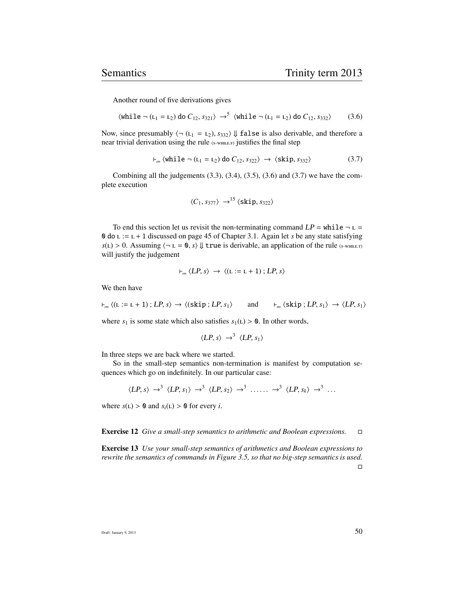Another round of five derivations gives

 $\langle \text{while } \neg(L_1 = L_2) \text{ do } C_{12}, s_{321} \rangle \rightarrow^5 \langle \text{while } \neg(L_1 = L_2) \text{ do } C_{12}, s_{332} \rangle$  (3.6)

Now, since presumably  $\langle \neg (L_1 = L_2), s_{332} \rangle \Downarrow$  false is also derivable, and therefore a near trivial derivation using the rule (S-WHILE.F) justifies the final step

$$
\vdash_{sm} \langle \text{while } \neg \left( L_1 = L_2 \right) \text{ do } C_{12}, s_{322} \rangle \rightarrow \langle \text{skip}, s_{332} \rangle \tag{3.7}
$$

Combining all the judgements  $(3.3)$ ,  $(3.4)$ ,  $(3.5)$ ,  $(3.6)$  and  $(3.7)$  we have the complete execution

$$
\langle C_1, s_{377} \rangle \rightarrow ^{15} \langle \text{skip}, s_{322} \rangle
$$

To end this section let us revisit the non-terminating command  $LP = \text{while } \neg L =$ 0 do := + 1 discussed on page 45 of Chapter 3.1. Again let *s* be any state satisfying  $s(L) > 0$ . Assuming  $\langle \neg L = 0, s \rangle \Downarrow$  true is derivable, an application of the rule (s-while.) will justify the judgement

$$
\vdash_{\mathit{sm}} \langle LP, s \rangle \rightarrow \langle (L := L + 1) ; LP, s \rangle
$$

We then have

$$
\vdash_{\mathit{sm}} \langle (L := L + 1) ; LP, s \rangle \rightarrow \langle (\text{skip}; LP, s_1 \rangle \quad \text{and} \quad \vdash_{\mathit{sm}} \langle \text{skip}; LP, s_1 \rangle \rightarrow \langle LP, s_1 \rangle
$$

where  $s_1$  is some state which also satisfies  $s_1(L) > 0$ . In other words,

$$
\langle LP, s \rangle \rightarrow^3 \langle LP, s_1 \rangle
$$

In three steps we are back where we started.

So in the small-step semantics non-termination is manifest by computation sequences which go on indefinitely. In our particular case:

$$
\langle LP, s \rangle \rightarrow^3 \langle LP, s_1 \rangle \rightarrow^3 \langle LP, s_2 \rangle \rightarrow^3 \ldots \rightarrow^3 \langle LP, s_k \rangle \rightarrow^3 \ldots
$$

where  $s(L) > 0$  and  $s_i(L) > 0$  for every *i*.

Exercise 12 *Give a small-step semantics to arithmetic and Boolean expressions.*

Exercise 13 *Use your small-step semantics of arithmetics and Boolean expressions to rewrite the semantics of commands in Figure 3.5, so that no big-step semantics is used.*  $\Box$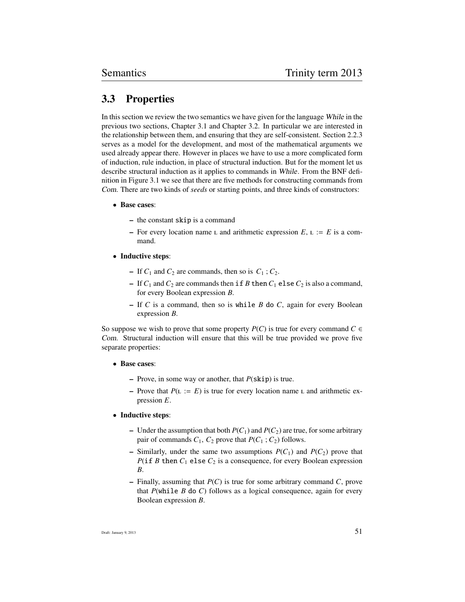# 3.3 Properties

In this section we review the two semantics we have given for the language While in the previous two sections, Chapter 3.1 and Chapter 3.2. In particular we are interested in the relationship between them, and ensuring that they are self-consistent. Section 2.2.3 serves as a model for the development, and most of the mathematical arguments we used already appear there. However in places we have to use a more complicated form of induction, rule induction, in place of structural induction. But for the moment let us describe structural induction as it applies to commands in While. From the BNF definition in Figure 3.1 we see that there are five methods for constructing commands from Com. There are two kinds of *seeds* or starting points, and three kinds of constructors:

- Base cases:
	- the constant skip is a command
	- For every location name  $\mathsf{L}$  and arithmetic expression  $E$ ,  $\mathsf{L} := E$  is a command.
- Inductive steps:
	- If  $C_1$  and  $C_2$  are commands, then so is  $C_1$ ;  $C_2$ .
	- If  $C_1$  and  $C_2$  are commands then if *B* then  $C_1$  else  $C_2$  is also a command, for every Boolean expression *B*.
	- If *C* is a command, then so is while *B* do *C*, again for every Boolean expression *B*.

So suppose we wish to prove that some property *P(C)* is true for every command  $C \in$ Com. Structural induction will ensure that this will be true provided we prove five separate properties:

- Base cases:
	- Prove, in some way or another, that *P*(skip) is true.
	- Prove that  $P(L := E)$  is true for every location name L and arithmetic expression *E*.

#### • Inductive steps:

- Under the assumption that both  $P(C_1)$  and  $P(C_2)$  are true, for some arbitrary pair of commands  $C_1$ ,  $C_2$  prove that  $P(C_1; C_2)$  follows.
- Similarly, under the same two assumptions  $P(C_1)$  and  $P(C_2)$  prove that *P*(if *B* then  $C_1$  else  $C_2$  is a consequence, for every Boolean expression *B*.
- Finally, assuming that *P*(*C*) is true for some arbitrary command *C*, prove that *P*(while *B* do *C*) follows as a logical consequence, again for every Boolean expression *B*.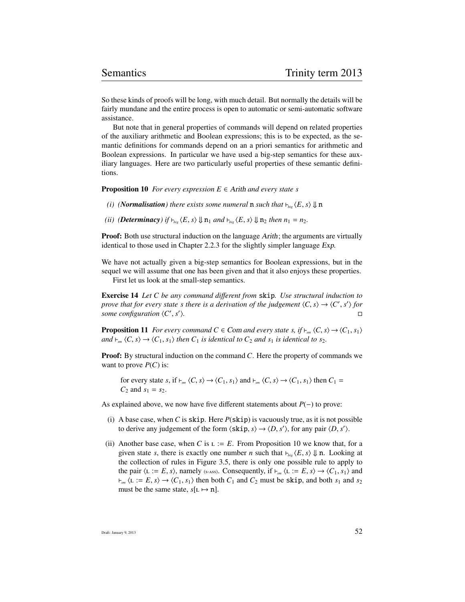So these kinds of proofs will be long, with much detail. But normally the details will be fairly mundane and the entire process is open to automatic or semi-automatic software assistance.

But note that in general properties of commands will depend on related properties of the auxiliary arithmetic and Boolean expressions; this is to be expected, as the semantic definitions for commands depend on an a priori semantics for arithmetic and Boolean expressions. In particular we have used a big-step semantics for these auxiliary languages. Here are two particularly useful properties of these semantic definitions.

**Proposition 10** *For every expression*  $E \in$  *Arith and every state s* 

- *(i) (Normalisation)* there exists some numeral **n** such that  $\nvdash_{\text{bie}} \langle E, s \rangle \Downarrow n$
- *(ii) (Determinacy) if*  $\vdash_{big} \langle E, s \rangle \Downarrow n_1$  *and*  $\vdash_{big} \langle E, s \rangle \Downarrow n_2$  *then*  $n_1 = n_2$ *.*

**Proof:** Both use structural induction on the language *Arith*; the arguments are virtually identical to those used in Chapter 2.2.3 for the slightly simpler language Exp.

We have not actually given a big-step semantics for Boolean expressions, but in the sequel we will assume that one has been given and that it also enjoys these properties.

First let us look at the small-step semantics.

Exercise 14 *Let C be any command di*ff*erent from* skip*. Use structural induction to prove that for every state s there is a derivation of the judgement*  $\langle C, s \rangle \rightarrow \langle C', s' \rangle$  *for some configuration*  $\langle C', s' \rangle$ some configuration  $\langle C', s' \rangle$ i*.*

**Proposition 11** *For every command C*  $\in$  *Com and every state s, if*  $\vdash_{sm}$   $\langle C, s \rangle \rightarrow \langle C_1, s_1 \rangle$ *and*  $\nvdash_{sm} \langle C, s \rangle \rightarrow \langle C_1, s_1 \rangle$  *then*  $C_1$  *is identical to*  $C_2$  *and*  $s_1$  *is identical to s*<sub>2</sub>*.* 

**Proof:** By structural induction on the command *C*. Here the property of commands we want to prove  $P(C)$  is:

for every state *s*, if  $\vdash_{sm} \langle C, s \rangle \rightarrow \langle C_1, s_1 \rangle$  and  $\vdash_{sm} \langle C, s \rangle \rightarrow \langle C_1, s_1 \rangle$  then  $C_1 =$  $C_2$  and  $s_1 = s_2$ .

As explained above, we now have five different statements about *P*(−) to prove:

- (i) A base case, when C is skip. Here  $P$ (skip) is vacuously true, as it is not possible to derive any judgement of the form  $\langle$ skip, *s* $\rangle \rightarrow \langle D, s' \rangle$ , for any pair  $\langle D, s' \rangle$ .
- (ii) Another base case, when *C* is  $L := E$ . From Proposition 10 we know that, for a given state *s*, there is exactly one number *n* such that  $\vdash_{big} \langle E, s \rangle \Downarrow$  n. Looking at the collection of rules in Figure 3.5, there is only one possible rule to apply to the pair  $\langle L := E, s \rangle$ , namely (s-ass). Consequently, if  $\vdash_{sm} \langle L := E, s \rangle \rightarrow \langle C_1, s_1 \rangle$  and  $\nvdash_{sm}$   $\langle L := E, s \rangle \rightarrow \langle C_1, s_1 \rangle$  then both  $C_1$  and  $C_2$  must be skip, and both  $s_1$  and  $s_2$ must be the same state,  $s[L \mapsto n]$ .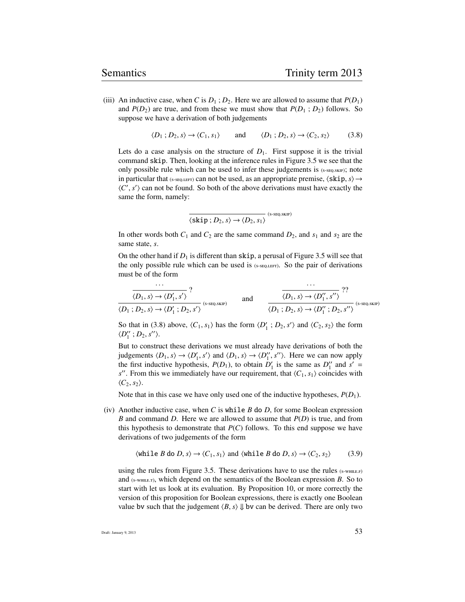(iii) An inductive case, when *C* is  $D_1$ ;  $D_2$ . Here we are allowed to assume that  $P(D_1)$ and  $P(D_2)$  are true, and from these we must show that  $P(D_1 ; D_2)$  follows. So suppose we have a derivation of both judgements

$$
\langle D_1; D_2, s \rangle \to \langle C_1, s_1 \rangle \quad \text{and} \quad \langle D_1; D_2, s \rangle \to \langle C_2, s_2 \rangle \tag{3.8}
$$

Lets do a case analysis on the structure of  $D_1$ . First suppose it is the trivial command skip. Then, looking at the inference rules in Figure 3.5 we see that the only possible rule which can be used to infer these judgements is  $(s\text{-}seq\text{-}s\text{-}k\text{-}p)$ ; note in particular that ( $s$ - $seQ,LEFT$ ) can not be used, as an appropriate premise,  $\langle$ **skip**,  $s\rangle \rightarrow$  $\langle C', s' \rangle$  can not be found. So both of the above derivations must have exactly the same the form namely: same the form, namely:

$$
\overline{\langle \text{skip };D_2,s\rangle \rightarrow \langle D_2,s_1\rangle} \quad \text{(s-seq.sKP)}
$$

In other words both  $C_1$  and  $C_2$  are the same command  $D_2$ , and  $s_1$  and  $s_2$  are the same state, *s*.

On the other hand if  $D_1$  is different than skip, a perusal of Figure 3.5 will see that the only possible rule which can be used is  $(s$ -seq.LEFT). So the pair of derivations must be of the form

$$
\frac{\overbrace{\langle D_1, s \rangle \to \langle D'_1, s' \rangle}^2}{\langle D_1, D_2, s \rangle \to \langle D'_1, D_2, s' \rangle}^2
$$
 and 
$$
\frac{\overbrace{\langle D_1, s \rangle \to \langle D''_1, s'' \rangle}^2}{\langle D_1, D_2, s \rangle \to \langle D''_1, D_2, s'' \rangle}^2
$$
 (s-seçsske)

So that in (3.8) above,  $\langle C_1, s_1 \rangle$  has the form  $\langle D'_1; D_2, s' \rangle$  and  $\langle C_2, s_2 \rangle$  the form  $\langle D'' \rangle$ ;  $D_2, s'' \rangle$  $\langle D_1''; D_2, s'' \rangle.$ 

But to construct these derivations we must already have derivations of both the judgements  $\langle D_1, s \rangle \rightarrow \langle D'_1, s' \rangle$  and  $\langle D_1, s \rangle \rightarrow \langle D''_1, s'' \rangle$ . Here we can now apply the first inductive hypothesis  $P(D_1)$  to obtain  $D'$  is the same as  $D''$  and  $s' =$ the first inductive hypothesis,  $P(D_1)$ , to obtain  $D'_1$  is the same as  $D''_1$  and  $s' =$  $s''$ . From this we immediately have our requirement, that  $\langle C_1, s_1 \rangle$  coincides with  $\langle C_2, s_2 \rangle$ .

Note that in this case we have only used one of the inductive hypotheses,  $P(D_1)$ .

(iv) Another inductive case, when *C* is while *B* do *D*, for some Boolean expression *B* and command *D*. Here we are allowed to assume that *P*(*D*) is true, and from this hypothesis to demonstrate that  $P(C)$  follows. To this end suppose we have derivations of two judgements of the form

$$
\langle \text{while } B \text{ do } D, s \rangle \to \langle C_1, s_1 \rangle \text{ and } \langle \text{while } B \text{ do } D, s \rangle \to \langle C_2, s_2 \rangle \tag{3.9}
$$

using the rules from Figure 3.5. These derivations have to use the rules  $(s$ -while. $F$ ) and  $(s\text{-wHILE}, r)$ , which depend on the semantics of the Boolean expression *B*. So to start with let us look at its evaluation. By Proposition 10, or more correctly the version of this proposition for Boolean expressions, there is exactly one Boolean value bv such that the judgement  $\langle B, s \rangle \Downarrow$  bv can be derived. There are only two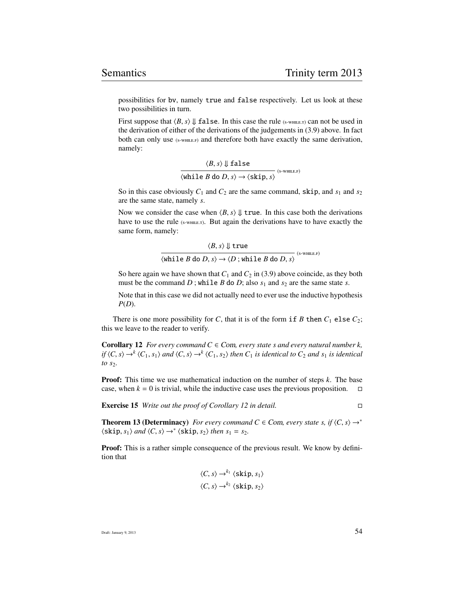possibilities for bv, namely true and false respectively. Let us look at these two possibilities in turn.

First suppose that  $\langle B, s \rangle \Downarrow$  false. In this case the rule (s-while, r) can not be used in the derivation of either of the derivations of the judgements in (3.9) above. In fact both can only use (s-WHILE.F) and therefore both have exactly the same derivation, namely:

 $\langle B, s \rangle \Downarrow \texttt{false}$ <br>  $\langle \texttt{while } B \texttt{ do } D, s \rangle \rightarrow \langle \texttt{skip}, s \rangle$  (s-while.f)

So in this case obviously  $C_1$  and  $C_2$  are the same command, skip, and  $s_1$  and  $s_2$ are the same state, namely *s*.

Now we consider the case when  $\langle B, s \rangle \parallel$  true. In this case both the derivations have to use the rule (s-WHILE.T). But again the derivations have to have exactly the same form, namely:

$$
\langle B, s \rangle \Downarrow \text{true}
$$
  

$$
\langle \text{while } B \text{ do } D, s \rangle \rightarrow \langle D; \text{while } B \text{ do } D, s \rangle
$$
  

$$
\langle s\text{-whilb } B \text{ do } D, s \rangle \rightarrow \langle D; \text{while } B \text{ do } D, s \rangle
$$

So here again we have shown that  $C_1$  and  $C_2$  in (3.9) above coincide, as they both must be the command *D*; while *B* do *D*; also  $s_1$  and  $s_2$  are the same state *s*.

Note that in this case we did not actually need to ever use the inductive hypothesis *P*(*D*).

There is one more possibility for *C*, that it is of the form if *B* then  $C_1$  else  $C_2$ ; this we leave to the reader to verify.

**Corollary 12** *For every command*  $C \in \text{Com, every state s and every natural number k,$ *if*  $\langle C, s \rangle \rightarrow^{k} \langle C_1, s_1 \rangle$  *and*  $\langle C, s \rangle \rightarrow^{k} \langle C_1, s_2 \rangle$  *then*  $C_1$  *is identical to*  $C_2$  *and*  $s_1$  *is identical to s*2*.*

Proof: This time we use mathematical induction on the number of steps *k*. The base case, when  $k = 0$  is trivial, while the inductive case uses the previous proposition.  $\square$ 

Exercise 15 *Write out the proof of Corollary 12 in detail.*

**Theorem 13 (Determinacy)** *For every command C*  $\in$  *Com, every state s, if*  $\langle C, s \rangle \rightarrow^*$  $\langle$ skip, *s*<sub>1</sub> $\rangle$  *and*  $\langle C, s \rangle \rightarrow^* \langle$ skip, *s*<sub>2</sub> $\rangle$  *then s*<sub>1</sub> = *s*<sub>2</sub>*.* 

Proof: This is a rather simple consequence of the previous result. We know by definition that

$$
\langle C, s \rangle \rightarrow^{k_1} \langle \text{skip}, s_1 \rangle
$$
  

$$
\langle C, s \rangle \rightarrow^{k_2} \langle \text{skip}, s_2 \rangle
$$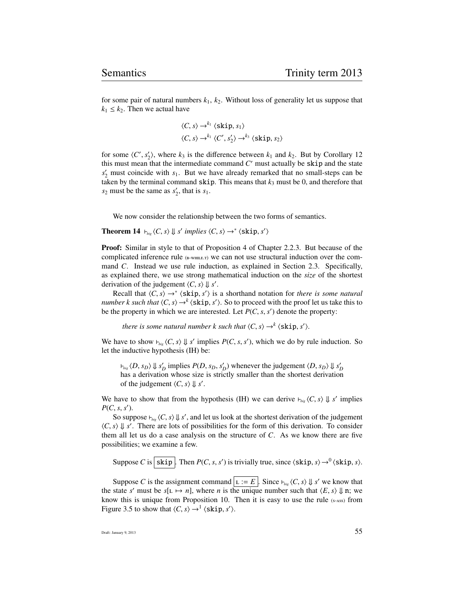for some pair of natural numbers  $k_1$ ,  $k_2$ . Without loss of generality let us suppose that  $k_1 \leq k_2$ . Then we actual have

$$
\langle C, s \rangle \rightarrow^{k_1} \langle \text{skip}, s_1 \rangle
$$
  

$$
\langle C, s \rangle \rightarrow^{k_1} \langle C', s'_2 \rangle \rightarrow^{k_3} \langle \text{skip}, s_2 \rangle
$$

for some  $\langle C', s'_2 \rangle$ , where  $k_3$  is the difference between  $k_1$  and  $k_2$ . But by Corollary 12<br>this must mean that the intermediate command  $C'$  must actually be skin and the state this must mean that the intermediate command  $C'$  must actually be skip and the state  $s'_2$  must coincide with  $s_1$ . But we have already remarked that no small-steps can be taken by the terminal command  $\sin$ . This means that  $k_3$  must be 0, and therefore that  $s_2$  must be the same as  $s_2'$ , that is  $s_1$ .

We now consider the relationship between the two forms of semantics.

**Theorem 14**  $\downarrow$   $\downarrow$ <sub>*big</sub>*  $\langle C, s \rangle \downarrow s'$  *implies*  $\langle C, s \rangle \rightarrow^* \langle \text{skip}, s' \rangle$ </sub>

**Proof:** Similar in style to that of Proposition 4 of Chapter 2.2.3. But because of the complicated inference rule  $_{(B-WHILE,T)}$  we can not use structural induction over the command *C*. Instead we use rule induction, as explained in Section 2.3. Specifically, as explained there, we use strong mathematical induction on the *size* of the shortest derivation of the judgement  $\langle C, s \rangle \Downarrow s'$ .<br>
Recall that  $\langle C, s \rangle \rightarrow^* \langle \textbf{skip } s' \rangle$  is

Recall that  $\langle C, s \rangle \rightarrow^* \langle \text{skip}, s' \rangle$  is a shorthand notation for *there is some natural*<br>there is such that  $\langle C, s \rangle \rightarrow^k \langle \text{skip}, s' \rangle$ . So to proceed with the proof let us take this to *number k such that*  $\langle C, s \rangle \rightarrow^{k} \langle \textbf{skip}, s' \rangle$ . So to proceed with the proof let us take this to be the property in which we are interested. Let  $P(C, s, s')$  denote the property: be the property in which we are interested. Let  $P(C, s, s')$  denote the property:

*there is some natural number k such that*  $\langle C, s \rangle \rightarrow^{k} \langle \text{skip}, s' \rangle$ .

We have to show  $\epsilon_{big} \langle C, s \rangle \downarrow s'$  implies  $P(C, s, s')$ , which we do by rule induction. So let the inductive hypothesis (IH) be: let the inductive hypothesis (IH) be:

 $b_{\text{big}}$   $\langle D, s_D \rangle \downarrow s_D'$  implies  $P(D, s_D, s_D')$  whenever the judgement  $\langle D, s_D \rangle \downarrow s_D'$ <br>has a derivation whose size is strictly smaller than the shortest derivation has a derivation whose size is strictly smaller than the shortest derivation of the judgement  $\langle C, s \rangle \Downarrow s'.$ 

We have to show that from the hypothesis (IH) we can derive  $\vdash_{\text{big}} \langle C, s \rangle \Downarrow s'$  implies  $P(C, s, s')$  $P(C, s, s')$ .<br>So sup

So suppose  $\vdash_{big} \langle C, s \rangle \downarrow s'$ , and let us look at the shortest derivation of the judgement  $\vdash$  $\langle C, s \rangle \Downarrow s'$ . There are lots of possibilities for the form of this derivation. To consider them all let us do a case analysis on the structure of  $C$ . As we know there are five them all let us do a case analysis on the structure of *C*. As we know there are five possibilities; we examine a few.

Suppose *C* is skip. Then *P*(*C*, *s*, *s'*) is trivially true, since  $\langle$ skip, *s* $\rangle \rightarrow$ <sup>0</sup> $\langle$ skip, *s* $\rangle$ .

Suppose *C* is the assignment command  $\boxed{L := E}$ . Since  $\vdash_{big} \langle C, s \rangle \Downarrow s'$  we know that state  $s'$  must be  $s[t] \mapsto n!$  where *n* is the unique number such that  $\langle E, s \rangle \parallel n$ ; we the state *s'* must be  $s[L \rightarrow n]$ , where *n* is the unique number such that  $\langle E, s \rangle \Downarrow n$ ; we know this is unique from Proposition 10. Then it is easy to use the rule  $(s, \infty)$  from know this is unique from Proposition 10. Then it is easy to use the rule  $(s<sub>-ASS</sub>)$  from Figure 3.5 to show that  $\langle C, s \rangle \rightarrow^1 \langle \text{skip}, s' \rangle$ .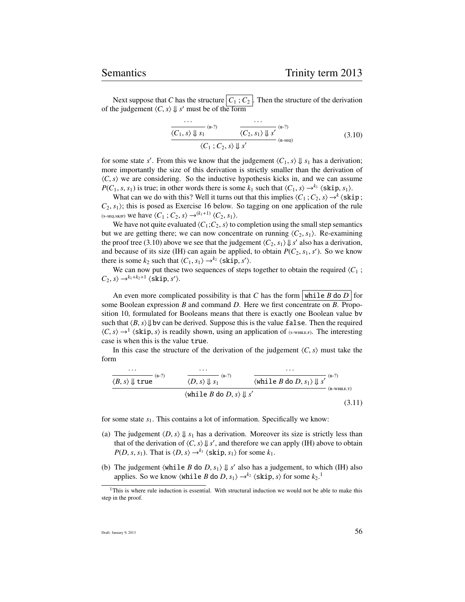Next suppose that *C* has the structure  $|C_1; C_2|$ . Then the structure of the derivation of the judgement  $\langle C, s \rangle \Downarrow s'$  must be of the form

$$
\frac{\overbrace{\langle C_1, s \rangle \Downarrow s_1}^{(\text{B-2})} \quad \overbrace{\langle C_2, s_1 \rangle \Downarrow s'}^{(\text{B-2})}^{(\text{B-2})}}{\langle C_1; C_2, s \rangle \Downarrow s'}^{\text{(B-SEQ)}} \tag{3.10}
$$

for some state *s'*. From this we know that the judgement  $\langle C_1, s \rangle \downarrow s_1$  has a derivation;<br>more importantly the size of this derivation is strictly smaller than the derivation of more importantly the size of this derivation is strictly smaller than the derivation of  $\langle C, s \rangle$  we are considering. So the inductive hypothesis kicks in, and we can assume *P*(*C*<sub>1</sub>, *s*, *s*<sub>1</sub>) is true; in other words there is some  $k_1$  such that  $\langle C_1, s \rangle \rightarrow^{k_1} \langle \text{skip}, s_1 \rangle$ .

What can we do with this? Well it turns out that this implies  $\langle C_1; C_2, s \rangle \rightarrow k \langle \text{skip } ;$ <br>s. *S*: this is posed as Exercise 16 below. So tagging on one application of the rule  $C_2$ ,  $s_1$ ; this is posed as Exercise 16 below. So tagging on one application of the rule  $(s\text{-}seQ,\text{-}swW)$  we have  $\langle C_1 ; C_2, s \rangle \rightarrow (k_1+1) \langle C_2, s_1 \rangle$ .

We have not quite evaluated  $\langle C_1; C_2, s \rangle$  to completion using the small step semantics but we are getting there; we can now concentrate on running  $\langle C_2, s_1 \rangle$ . Re-examining the proof tree (3.10) above we see that the judgement  $\langle C_2, s_1 \rangle \downarrow s'$  also has a derivation,<br>and because of its size (JH) can again be applied, to obtain  $P(C_2, s_1, s')$ . So we know and because of its size (IH) can again be applied, to obtain  $P(C_2, s_1, s')$ . So we know there is some  $k_2$  such that  $\langle C_1, s_1 \rangle \rightarrow k_2 \langle \text{skip}, s' \rangle$ .<br>We can now put these two sequences of steps

We can now put these two sequences of steps together to obtain the required  $\langle C_1$ ;  $C_2$ , *s* $\rangle \rightarrow^{k_1+k_2+1} \langle$ **skip**, *s'* $\rangle$ .

An even more complicated possibility is that *C* has the form while *B* do *D* for some Boolean expression *B* and command *D*. Here we first concentrate on *B*. Proposition 10, formulated for Booleans means that there is exactly one Boolean value bv such that  $\langle B, s \rangle \downarrow$  by can be derived. Suppose this is the value false. Then the required  $\langle C, s \rangle \rightarrow^{1}$   $\langle$  skip, *s*) is readily shown, using an application of (s-while.). The interesting case is when this is the value true case is when this is the value true.

In this case the structure of the derivation of the judgement  $\langle C, s \rangle$  must take the form

$$
\frac{\langle B, s \rangle \Downarrow \text{true}}{\langle B, s \rangle \Downarrow \text{true}} \xrightarrow{\text{(B-2)}} \frac{\langle D, s \rangle \Downarrow s_1}{\langle D, s \rangle \Downarrow s_1} \xrightarrow{\text{(B-2)}} \frac{\langle \text{while } B \text{ do } D, s_1 \rangle \Downarrow s'}{\langle \text{while } B \text{ do } D, s \rangle \Downarrow s'}
$$
\n
$$
\xrightarrow{\text{(B-WHILE, T)}} \text{(B-WHILE, T)}} \tag{3.11}
$$

for some state *s*1. This contains a lot of information. Specifically we know:

- (a) The judgement  $\langle D, s \rangle \Downarrow s_1$  has a derivation. Moreover its size is strictly less than that of the derivation of  $\langle C, s \rangle \downarrow s'$ , and therefore we can apply (IH) above to obtain  $P(D, s, s_1)$ . That is  $\langle D, s \rangle \rightarrow^{k_1} \langle \text{skin } s_1 \rangle$  for some  $k_1$ . *P*(*D*, *s*, *s*<sub>1</sub>). That is  $\langle D, s \rangle \rightarrow^{k_1} \langle \textbf{skip}, s_1 \rangle$  for some  $k_1$ .
- (b) The judgement  $\{\text{while } B \text{ do } D, s_1\} \Downarrow s'$  also has a judgement, to which (IH) also applies So we know  $\{\text{while } B \text{ do } D, s_1\} \Downarrow s'$  (skin, s) for some  $k_2^{-1}$ applies. So we know  $\langle \text{while } B \text{ do } D, s_1 \rangle \rightarrow k_2 \langle \text{skip}, s \rangle \text{ for some } k_2.$ <sup>1</sup>

 $1$ This is where rule induction is essential. With structural induction we would not be able to make this step in the proof.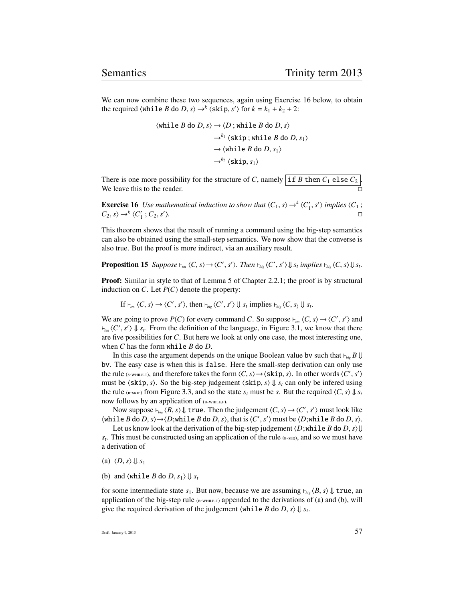We can now combine these two sequences, again using Exercise 16 below, to obtain the required  $\langle \text{while } B \text{ do } D, s \rangle \rightarrow^k \langle \text{skip}, s' \rangle \text{ for } k = k_1 + k_2 + 2$ :

$$
\langle \text{while } B \text{ do } D, s \rangle \rightarrow \langle D; \text{while } B \text{ do } D, s \rangle
$$

$$
\rightarrow^{k_1} \langle \text{skip}; \text{while } B \text{ do } D, s_1 \rangle
$$

$$
\rightarrow \langle \text{while } B \text{ do } D, s_1 \rangle
$$

$$
\rightarrow^{k_2} \langle \text{skip}, s_1 \rangle
$$

There is one more possibility for the structure of *C*, namely if *B* then  $C_1$  else  $C_2$ . We leave this to the reader.

**Exercise 16** *Use mathematical induction to show that*  $\langle C_1, s \rangle \rightarrow^{k} \langle C'_1, s' \rangle$  *implies*  $\langle C_1, C_2, s' \rangle \rightarrow^{k} \langle C'_1, C'_2, s' \rangle$  $C_2$ , *s*)  $\rightarrow$ <sup>*k*</sup>  $\langle C'_1; C_2, s' \rangle$ i*.*

This theorem shows that the result of running a command using the big-step semantics can also be obtained using the small-step semantics. We now show that the converse is also true. But the proof is more indirect, via an auxiliary result.

# **Proposition 15** Suppose  $\vdash_{sm} \langle C, s \rangle \rightarrow \langle C', s' \rangle$ . Then  $\vdash_{big} \langle C', s' \rangle \Downarrow s_t$  implies  $\vdash_{big} \langle C, s \rangle \Downarrow s_t$ .

**Proof:** Similar in style to that of Lemma 5 of Chapter 2.2.1; the proof is by structural induction on  $C$ . Let  $P(C)$  denote the property:

If  $\vdash_{sm} \langle C, s \rangle \rightarrow \langle C', s' \rangle$ , then  $\vdash_{bsg} \langle C', s' \rangle \Downarrow s_t$  implies  $\vdash_{bsg} \langle C, s \rangle \Downarrow s_t$ .

We are going to prove *P*(*C*) for every command *C*. So suppose  $\vdash_{sm}$   $\langle C, s \rangle \rightarrow \langle C', s' \rangle$  and  $\vdash_{\neg}$  *s*<sup>1</sup>. From the definition of the language, in Figure 3.1, we know that there  $\mu_{big}$   $\langle C', s' \rangle \Downarrow s_t$ . From the definition of the language, in Figure 3.1, we know that there are five possibilities for C. But here we look at only one case, the most interesting one are five possibilities for *C*. But here we look at only one case, the most interesting one, when *C* has the form while *B* do *D*.

In this case the argument depends on the unique Boolean value by such that  $\mathbf{r}_{\text{bie}} B \mathbf{\downarrow}$ bv. The easy case is when this is false. Here the small-step derivation can only use the rule ( $s$ -wHILE,T), and therefore takes the form  $\langle C, s \rangle \rightarrow \langle \text{skip}, s \rangle$ . In other words  $\langle C', s' \rangle$ <br>must be  $\langle \text{skip}, s \rangle$ . So the hig-step judgement  $\langle \text{skip}, s \rangle$ . If  $s$ , can only be infered using must be  $\langle$ skip, *s* $\rangle$ . So the big-step judgement  $\langle$ skip, *s* $\rangle$   $\downarrow$  *s<sub>t</sub>* can only be infered using the rule (B-SKIP) from Figure 3.3, and so the state  $s_t$  must be *s*. But the required  $\langle C, s \rangle \downarrow s_t$ now follows by an application of  $(B-WHILE.F)$ .

Now suppose  $\vdash_{big} \langle B, s \rangle \Downarrow$  true. Then the judgement  $\langle C, s \rangle \rightarrow \langle C', s' \rangle$  must look like  $\langle$ while *B* do *D*, *s*)  $\rightarrow$   $\langle$ *D*;while *B* do *D*, *s*), that is  $\langle C', s' \rangle$  must be  $\langle D;$ while *B* do *D*, *s*).

Let us know look at the derivation of the big-step judgement  $\langle D; \text{while } B \text{ do } D, s \rangle \downarrow$  $s_t$ . This must be constructed using an application of the rule ( $s$ -seo), and so we must have a derivation of

(a)  $\langle D, s \rangle \Downarrow s_1$ 

(b) and  $\langle$ while *B* do *D*,  $s_1$ )  $\Downarrow$   $s_t$ 

for some intermediate state  $s_1$ . But now, because we are assuming  $\vdash_{\text{bie}} \langle B, s \rangle \Downarrow$  true, an application of the big-step rule  $_{(B-WHILE, T)}$  appended to the derivations of (a) and (b), will give the required derivation of the judgement  $\langle \text{while } B \text{ do } D, s \rangle \downarrow s_t$ .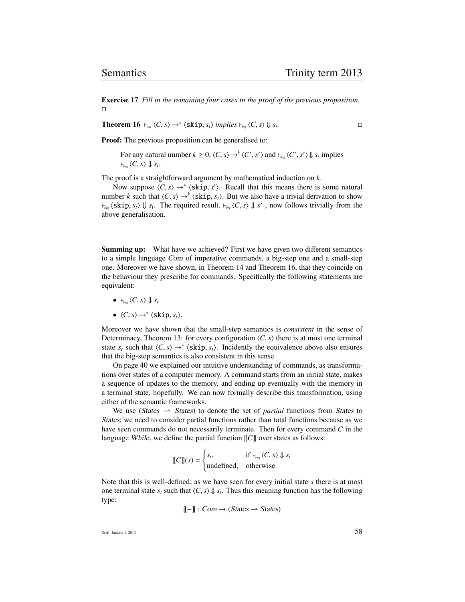Exercise 17 *Fill in the remaining four cases in the proof of the previous proposition.*  $\Box$ 

**Theorem 16**  $\vdash_{sm} \langle C, s \rangle \rightarrow^* \langle \text{skip}, s_t \rangle$  *implies*  $\vdash_{big} \langle C, s \rangle \Downarrow s_t$ *.*

**Proof:** The previous proposition can be generalised to:

For any natural number  $k \ge 0$ ,  $\langle C, s \rangle \rightarrow^{k} \langle C', s' \rangle$  and  $\vdash_{\text{big}} \langle C', s' \rangle \Downarrow s_t$  implies  $\nvdash_{big} \langle C, s \rangle \Downarrow s_t.$ 

The proof is a straightforward argument by mathematical induction on *k*.

Now suppose  $\langle C, s \rangle \rightarrow^* \langle \text{skip}, s' \rangle$ . Recall that this means there is some natural that  $\langle C, s \rangle \rightarrow^k \langle \text{skip}, s \rangle$ . But we also have a trivial derivation to show number *k* such that  $\langle C, s \rangle \rightarrow k \langle \text{skip}, s_t \rangle$ . But we also have a trivial derivation to show  $\mu_{\text{big}}$  (skip,  $s_t$ )  $\Downarrow$   $s_t$ . The required result,  $\mu_{\text{big}}$   $\langle C, s \rangle$   $\Downarrow$  *s'*, now follows trivially from the above generalisation.

Summing up: What have we achieved? First we have given two different semantics to a simple language Com of imperative commands, a big-step one and a small-step one. Moreover we have shown, in Theorem 14 and Theorem 16, that they coincide on the behaviour they prescribe for commands. Specifically the following statements are equivalent:

- $\vdash_{big} \langle C, s \rangle \Downarrow s_t$
- $\langle C, s \rangle \rightarrow^* \langle \text{skip}, s_t \rangle.$

Moreover we have shown that the small-step semantics is *consistent* in the sense of Determinacy, Theorem 13: for every configuration  $\langle C, s \rangle$  there is at most one terminal state  $s_t$  such that  $\langle C, s \rangle \rightarrow^* \langle \textbf{skip}, s_t \rangle$ . Incidently the equivalence above also ensures that the big-step semantics is also consistent in this sense. that the big-step semantics is also consistent in this sense.

On page 40 we explained our intuitive understanding of commands, as transformations over states of a computer memory. A command starts from an initial state, makes a sequence of updates to the memory, and ending up eventually with the memory in a terminal state, hopefully. We can now formally describe this transformation, using either of the semantic frameworks.

We use (States  $\rightarrow$  States) to denote the set of *partial* functions from States to States; we need to consider partial functions rather than total functions because as we have seen commands do not necessarily terminate. Then for every command *C* in the language While, we define the partial function [[*C*]] over states as follows:

$$
\llbracket C \rrbracket(s) = \begin{cases} s_t, & \text{if } \vdash_{\textit{big}} \langle C, s \rangle \Downarrow s_t \\ \text{undefined}, & \text{otherwise} \end{cases}
$$

Note that this is well-defined; as we have seen for every initial state *s* there is at most one terminal state  $s_t$  such that  $\langle C, s \rangle \downarrow s_t$ . Thus this meaning function has the following type: type:

$$
[\![ - ]\!] : Com \to (States \to States)
$$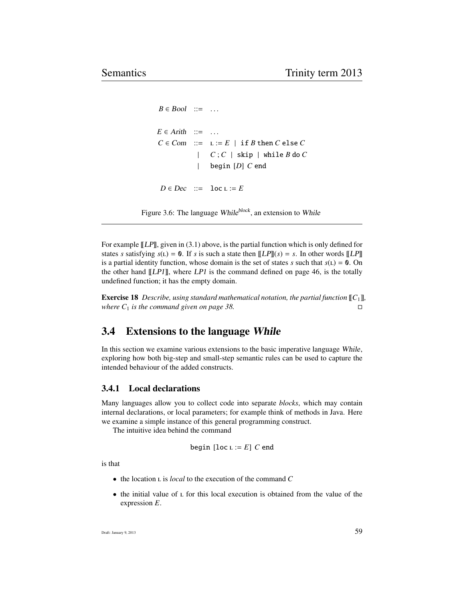```
B \in Bool ::= ...
E \in Arith ::= ...
C \in Com ::= L := E | \text{if } B \text{ then } C \text{ else } C| C; C | skip | while B do C
             | begin [D] C end
 D \in Dec ::= loc L := E
```
Figure 3.6: The language While<sup>block</sup>, an extension to While

For example  $\llbracket LPI \rrbracket$ , given in (3.1) above, is the partial function which is only defined for states *s* satisfying  $s(L) = 0$ . If *s* is such a state then  $[LP][(s) = s$ . In other words  $[LP]]$ is a partial identity function, whose domain is the set of states *s* such that  $s(L) = 0$ . On the other hand  $[[LP1]]$ , where  $LP1$  is the command defined on page 46, is the totally undefined function; it has the empty domain.

**Exercise 18** *Describe, using standard mathematical notation, the partial function*  $\llbracket C_1 \rrbracket$ *, where*  $C_1$  *is the command given on page 38.* 

## 3.4 Extensions to the language While

In this section we examine various extensions to the basic imperative language While, exploring how both big-step and small-step semantic rules can be used to capture the intended behaviour of the added constructs.

#### 3.4.1 Local declarations

Many languages allow you to collect code into separate *blocks*, which may contain internal declarations, or local parameters; for example think of methods in Java. Here we examine a simple instance of this general programming construct.

The intuitive idea behind the command

begin [loc 
$$
L := E
$$
] C end

is that

- the location **L** is *local* to the execution of the command *C*
- $\bullet$  the initial value of  $\epsilon$  for this local execution is obtained from the value of the expression *E*.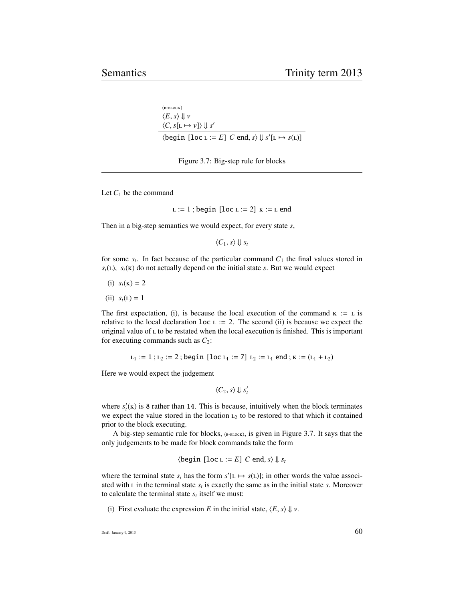```
(B-BLOCK)\langle E, s \rangle \Downarrow v\langle C, s[1 \mapsto v] \rangle \Downarrow s'\langle \text{begin } [loc \ L := E] \ C \text{ end}, s \rangle \Downarrow s'[L \mapsto s(L)]
```
Figure 3.7: Big-step rule for blocks

Let  $C_1$  be the command

 $L := 1$ ; begin [loc  $L := 2$ ]  $K := L$  end

Then in a big-step semantics we would expect, for every state *s*,

 $\langle C_1, s \rangle \parallel s_t$ 

for some  $s_t$ . In fact because of the particular command  $C_1$  the final values stored in  $s_t$ (**L**),  $s_t$ (**K**) do not actually depend on the initial state *s*. But we would expect

- (i)  $s_t(\mathbf{k}) = 2$
- $(ii) s<sub>t</sub>(L) = 1$

The first expectation, (i), is because the local execution of the command  $\kappa := L$  is relative to the local declaration  $loc \t i = 2$ . The second (ii) is because we expect the original value of  $\iota$  to be restated when the local execution is finished. This is important for executing commands such as  $C_2$ :

 $L_1 := 1$ ;  $L_2 := 2$ ; begin [loc  $L_1 := 7$ ]  $L_2 := L_1$  end;  $K := (L_1 + L_2)$ 

Here we would expect the judgement

 $\langle C_2, s \rangle \Downarrow s'_t$ 

where  $s'_t(\mathbf{k})$  is 8 rather than 14. This is because, intuitively when the block terminates we expect the value stored in the location  $L_2$  to be restored to that which it contained prior to the block executing.

A big-step semantic rule for blocks,  $_{(B-BLOCK)}$ , is given in Figure 3.7. It says that the only judgements to be made for block commands take the form

$$
\langle \text{begin } [loc \ L := E] C \text{ end}, s \rangle \Downarrow s_t
$$

where the terminal state  $s_t$  has the form  $s'[L \mapsto s(L)]$ ; in other words the value associated with  $L$  in the terminal state  $s_t$  is exactly the same as in the initial state  $s$ . Moreover to calculate the terminal state  $s_t$  itself we must:

(i) First evaluate the expression *E* in the initial state,  $\langle E, s \rangle \Downarrow v$ .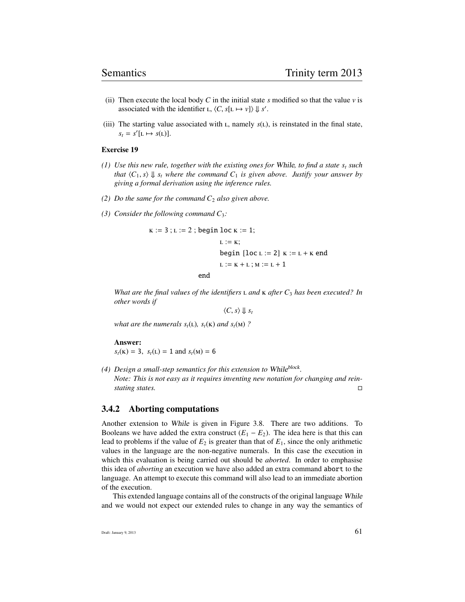- (ii) Then execute the local body  $C$  in the initial state  $s$  modified so that the value  $v$  is associated with the identifier  $L$ ,  $\langle C, s[L \mapsto v] \rangle \downarrow s'.$
- (iii) The starting value associated with  $L$ , namely  $s(L)$ , is reinstated in the final state,  $s_t = s'[L \mapsto s(L)].$

#### Exercise 19

- *(1) Use this new rule, together with the existing ones for* While*, to find a state s<sup>t</sup> such that*  $\langle C_1, s \rangle \Downarrow s_t$  *where the command*  $C_1$  *is given above. Justify your answer by giving a formal derivation using the inference rules.*
- *(2) Do the same for the command*  $C_2$  *also given above.*
- *(3) Consider the following command C*3*:*

$$
K := 3; L := 2; begin loc K := 1; \\
L := K; \\
begin{aligned}\nL := K; \\
\text{begin } [loc L := 2] & K := L + K \text{ end} \\
L := K + L; M := L + 1\n\end{aligned}
$$

end

*What are the final values of the identifiers*  $L$  *and*  $K$  *after*  $C_3$  *has been executed? In other words if*

 $\langle C, s \rangle \Downarrow s_t$ 

*what are the numerals*  $s_t(L)$ *,*  $s_t(K)$  *and*  $s_t(M)$  ?

#### Answer:

 $s_t(\mathbf{k}) = 3$ ,  $s_t(\mathbf{k}) = 1$  and  $s_t(\mathbf{m}) = 6$ 

(4) Design a small-step semantics for this extension to While<sup>block</sup>. *Note: This is not easy as it requires inventing new notation for changing and reinstating states.*

#### 3.4.2 Aborting computations

Another extension to While is given in Figure 3.8. There are two additions. To Booleans we have added the extra construct  $(E_1 - E_2)$ . The idea here is that this can lead to problems if the value of  $E_2$  is greater than that of  $E_1$ , since the only arithmetic values in the language are the non-negative numerals. In this case the execution in which this evaluation is being carried out should be *aborted*. In order to emphasise this idea of *aborting* an execution we have also added an extra command abort to the language. An attempt to execute this command will also lead to an immediate abortion of the execution.

This extended language contains all of the constructs of the original language While and we would not expect our extended rules to change in any way the semantics of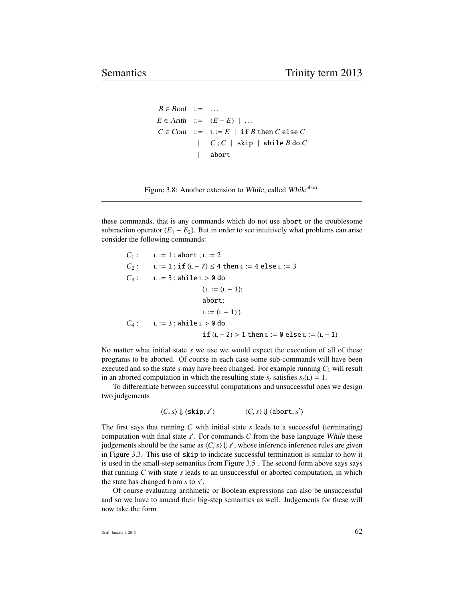```
B \in Bool ::= ...
E ∈ Arith ::= (E - E) | ...
C \in Com ::= L := E | \text{if } B \text{ then } C \text{ else } C| C : C | skip | while B do C
                  | abort
```
Figure 3.8: Another extension to While, called While<sup>abort</sup>

these commands, that is any commands which do not use abort or the troublesome subtraction operator  $(E_1 - E_2)$ . But in order to see intuitively what problems can arise consider the following commands:

```
C_1 : L := 1; abort; L := 2C_2: L := 1; if (L - 7) \le 4 then L := 4 else L := 3C_3: L := 3; while L > 0 do
                      (L := (L - 1);abort;
                      L := (L - 1)C_4: L := 3; while L > 0 do
                      if (L - 2) > 1 then L := 0 else L := (L - 1)
```
No matter what initial state *s* we use we would expect the execution of all of these programs to be aborted. Of course in each case some sub-commands will have been executed and so the state *s* may have been changed. For example running  $C_1$  will result in an aborted computation in which the resulting state  $s_t$  satisfies  $s_t(L) = 1$ .

To differentiate between successful computations and unsuccessful ones we design two judgements

```
\langle C, s \rangle \Downarrow \langleskip, s'
                                        \langle C, s \rangle \Downarrow \langle \text{abort}, s' \rangle
```
The first says that running *C* with initial state *s* leads to a successful (terminating) computation with final state  $s'$ . For commands  $C$  from the base language While these judgements should be the same as  $\langle C, s \rangle \downarrow s'$ , whose inference inference rules are given<br>in Figure 3.3. This use of skip to indicate successful termination is similar to how it in Figure 3.3. This use of skip to indicate successful termination is similar to how it is used in the small-step semantics from Figure 3.5 . The second form above says says that running *C* with state *s* leads to an unsuccessful or aborted computation, in which the state has changed from  $s$  to  $s'$ .

Of course evaluating arithmetic or Boolean expressions can also be unsuccessful and so we have to amend their big-step semantics as well. Judgements for these will now take the form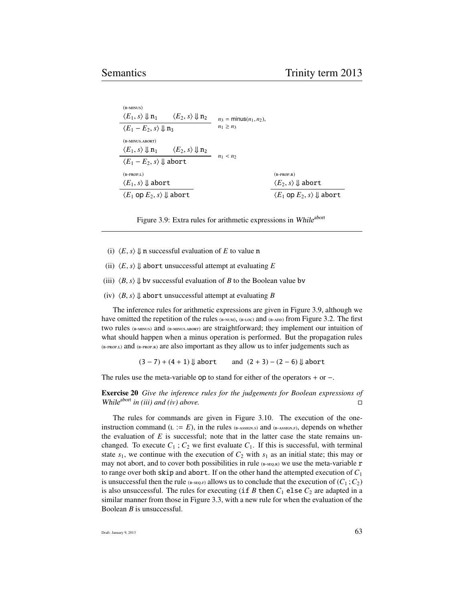$$
\frac{\langle E_1, s \rangle \downarrow n_1 \quad \langle E_2, s \rangle \downarrow n_2}{\langle E_1 - E_2, s \rangle \downarrow n_3} \quad n_3 = \min \{n_1, n_2\},
$$
\n
$$
\frac{\langle E_1 - E_2, s \rangle \downarrow n_3}{\langle E_1, s \rangle \downarrow n_1 \quad \langle E_2, s \rangle \downarrow n_2} \quad n_1 \ge n_3
$$
\n
$$
\frac{\langle E_1, s \rangle \downarrow n_1 \quad \langle E_2, s \rangle \downarrow n_2}{\langle E_1 - E_2, s \rangle \downarrow \text{ abort}} \quad n_1 < n_2
$$
\n
$$
\frac{\langle E_1, s \rangle \downarrow \text{abort}}{\langle E_1, s \rangle \downarrow \text{abort}} \quad \frac{\langle E_2, s \rangle \downarrow \text{abort}}{\langle E_2, s \rangle \downarrow \text{abort}} \quad \frac{\langle E_2, s \rangle \downarrow \text{abort}}{\langle E_1 \text{OP } E_2, s \rangle \downarrow \text{abort}}
$$

Figure 3.9: Extra rules for arithmetic expressions in While<sup>abort</sup>

- (i)  $\langle E, s \rangle \downarrow$  n successful evaluation of *E* to value n
- (ii)  $\langle E, s \rangle \downarrow$  abort unsuccessful attempt at evaluating *E*
- (iii)  $\langle B, s \rangle \downarrow$  bv successful evaluation of *B* to the Boolean value bv
- (iv)  $\langle B, s \rangle$   $\downarrow$  **abort unsuccessful attempt at evaluating** *B*

The inference rules for arithmetic expressions are given in Figure 3.9, although we have omitted the repetition of the rules  $_{(B-NUM)}$ ,  $_{(B-LOC)}$  and  $_{(B-ADD)}$  from Figure 3.2. The first two rules (B-MINUS) and (B-MINUS.ABORT) are straightforward; they implement our intuition of what should happen when a minus operation is performed. But the propagation rules  $_{(B-PROP.L)}$  and  $_{(B-PROP.R)}$  are also important as they allow us to infer judgements such as

 $(3-7) + (4+1) \Downarrow$  abort and  $(2+3) - (2-6) \Downarrow$  abort

The rules use the meta-variable op to stand for either of the operators + or −.

Exercise 20 *Give the inference rules for the judgements for Boolean expressions of* While<sup>abort</sup> in (iii) and (iv) above.

The rules for commands are given in Figure 3.10. The execution of the oneinstruction command  $(L := E)$ , in the rules (B-ASSIGN.S) and (B-ASSIGN.F), depends on whether the evaluation of  $E$  is successful; note that in the latter case the state remains unchanged. To execute  $C_1$ ;  $C_2$  we first evaluate  $C_1$ . If this is successful, with terminal state  $s_1$ , we continue with the execution of  $C_2$  with  $s_1$  as an initial state; this may or may not abort, and to cover both possibilities in rule  $_{(B-SEQ,R)}$  we use the meta-variable r to range over both skip and abort. If on the other hand the attempted execution of *C*<sup>1</sup> is unsuccessful then the rule ( $_{\text{B-SEQ.F}}$ ) allows us to conclude that the execution of ( $C_1$ ;  $C_2$ ) is also unsuccessful. The rules for executing (if *B* then  $C_1$  else  $C_2$  are adapted in a similar manner from those in Figure 3.3, with a new rule for when the evaluation of the Boolean *B* is unsuccessful.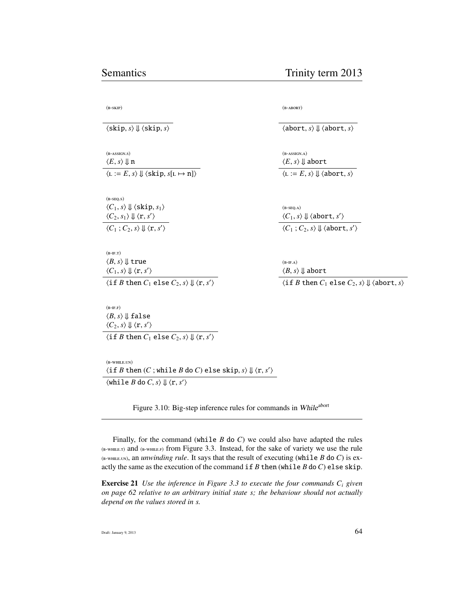$(B-SKIP)$ 

 $\langle$ skip, *s* $\rangle$   $\downarrow$   $\langle$ skip, *s* $\rangle$ 

 $(B-ASSIGN.S)$  $\langle E, s \rangle \Downarrow$  n  $\langle L := E, s \rangle \Downarrow \langle \text{skip}, s[L \mapsto n] \rangle$ 

 $(B-SEQ.S)$  $\langle C_1, s \rangle \Downarrow \langle$ skip,  $s_1 \rangle$  $\langle C_2, s_1 \rangle \Downarrow \langle \mathbf{r}, s' \rangle$  $\langle C_1 ; C_2, s \rangle \Downarrow \langle \mathbf{r}, s' \rangle$ 

 $(B-IF.T)$  $\langle B, s \rangle \Downarrow$  true  $\langle C_1, s \rangle \Downarrow \langle \mathbf{r}, s' \rangle$  $\langle$  if *B* then *C*<sub>1</sub> else *C*<sub>2</sub>, *s* $\rangle \Downarrow \langle \mathbf{r}, s' \rangle$ 

 $(B-IF.F)$  $\langle B, s \rangle \Downarrow$  false  $\langle C_2, s \rangle \Downarrow \langle \mathbf{r}, s' \rangle$  $\langle$  if *B* then *C*<sub>1</sub> else *C*<sub>2</sub>, *s* $\rangle \Downarrow \langle \mathbf{r}, s' \rangle$ 

 $(B-WHILE, UN)$  $\langle$ if *B* then  $(C$ ; while *B* do *C*) else skip,  $s$ </sub>  $\Downarrow$   $\langle$ r,  $s'$   $\rangle$  $\langle \text{while } B \text{ do } C, s \rangle \Downarrow \langle \textbf{r}, s' \rangle$ 

Figure 3.10: Big-step inference rules for commands in While<sup>abort</sup>

Finally, for the command (while *B* do *C*) we could also have adapted the rules  $_{(B-WHILE,T)}$  and  $_{(B-WHILE,F)}$  from Figure 3.3. Instead, for the sake of variety we use the rule  $(n-$ VHILE.UN), an *unwinding rule*. It says that the result of executing (while *B* do *C*) is exactly the same as the execution of the command if  $B$  then (while  $B$  do  $C$ ) else skip.

Exercise 21 *Use the inference in Figure 3.3 to execute the four commands C<sup>i</sup> given on page 62 relative to an arbitrary initial state s; the behaviour should not actually depend on the values stored in s.*

 $(B-ABORT)$ 

 $\langle$ abort, *s* $\rangle$   $\parallel$   $\langle$ abort, *s* $\rangle$ 

 $(B-ASSIGN.A)$  $\langle E, s \rangle \Downarrow$  abort  $\langle L := E, s \rangle \Downarrow \langle \text{abort}, s \rangle$ 

 $(B-SEQ.A)$  $\langle C_1, s \rangle \Downarrow \langle \text{abort}, s' \rangle$  $\langle C_1 ; C_2, s \rangle \Downarrow \langle \text{abort}, s' \rangle$ 

 $(B-IF.A)$  $\langle B, s \rangle \Downarrow$  abort

 $\langle$  if *B* then *C*<sub>1</sub> else *C*<sub>2</sub>, *s* $\rangle$   $\Downarrow$   $\langle$  abort, *s* $\rangle$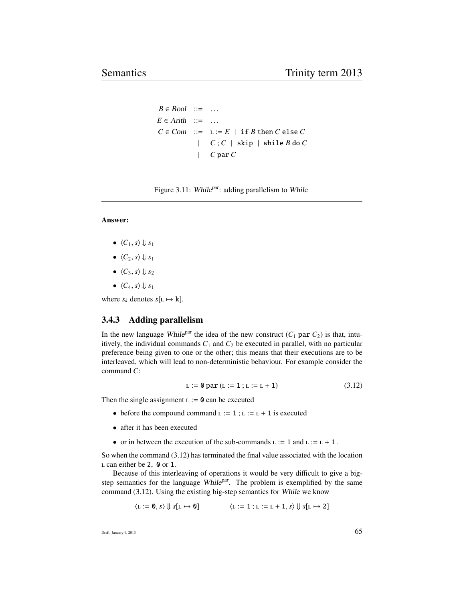```
B \in Bool ::= ...
E \in \text{Arith} ::= ...
C \in Com ::= L := E | \text{if } B \text{ then } C \text{ else } C| C; C | skip | while B do C
              | C par C
```
Figure 3.11: While $P<sup>par</sup>$ : adding parallelism to While

#### Answer:

- $\langle C_1, s \rangle \Downarrow s_1$
- $\langle C_2, s \rangle \Downarrow s_1$
- $\langle C_3, s \rangle \Downarrow s_2$
- $\langle C_4, s \rangle \Downarrow s_1$

where  $s_k$  denotes  $s[L \mapsto k]$ .

### 3.4.3 Adding parallelism

In the new language While<sup>par</sup> the idea of the new construct  $(C_1$  par  $C_2$ ) is that, intuitively, the individual commands  $C_1$  and  $C_2$  be executed in parallel, with no particular preference being given to one or the other; this means that their executions are to be interleaved, which will lead to non-deterministic behaviour. For example consider the command *C*:

$$
L := 0 \text{ par } (L := 1; L := L + 1)
$$
 (3.12)

Then the single assignment  $L := 0$  can be executed

- before the compound command  $L := 1$ ;  $L := L + 1$  is executed
- after it has been executed
- or in between the execution of the sub-commands  $L := 1$  and  $L := L + 1$ .

So when the command (3.12) has terminated the final value associated with the location  $L$  can either be 2, 0 or 1.

Because of this interleaving of operations it would be very difficult to give a bigstep semantics for the language While $P<sup>ar</sup>$ . The problem is exemplified by the same command (3.12). Using the existing big-step semantics for While we know

$$
\langle L := 0, s \rangle \Downarrow s[L \mapsto 0] \qquad \qquad \langle L := 1; L := L + 1, s \rangle \Downarrow s[L \mapsto 2]
$$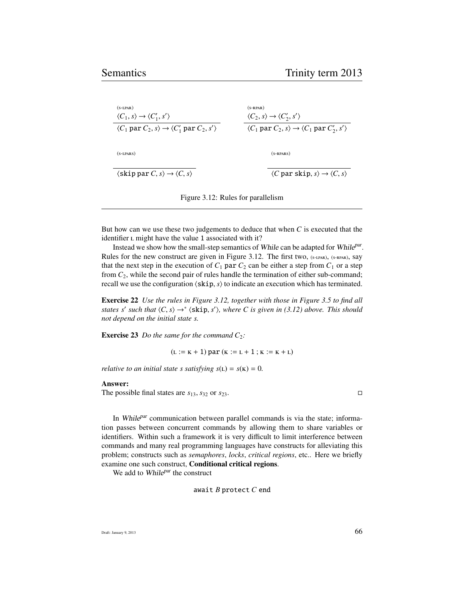| $(S-LPAR)$<br>$\langle C_1, s \rangle \rightarrow \langle C'_1, s' \rangle$       | $(S-RPAR)$<br>$\langle C_2, s \rangle \rightarrow \langle C'_2, s' \rangle$             |
|-----------------------------------------------------------------------------------|-----------------------------------------------------------------------------------------|
| $\langle C_1$ par $C_2, s \rangle \rightarrow \langle C_1'$ par $C_2, s' \rangle$ | $\langle C_1$ par $C_2$ , $s \rangle \rightarrow \langle C_1$ par $C'_2$ , $s' \rangle$ |
| $(S-LPARS)$                                                                       | $(s$ -RPARS)                                                                            |
| $\langle$ skip par $C, s \rangle \rightarrow \langle C, s \rangle$                | $\langle C$ par skip, $s \rangle \rightarrow \langle C, s \rangle$                      |



But how can we use these two judgements to deduce that when *C* is executed that the identifier L might have the value 1 associated with it?

Instead we show how the small-step semantics of While can be adapted for While<sup>par</sup>. Rules for the new construct are given in Figure 3.12. The first two, (S-LPAR), (S-RPAR), Say that the next step in the execution of  $C_1$  par  $C_2$  can be either a step from  $C_1$  or a step from  $C_2$ , while the second pair of rules handle the termination of either sub-command; recall we use the configuration  $\langle$ skip,  $s$  $\rangle$  to indicate an execution which has terminated.

Exercise 22 *Use the rules in Figure 3.12, together with those in Figure 3.5 to find all states s'* such that  $\langle C, s \rangle \rightarrow^* \langle \text{skip}, s' \rangle$ , where C is given in (3.12) above. This should not denend on the initial state s *not depend on the initial state s.*

**Exercise 23** *Do the same for the command*  $C_2$ *:* 

 $(L := K + 1)$  par  $(K := L + 1; K := K + L)$ 

*relative to an initial state s satisfying*  $s(L) = s(K) = 0$ .

#### Answer:

The possible final states are  $s_{13}$ ,  $s_{32}$  or  $s_{23}$ .

In While<sup>par</sup> communication between parallel commands is via the state; information passes between concurrent commands by allowing them to share variables or identifiers. Within such a framework it is very difficult to limit interference between commands and many real programming languages have constructs for alleviating this problem; constructs such as *semaphores*, *locks*, *critical regions*, etc.. Here we briefly examine one such construct, Conditional critical regions.

We add to While<sup>par</sup> the construct

await *B* protect *C* end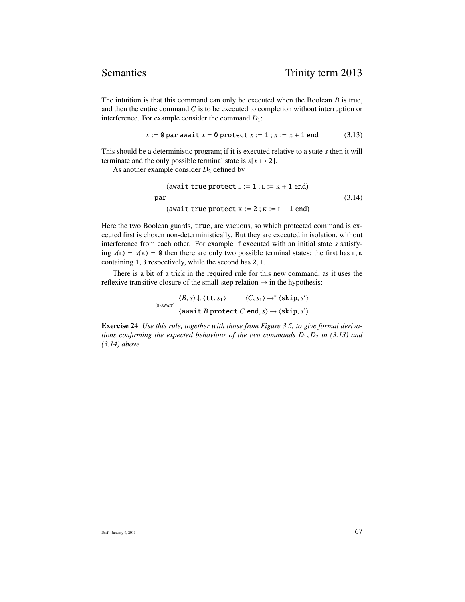The intuition is that this command can only be executed when the Boolean *B* is true, and then the entire command *C* is to be executed to completion without interruption or interference. For example consider the command  $D_1$ :

$$
x := 0
$$
 par await  $x = 0$  protect  $x := 1$ ;  $x := x + 1$  end (3.13)

This should be a deterministic program; if it is executed relative to a state *s* then it will terminate and the only possible terminal state is  $s[x \mapsto 2]$ .

As another example consider  $D_2$  defined by

$$
(await true protect L := 1; L := K + 1 end)
$$
  
par  

$$
(await true protect K := 2; K := L + 1 end)
$$
  
(3.14)

Here the two Boolean guards, true, are vacuous, so which protected command is executed first is chosen non-deterministically. But they are executed in isolation, without interference from each other. For example if executed with an initial state *s* satisfying  $s(L) = s(K) = 0$  then there are only two possible terminal states; the first has L, K containing <sup>1</sup>, <sup>3</sup> respectively, while the second has <sup>2</sup>, <sup>1</sup>.

There is a bit of a trick in the required rule for this new command, as it uses the reflexive transitive closure of the small-step relation  $\rightarrow$  in the hypothesis:

$$
\xrightarrow{\text{(B-AWAIT)}} \frac{\langle B, s \rangle \Downarrow \langle \text{tt}, s_1 \rangle \qquad \langle C, s_1 \rangle \rightarrow^* \langle \text{skip}, s' \rangle}{\langle \text{await } B \text{ protect } C \text{ end}, s \rangle \rightarrow \langle \text{skip}, s' \rangle}
$$

Exercise 24 *Use this rule, together with those from Figure 3.5, to give formal derivations confirming the expected behaviour of the two commands D*<sup>1</sup>, *<sup>D</sup>*<sup>2</sup> *in (3.13) and (3.14) above.*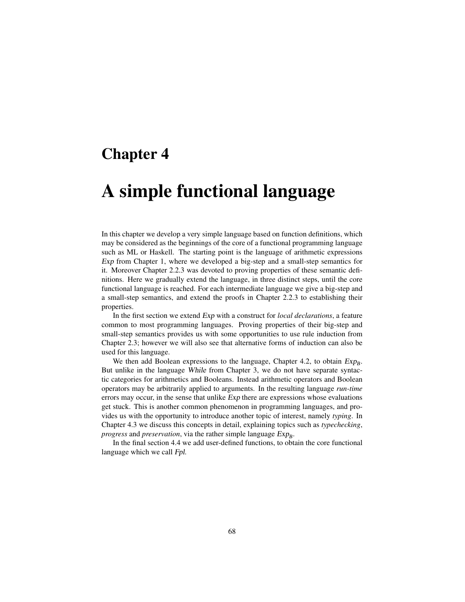# Chapter 4

# A simple functional language

In this chapter we develop a very simple language based on function definitions, which may be considered as the beginnings of the core of a functional programming language such as ML or Haskell. The starting point is the language of arithmetic expressions Exp from Chapter 1, where we developed a big-step and a small-step semantics for it. Moreover Chapter 2.2.3 was devoted to proving properties of these semantic definitions. Here we gradually extend the language, in three distinct steps, until the core functional language is reached. For each intermediate language we give a big-step and a small-step semantics, and extend the proofs in Chapter 2.2.3 to establishing their properties.

In the first section we extend Exp with a construct for *local declarations*, a feature common to most programming languages. Proving properties of their big-step and small-step semantics provides us with some opportunities to use rule induction from Chapter 2.3; however we will also see that alternative forms of induction can also be used for this language.

We then add Boolean expressions to the language, Chapter 4.2, to obtain  $Exp_B$ . But unlike in the language While from Chapter 3, we do not have separate syntactic categories for arithmetics and Booleans. Instead arithmetic operators and Boolean operators may be arbitrarily applied to arguments. In the resulting language *run-time* errors may occur, in the sense that unlike Exp there are expressions whose evaluations get stuck. This is another common phenomenon in programming languages, and provides us with the opportunity to introduce another topic of interest, namely *typing*. In Chapter 4.3 we discuss this concepts in detail, explaining topics such as *typechecking*, progress and *preservation*, via the rather simple language  $Exp_B$ .

In the final section 4.4 we add user-defined functions, to obtain the core functional language which we call Fpl.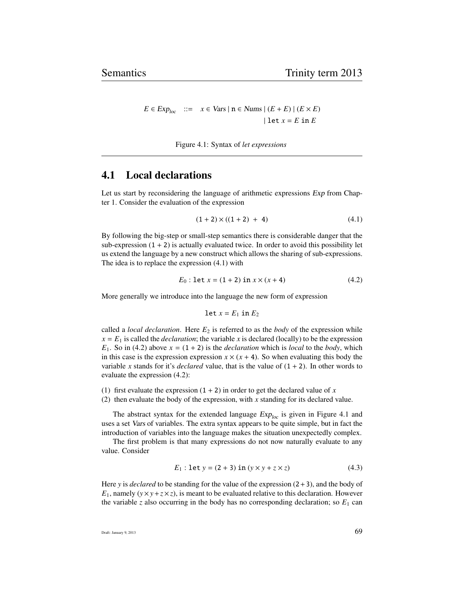$E \in Exp_{loc}$  ::=  $x \in Vars \mid n \in Nums \mid (E + E) \mid (E \times E)$ | let  $x = E$  in  $E$ 

Figure 4.1: Syntax of *let expressions*

## 4.1 Local declarations

Let us start by reconsidering the language of arithmetic expressions Exp from Chapter 1. Consider the evaluation of the expression

$$
(1+2) \times ((1+2) + 4) \tag{4.1}
$$

By following the big-step or small-step semantics there is considerable danger that the sub-expression  $(1 + 2)$  is actually evaluated twice. In order to avoid this possibility let us extend the language by a new construct which allows the sharing of sub-expressions. The idea is to replace the expression (4.1) with

$$
E_0: \text{let } x = (1+2) \text{ in } x \times (x+4) \tag{4.2}
$$

More generally we introduce into the language the new form of expression

$$
let x = E_1 in E_2
$$

called a *local declaration*. Here  $E_2$  is referred to as the *body* of the expression while  $x = E_1$  is called the *declaration*; the variable *x* is declared (locally) to be the expression  $E_1$ . So in (4.2) above  $x = (1 + 2)$  is the *declaration* which is *local* to the *body*, which in this case is the expression expression  $x \times (x + 4)$ . So when evaluating this body the variable *x* stands for it's *declared* value, that is the value of  $(1 + 2)$ . In other words to evaluate the expression (4.2):

(1) first evaluate the expression  $(1 + 2)$  in order to get the declared value of *x* 

(2) then evaluate the body of the expression, with *x* standing for its declared value.

The abstract syntax for the extended language  $Exp_{loc}$  is given in Figure 4.1 and uses a set Vars of variables. The extra syntax appears to be quite simple, but in fact the introduction of variables into the language makes the situation unexpectedly complex.

The first problem is that many expressions do not now naturally evaluate to any value. Consider

$$
E_1: \text{let } y = (2+3) \text{ in } (y \times y + z \times z) \tag{4.3}
$$

Here *y* is *declared* to be standing for the value of the expression  $(2+3)$ , and the body of  $E_1$ , namely ( $y \times y + z \times z$ ), is meant to be evaluated relative to this declaration. However the variable *z* also occurring in the body has no corresponding declaration; so  $E_1$  can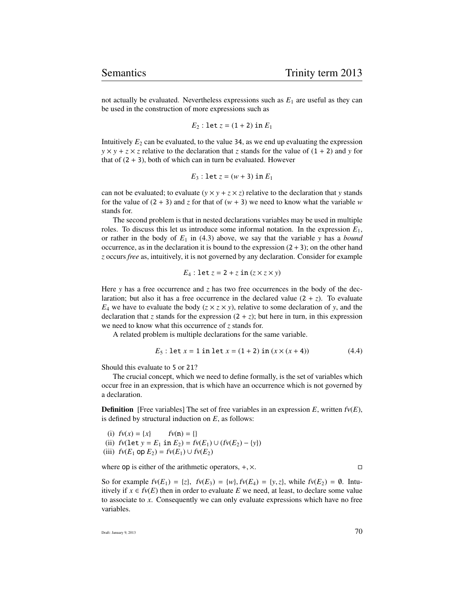not actually be evaluated. Nevertheless expressions such as  $E_1$  are useful as they can be used in the construction of more expressions such as

$$
E_2
$$
: let  $z = (1 + 2)$  in  $E_1$ 

Intuitively  $E_2$  can be evaluated, to the value 34, as we end up evaluating the expression  $y \times y + z \times z$  relative to the declaration that *z* stands for the value of  $(1 + 2)$  and *y* for that of  $(2 + 3)$ , both of which can in turn be evaluated. However

$$
E_3
$$
: let  $z = (w + 3)$  in  $E_1$ 

can not be evaluated; to evaluate  $(y \times y + z \times z)$  relative to the declaration that *y* stands for the value of  $(2 + 3)$  and *z* for that of  $(w + 3)$  we need to know what the variable *w* stands for.

The second problem is that in nested declarations variables may be used in multiple roles. To discuss this let us introduce some informal notation. In the expression  $E_1$ , or rather in the body of  $E_1$  in (4.3) above, we say that the variable *y* has a *bound* occurrence, as in the declaration it is bound to the expression  $(2+3)$ ; on the other hand *z* occurs *free* as, intuitively, it is not governed by any declaration. Consider for example

$$
E_4: \text{let } z = 2 + z \text{ in } (z \times z \times y)
$$

Here *y* has a free occurrence and *z* has two free occurrences in the body of the declaration; but also it has a free occurrence in the declared value  $(2 + z)$ . To evaluate  $E_4$  we have to evaluate the body ( $z \times z \times y$ ), relative to some declaration of *y*, and the declaration that *z* stands for the expression  $(2 + z)$ ; but here in turn, in this expression we need to know what this occurrence of *z* stands for.

A related problem is multiple declarations for the same variable.

$$
E_5: \text{let } x = 1 \text{ in } \text{let } x = (1+2) \text{ in } (x \times (x+4))
$$
 (4.4)

Should this evaluate to 5 or 21?

The crucial concept, which we need to define formally, is the set of variables which occur free in an expression, that is which have an occurrence which is not governed by a declaration.

**Definition** [Free variables] The set of free variables in an expression  $E$ , written  $fv(E)$ , is defined by structural induction on *E*, as follows:

(i)  $f v(x) = \{x\}$   $f v(n) = \{\}$ (ii)  $f_v(\text{let } y = E_1 \text{ in } E_2) = f_v(E_1) \cup (f_v(E_2) - \{y\})$ (iii)  $f_v(E_1 \text{ op } E_2) = f_v(E_1) \cup f_v(E_2)$ 

where op is either of the arithmetic operators,  $+, \times$ .

So for example  $fv(E_1) = \{z\}$ ,  $fv(E_3) = \{w\}$ ,  $fv(E_4) = \{y, z\}$ , while  $fv(E_2) = \emptyset$ . Intuitively if  $x \in f$  (*E*) then in order to evaluate *E* we need, at least, to declare some value to associate to *x*. Consequently we can only evaluate expressions which have no free variables.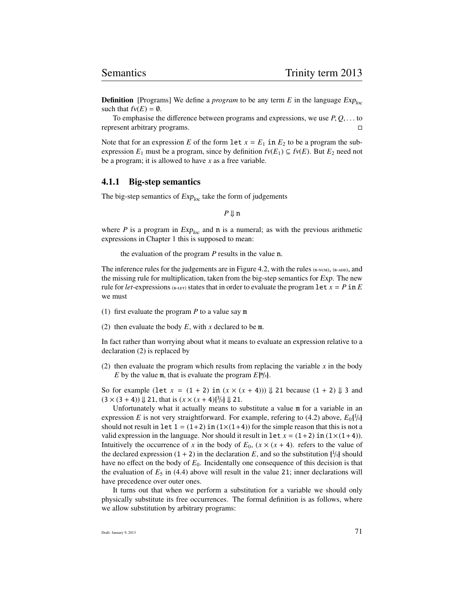**Definition** [Programs] We define a *program* to be any term  $E$  in the language  $Exp_{loc}$ such that  $fv(E) = \emptyset$ .

To emphasise the difference between programs and expressions, we use  $P, Q, \ldots$  to resent arbitrary programs. represent arbitrary programs.

Note that for an expression *E* of the form  $\text{let } x = E_1$  in  $E_2$  to be a program the subexpression  $E_1$  must be a program, since by definition  $f v(E_1) \subseteq f v(E)$ . But  $E_2$  need not be a program; it is allowed to have *x* as a free variable.

#### 4.1.1 Big-step semantics

The big-step semantics of  $Exp<sub>loc</sub>$  take the form of judgements

*P* ⇓ n

where *P* is a program in  $Exp_{loc}$  and **n** is a numeral; as with the previous arithmetic expressions in Chapter 1 this is supposed to mean:

the evaluation of the program *P* results in the value n.

The inference rules for the judgements are in Figure 4.2, with the rules  $_{(B-NUM)}$ ,  $_{(B-ADD)}$ , and the missing rule for multiplication, taken from the big-step semantics for Exp. The new rule for *let*-expressions (B-LET) states that in order to evaluate the program  $\text{let } x = P \text{ in } E$ we must

- (1) first evaluate the program *P* to a value say m
- (2) then evaluate the body *E*, with *x* declared to be m.

In fact rather than worrying about what it means to evaluate an expression relative to a declaration (2) is replaced by

(2) then evaluate the program which results from replacing the variable *x* in the body *E* by the value m, that is evaluate the program  $E[\mathbb{m}/x]$ .

So for example (let  $x = (1 + 2)$  in  $(x \times (x + 4))$ )  $\downarrow$  21 because  $(1 + 2)$   $\downarrow$  3 and  $(3 \times (3 + 4)) \Downarrow 21$ , that is  $(x \times (x + 4))$ <sup>3</sup>/*x*}  $\Downarrow$  21.

Unfortunately what it actually means to substitute a value m for a variable in an expression *E* is not very straightforward. For example, refering to (4.2) above,  $E_0$ {<sup>1</sup>/*x*} should not result in  $\text{let } 1 = (1+2)$  in  $(1 \times (1+4))$  for the simple reason that this is not a valid expression in the language. Nor should it result in  $\text{let } x = (1+2) \text{ in } (1 \times (1+4)).$ Intuitively the occurrence of *x* in the body of  $E_0$ ,  $(x \times (x + 4)$ . refers to the value of the declared expression  $(1 + 2)$  in the declaration *E*, and so the substitution  $\frac{1}{x}$  should have no effect on the body of *E*0. Incidentally one consequence of this decision is that the evaluation of  $E_5$  in (4.4) above will result in the value 21; inner declarations will have precedence over outer ones.

It turns out that when we perform a substitution for a variable we should only physically substitute its free occurrences. The formal definition is as follows, where we allow substitution by arbitrary programs: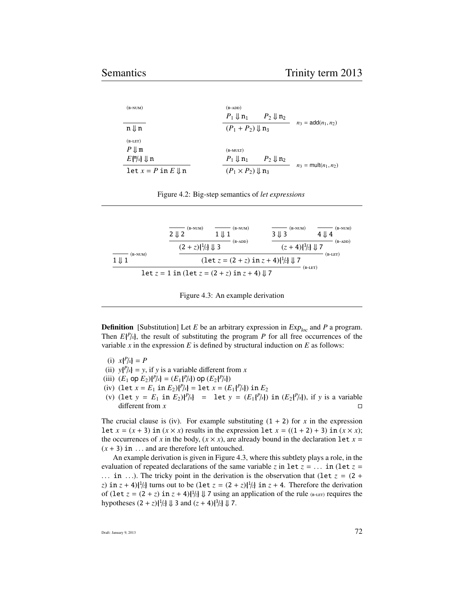| $(B-NUM)$                                                                 | $(B-ADD)$<br>$P_1 \Downarrow n_1$<br>$P_2 \Downarrow n_2$     |
|---------------------------------------------------------------------------|---------------------------------------------------------------|
| $n \Downarrow n$                                                          | $n_3 = \text{add}(n_1, n_2)$<br>$(P_1 + P_2) \Downarrow n_3$  |
| $(B-LET)$<br>$P \Downarrow m$<br>$E\left[\frac{m}{x}\right] \downarrow n$ | $(B-MULT)$<br>$P_1 \Downarrow n_1$<br>$P_2 \Downarrow n_2$    |
| $\text{let } x = P \text{ in } E \parallel n$                             | $n_3$ = mult $(n_1, n_2)$<br>$(P_1 \times P_2) \parallel n_3$ |

| Figure 4.2: Big-step semantics of let expressions |  |  |  |  |
|---------------------------------------------------|--|--|--|--|
|---------------------------------------------------|--|--|--|--|

|                               | $(B-NUM)$<br>$2 \downarrow 2$                         | $\equiv$ (B-NUM)<br>$1 \parallel 1$                                                    | $(B-NUM)$<br>$3 \downarrow 3$ | $(B-NUM)$<br>$4 \parallel 4$ |
|-------------------------------|-------------------------------------------------------|----------------------------------------------------------------------------------------|-------------------------------|------------------------------|
|                               | $(2 + z)$ $\frac{1}{z}$ $\frac{1}{z}$ $\frac{1}{z}$ 3 | $(B-ADD)$                                                                              | $(z + 4)$ $\{3/2\}$ U 7       | $(B-ADD)$                    |
| $(B-NUM)$<br>$1 \Downarrow 1$ |                                                       | $(\text{let } z = (2 + z) \text{ in } z + 4)$ $\frac{1}{z}$ $\frac{1}{x} \downarrow 7$ |                               | $(B-LET)$                    |
|                               |                                                       | $\det z = 1$ in (let $z = (2 + z)$ in $z + 4$ ) $\downarrow$ 7                         | $(B-LET)$                     |                              |

**Definition** [Substitution] Let *E* be an arbitrary expression in  $Exp_{loc}$  and *P* a program. Then  $E\{P/x\}$ , the result of substituting the program *P* for all free occurrences of the variable  $x$  in the expression  $E$  is defined by structural induction on  $E$  as follows:

- (i)  $x\{P/x\} = P$
- (ii)  $y\{P/x\} = y$ , if *y* is a variable different from *x*
- (iii)  $(E_1 \text{ op } E_2){P\choose k} = (E_1{P\choose k}) \text{ op } (E_2{P\choose k})$
- (iv) (let  $x = E_1$  in  $E_2$ ) $\{P/x\} =$  let  $x = (E_1\{P/x\})$  in  $E_2$
- (v) (let  $y = E_1$  in  $E_2$ ){ $P/x$ } = let  $y = (E_1\{P/x\})$  in  $(E_2\{P/x\})$ , if *y* is a variable different from *x* different from *x*

The crucial clause is (iv). For example substituting  $(1 + 2)$  for *x* in the expression let  $x = (x + 3)$  in  $(x \times x)$  results in the expression let  $x = ((1 + 2) + 3)$  in  $(x \times x)$ ; the occurrences of *x* in the body,  $(x \times x)$ , are already bound in the declaration let  $x =$  $(x + 3)$  in ... and are therefore left untouched.

An example derivation is given in Figure 4.3, where this subtlety plays a role, in the evaluation of repeated declarations of the same variable *z* in let  $z = \ldots$  in (let  $z =$ ... in ...). The tricky point in the derivation is the observation that (let  $z = (2 +$ *z*) in  $z + 4$ / $\frac{1}{z}$  turns out to be (let  $z = (2 + z)\frac{1}{z}$  in  $z + 4$ . Therefore the derivation of (let  $z = (2 + z)$  in  $z + 4$ ) $\frac{1}{z}$   $\downarrow$  7 using an application of the rule (B-LET) requires the hypotheses  $(2 + z){\frac{1}{z}} \Downarrow 3$  and  $(z + 4){\frac{3}{z}} \Downarrow 7$ .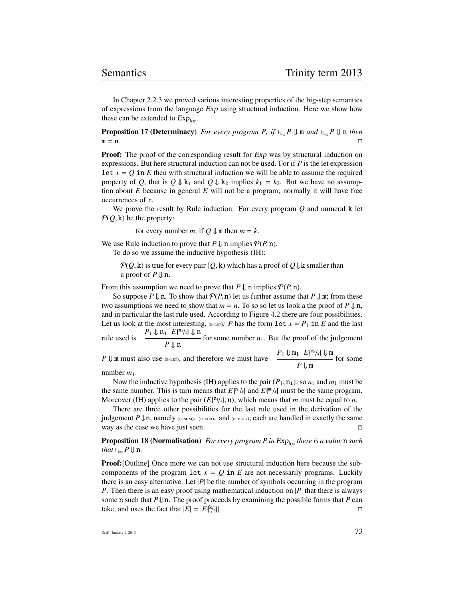In Chapter 2.2.3 we proved various interesting properties of the big-step semantics of expressions from the language Exp using structural induction. Here we show how these can be extended to  $Exp<sub>loc</sub>$ .

**Proposition 17 (Determinacy)** For every program P, if  $\vdash_{\text{his}} P \Downarrow$  m and  $\vdash_{\text{his}} P \Downarrow$  n then m = n*.*

**Proof:** The proof of the corresponding result for Exp was by structural induction on expressions. But here structural induction can not be used. For if *P* is the let expression Let  $x = Q$  in *E* then with structural induction we will be able to assume the required property of *Q*, that is  $Q \Downarrow k_1$  and  $Q \Downarrow k_2$  implies  $k_1 = k_2$ . But we have no assumption about *E* because in general *E* will not be a program; normally it will have free occurrences of *x*.

We prove the result by Rule induction. For every program *Q* and numeral k let  $P(Q, k)$  be the property:

for every number *m*, if  $Q \parallel m$  then  $m = k$ .

We use Rule induction to prove that  $P \Downarrow n$  implies  $P(P, n)$ .

To do so we assume the inductive hypothesis (IH):

 $P(Q, k)$  is true for every pair  $(Q, k)$  which has a proof of  $Q \downarrow k$  smaller than a proof of  $P \Downarrow n$ .

From this assumption we need to prove that  $P \Downarrow n$  implies  $P(P, n)$ .

So suppose  $P \Downarrow n$ . To show that  $P(P, n)$  let us further assume that  $P \Downarrow m$ ; from these two assumptions we need to show that  $m = n$ . To so so let us look a the proof of  $P \Downarrow n$ , and in particular the last rule used. According to Figure 4.2 there are four possibilities. Let us look at the most interesting,  $(e^{i \text{tr}})$ : *P* has the form let  $x = P_1$  in *E* and the last rule used is  $\frac{P_1 \Downarrow n_1}{P_1 \Downarrow n_1} E_{\{n_1/x\}} \Downarrow n_1$ for some number  $n_1$ . But the proof of the judgement

*P* ⇓ n *P*  $\downarrow$  m must also use (B-LET), and therefore we must have  $P_1 \downarrow \downarrow m_1$  *E*{<sup>m<sub>1</sub>/*x*}  $\downarrow \downarrow m$ </sup> *P* ⇓ m for some

number  $m_1$ .

Now the inductive hypothesis (IH) applies to the pair  $(P_1, n_1)$ ; so  $n_1$  and  $m_1$  must be the same number. This is turn means that  $E\{\ln l_x\}$  and  $E\{\ln l_x\}$  must be the same program. Moreover (IH) applies to the pair  $(E[\text{m1/}x], n)$ , which means that *m* must be equal to *n*.

There are three other possibilities for the last rule used in the derivation of the judgement  $P \Downarrow n$ , namely (B-NUM), (B-ADD), and (B-MULT); each are handled in exactly the same way as the case we have just seen.

**Proposition 18 (Normalisation)** *For every program P in* Exp<sub>loc</sub> *there is a value* **n** *such that*  $\vdash_{bi} P \Downarrow n$ *.* 

Proof:[Outline] Once more we can not use structural induction here because the subcomponents of the program let  $x = Q$  in  $E$  are not necessarily programs. Luckily there is an easy alternative. Let  $|P|$  be the number of symbols occurring in the program *P*. Then there is an easy proof using mathematical induction on |*P*| that there is always some **n** such that  $P \Downarrow n$ . The proof proceeds by examining the possible forms that *P* can take, and uses the fact that  $|E| = |E\{k|x|\}.$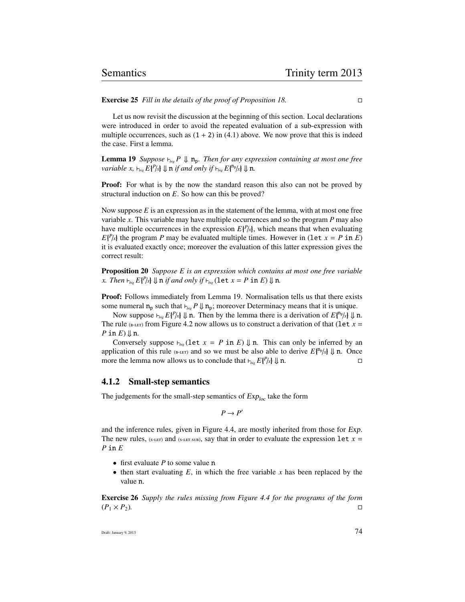Exercise 25 *Fill in the details of the proof of Proposition 18.*

Let us now revisit the discussion at the beginning of this section. Local declarations were introduced in order to avoid the repeated evaluation of a sub-expression with multiple occurrences, such as  $(1 + 2)$  in  $(4.1)$  above. We now prove that this is indeed the case. First a lemma.

**Lemma 19** *Suppose*  $\vdash_{\mathit{bis}} P \Downarrow \mathbf{n}_p$ *. Then for any expression containing at most one free variable x,*  $\vdash_{\text{bie}} E\{^p/x\} \Downarrow n$  *if and only if*  $\vdash_{\text{bie}} E\{^n p/x\} \Downarrow n$ .

**Proof:** For what is by the now the standard reason this also can not be proved by structural induction on *E*. So how can this be proved?

Now suppose *E* is an expression as in the statement of the lemma, with at most one free variable *x*. This variable may have multiple occurrences and so the program *P* may also have multiple occurrences in the expression  $E\{P_{\lambda}\}\)$ , which means that when evaluating  $E\{P/x\}$  the program *P* may be evaluated multiple times. However in (let  $x = P$  in *E*) it is evaluated exactly once; moreover the evaluation of this latter expression gives the correct result:

Proposition 20 *Suppose E is an expression which contains at most one free variable x. Then*  $\vdash_{\mathit{bis}} E\{P/x\} \Downarrow n$  *if and only if*  $\vdash_{\mathit{bis}} (\text{let } x = P \text{ in } E) \Downarrow n$ *.* 

Proof: Follows immediately from Lemma 19. Normalisation tells us that there exists some numeral  $n_p$  such that  $\nvdash_{\text{bie}} P \Downarrow n_p$ ; moreover Determinacy means that it is unique.

Now suppose  $\vdash_{\mathit{bie}} E\{P/x\} \Downarrow n$ . Then by the lemma there is a derivation of  $E\{n_p/x\} \Downarrow n$ . The rule ( $_{\text{B-LET}}$ ) from Figure 4.2 now allows us to construct a derivation of that (let  $x =$ *P* in *E*) ⇓ n.

Conversely suppose  $\nvdash_{\text{big}}(\text{let } x = P \text{ in } E) \Downarrow \text{n}$ . This can only be inferred by an application of this rule ( $_{6-LET}$ ) and so we must be also able to derive  $E\{f^{n_p}/x\} \downarrow n$ . Once more the lemma now allows us to conclude that  $\vdash_{n_p} E\{f^{p}/x\} \downarrow n$ . more the lemma now allows us to conclude that  $\nvdash_{\text{big}} E\{P/x\} \Downarrow \mathbf{n}$ .

#### 4.1.2 Small-step semantics

The judgements for the small-step semantics of  $Exp<sub>loc</sub>$  take the form

 $P \rightarrow P'$ 

and the inference rules, given in Figure 4.4, are mostly inherited from those for Exp. The new rules, (s-LET) and (s-LET.SUB), say that in order to evaluate the expression let  $x =$ *P* in *E*

- first evaluate *P* to some value n
- $\bullet$  then start evaluating  $E$ , in which the free variable  $x$  has been replaced by the value n.

Exercise 26 *Supply the rules missing from Figure 4.4 for the programs of the form*  $(P_1 \times P_2)$ .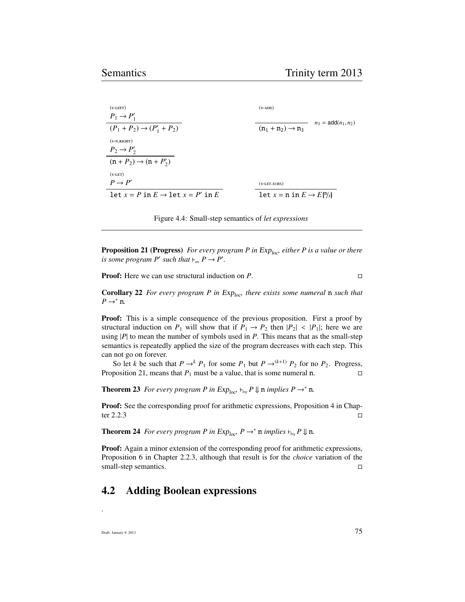| $(S-LEFT)$                                       | $(s-ADD)$                                                             |                              |
|--------------------------------------------------|-----------------------------------------------------------------------|------------------------------|
| $P_1 \rightarrow P'_1$                           |                                                                       | $n_3 = \text{add}(n_1, n_2)$ |
| $(P_1 + P_2) \rightarrow (P'_1 + P_2)$           | $(n_1 + n_2) \rightarrow n_3$                                         |                              |
| $(s-N.RIGHT)$                                    |                                                                       |                              |
| $P_2 \rightarrow P'_2$                           |                                                                       |                              |
| $(n+P_2) \rightarrow (n+P'_2)$                   |                                                                       |                              |
| $(S-LET)$                                        |                                                                       |                              |
| $P \rightarrow P'$                               | $(s$ -LET.SUBS)                                                       |                              |
| $\det x = P$ in $E \rightarrow \det x = P'$ in E | $\text{let } x = \text{n} \text{ in } E \rightarrow E \{ \gamma_x \}$ |                              |
|                                                  |                                                                       |                              |

Figure 4.4: Small-step semantics of *let expressions*

**Proposition 21 (Progress)** *For every program P in Exp<sub>loc</sub>, either P is a value or there is some program*  $P'$  *such that*  $\vdash_{\mathit{sm}} P \rightarrow P'$ *.* 

Proof: Here we can use structural induction on *P*.

Corollary 22 *For every program P in Exp<sub>loc</sub>, there exists some numeral* n *such that*  $P \rightarrow^* n$ .

**Proof:** This is a simple consequence of the previous proposition. First a proof by structural induction on  $P_1$  will show that if  $P_1 \rightarrow P_2$  then  $|P_2|$  <  $|P_1|$ ; here we are using  $|P|$  to mean the number of symbols used in  $P$ . This means that as the small-step semantics is repeatedly applied the size of the program decreases with each step. This can not go on forever.

So let *k* be such that  $P \rightarrow^k P_1$  for some  $P_1$  but  $P \rightarrow^{(k+1)} P_2$  for no  $P_2$ . Progress, Proposition 21, means that  $P_1$  must be a value, that is some numeral n.

**Theorem 23** *For every program P in*  $Exp_{loc}$ ,  $\vdash_{bis} P \Downarrow$  n *implies*  $P \rightarrow^* n$ *.* 

Proof: See the corresponding proof for arithmetic expressions, Proposition 4 in Chap- $\Box$  ter 2.2.3

**Theorem 24** *For every program P in*  $Exp_{loc}$ *, P*  $\rightarrow$ <sup>\*</sup> **n** *implies*  $\vdash_{big}$ *P*  $\Downarrow$  **n**.

Proof: Again a minor extension of the corresponding proof for arithmetic expressions, Proposition 6 in Chapter 2.2.3, although that result is for the *choice* variation of the small-step semantics.

## 4.2 Adding Boolean expressions

Draft: January 9, 2013  $75$ 

.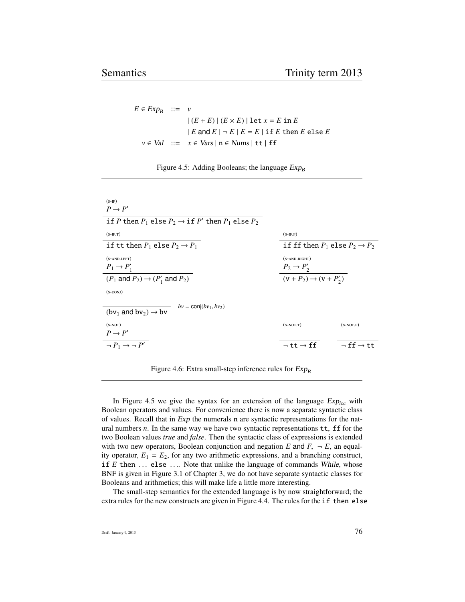$E \in Exp_B$  ::= *v*  $|(E + E) | (E \times E) |$ let  $x = E$  in  $E$  $|E \text{ and } E| - E |E = E | \text{if } E \text{ then } E \text{ else } E$  $v \in Val$  ::=  $x \in Vars \mid n \in Nums \mid tt \mid ff$ 

| Figure 4.5: Adding Booleans; the language $Exp_B$ |  |  |  |  |
|---------------------------------------------------|--|--|--|--|
|---------------------------------------------------|--|--|--|--|

| $(S-IF)$                                                              |                                             |                            |
|-----------------------------------------------------------------------|---------------------------------------------|----------------------------|
| $P \rightarrow P'$                                                    |                                             |                            |
| if P then $P_1$ else $P_2 \rightarrow$ if P' then $P_1$ else $P_2$    |                                             |                            |
| $(S-IF.T)$                                                            | $(S-IF.F)$                                  |                            |
| if tt then $P_1$ else $P_2 \rightarrow P_1$                           | if ff then $P_1$ else $P_2 \rightarrow P_2$ |                            |
| $(S-AND.LEFT)$                                                        | $(s-AND.RIGHT)$                             |                            |
| $P_1 \rightarrow P'_1$                                                | $P_2 \rightarrow P'_2$                      |                            |
| $(P_1 \text{ and } P_2) \rightarrow (P'_1 \text{ and } P_2)$          | $(v + P_2) \rightarrow (v + P'_2)$          |                            |
| $(s$ -CONJ $)$                                                        |                                             |                            |
| $bv = \text{conj}(bv_1, bv_2)$<br>$(bv_1$ and $bv_2$ $\rightarrow$ bv |                                             |                            |
| $(s-NOT)$                                                             | $(s-NOT.T)$                                 | $(S-NOT.F)$                |
| $P \rightarrow P'$                                                    |                                             |                            |
| $\neg P_1 \rightarrow \neg P'$                                        | $\neg$ tt $\rightarrow$ ff                  | $\neg$ ff $\rightarrow$ tt |
|                                                                       |                                             |                            |

Figure 4.6: Extra small-step inference rules for  $Exp_B$ 

In Figure 4.5 we give the syntax for an extension of the language  $Exp_{loc}$  with Boolean operators and values. For convenience there is now a separate syntactic class of values. Recall that in Exp the numerals n are syntactic representations for the natural numbers *n*. In the same way we have two syntactic representations  $tt$ ,  $ff$  for the two Boolean values *true* and *false*. Then the syntactic class of expressions is extended with two new operators, Boolean conjunction and negation  $E$  and  $F$ ,  $\neg E$ , an equality operator,  $E_1 = E_2$ , for any two arithmetic expressions, and a branching construct, if  $E$  then  $\ldots$  else  $\ldots$  Note that unlike the language of commands While, whose BNF is given in Figure 3.1 of Chapter 3, we do not have separate syntactic classes for Booleans and arithmetics; this will make life a little more interesting.

The small-step semantics for the extended language is by now straightforward; the extra rules for the new constructs are given in Figure 4.4. The rules for the if then else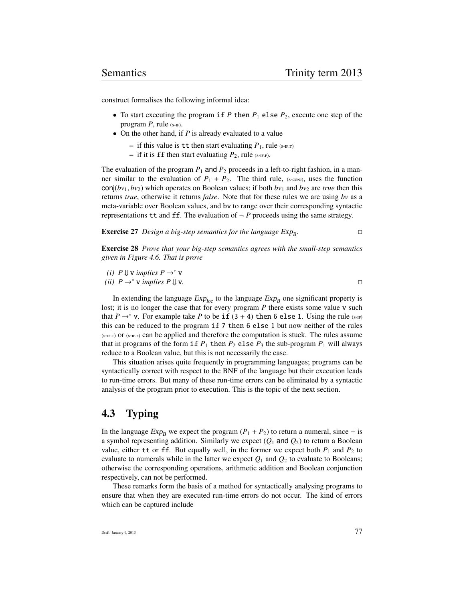construct formalises the following informal idea:

- To start executing the program if  $P$  then  $P_1$  else  $P_2$ , execute one step of the program  $P$ , rule  $(s-r)$ .
- On the other hand, if *P* is already evaluated to a value
	- $-$  if this value is tt then start evaluating  $P_1$ , rule (s-IF.T)
	- $-$  if it is ff then start evaluating  $P_2$ , rule (s-IF.F).

The evaluation of the program  $P_1$  and  $P_2$  proceeds in a left-to-right fashion, in a manner similar to the evaluation of  $P_1 + P_2$ . The third rule, (s-con), uses the function conj( $b\nu_1$ ,  $b\nu_2$ ) which operates on Boolean values; if both  $b\nu_1$  and  $b\nu_2$  are *true* then this returns *true*, otherwise it returns *false*. Note that for these rules we are using *bv* as a meta-variable over Boolean values, and bv to range over their corresponding syntactic representations  $tt$  and  $ff$ . The evaluation of  $\neg P$  proceeds using the same strategy.

**Exercise 27** *Design a big-step semantics for the language* Exp<sub>B</sub>. *.*

Exercise 28 *Prove that your big-step semantics agrees with the small-step semantics given in Figure 4.6. That is prove*

(*i*) 
$$
P \Downarrow \mathbf{v}
$$
 implies  $P \rightarrow^* \mathbf{v}$   
(*ii*)  $P \rightarrow^* \mathbf{v}$  implies  $P \Downarrow \mathbf{v}$ . □

In extending the language  $Exp_{loc}$  to the language  $Exp_B$  one significant property is lost; it is no longer the case that for every program *P* there exists some value v such that *P*  $\rightarrow$  \* v. For example take *P* to be if (3 + 4) then 6 else 1. Using the rule (s-IF) this can be reduced to the program if 7 then 6 else 1 but now neither of the rules  $(s-F)$  or  $(s-F)$  can be applied and therefore the computation is stuck. The rules assume that in programs of the form if  $P_1$  then  $P_2$  else  $P_3$  the sub-program  $P_1$  will always reduce to a Boolean value, but this is not necessarily the case.

This situation arises quite frequently in programming languages; programs can be syntactically correct with respect to the BNF of the language but their execution leads to run-time errors. But many of these run-time errors can be eliminated by a syntactic analysis of the program prior to execution. This is the topic of the next section.

## 4.3 Typing

In the language  $Exp_B$  we expect the program  $(P_1 + P_2)$  to return a numeral, since + is a symbol representing addition. Similarly we expect  $(Q_1 \text{ and } Q_2)$  to return a Boolean value, either tt or ff. But equally well, in the former we expect both  $P_1$  and  $P_2$  to evaluate to numerals while in the latter we expect  $Q_1$  and  $Q_2$  to evaluate to Booleans; otherwise the corresponding operations, arithmetic addition and Boolean conjunction respectively, can not be performed.

These remarks form the basis of a method for syntactically analysing programs to ensure that when they are executed run-time errors do not occur. The kind of errors which can be captured include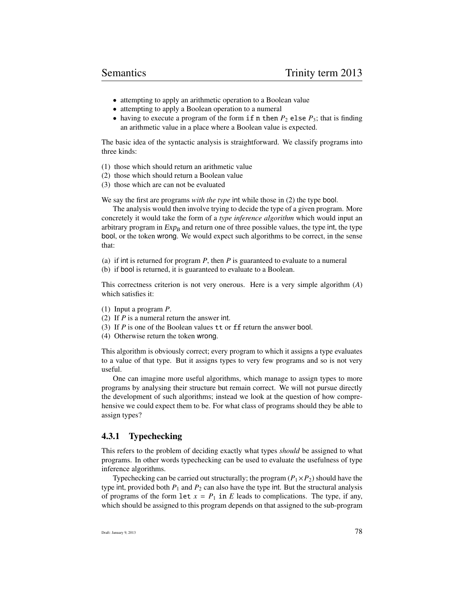- attempting to apply an arithmetic operation to a Boolean value
- attempting to apply a Boolean operation to a numeral
- having to execute a program of the form  $if n then P_2$  else  $P_3$ ; that is finding an arithmetic value in a place where a Boolean value is expected.

The basic idea of the syntactic analysis is straightforward. We classify programs into three kinds:

- (1) those which should return an arithmetic value
- (2) those which should return a Boolean value
- (3) those which are can not be evaluated

We say the first are programs *with the type* int while those in (2) the type bool.

The analysis would then involve trying to decide the type of a given program. More concretely it would take the form of a *type inference algorithm* which would input an arbitrary program in  $Exp_B$  and return one of three possible values, the type int, the type bool, or the token wrong. We would expect such algorithms to be correct, in the sense that:

(a) if int is returned for program *P*, then *P* is guaranteed to evaluate to a numeral

(b) if bool is returned, it is guaranteed to evaluate to a Boolean.

This correctness criterion is not very onerous. Here is a very simple algorithm (*A*) which satisfies it:

- (1) Input a program *P*.
- (2) If *P* is a numeral return the answer int.
- (3) If *P* is one of the Boolean values tt or ff return the answer bool.
- (4) Otherwise return the token wrong.

This algorithm is obviously correct; every program to which it assigns a type evaluates to a value of that type. But it assigns types to very few programs and so is not very useful.

One can imagine more useful algorithms, which manage to assign types to more programs by analysing their structure but remain correct. We will not pursue directly the development of such algorithms; instead we look at the question of how comprehensive we could expect them to be. For what class of programs should they be able to assign types?

#### 4.3.1 Typechecking

This refers to the problem of deciding exactly what types *should* be assigned to what programs. In other words typechecking can be used to evaluate the usefulness of type inference algorithms.

Typechecking can be carried out structurally; the program  $(P_1 \times P_2)$  should have the type int, provided both  $P_1$  and  $P_2$  can also have the type int. But the structural analysis of programs of the form  $\text{let } x = P_1 \text{ in } E$  leads to complications. The type, if any, which should be assigned to this program depends on that assigned to the sub-program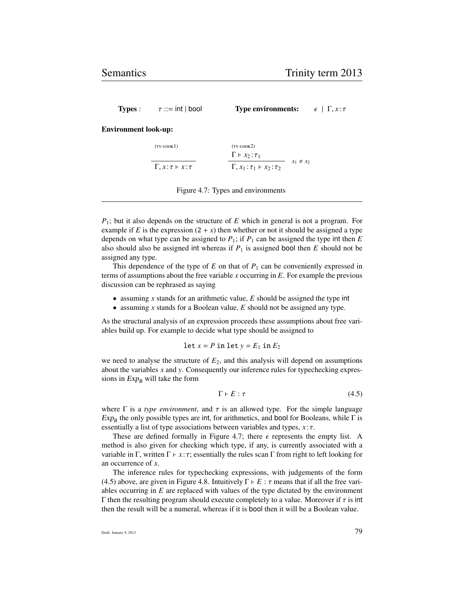**Types :**  $\tau ::= \text{int} | \text{bool}$  **Type environments:**  $\epsilon | \Gamma, x : \tau$ 

Environment look-up:

 $(TY-1.00K1)$ <sup>Γ</sup>, *<sup>x</sup>* :τ ` *<sup>x</sup>* :τ  $(TY-I.00K<sup>2</sup>)$  $\frac{\Gamma \vdash x_2 : \tau_1}{\Gamma}$  $\frac{x_1 + x_2 + x_1}{\Gamma, x_1 : \tau_1 + x_2 : \tau_2}$   $x_1 \neq x_2$ 

Figure 4.7: Types and environments

*P*1; but it also depends on the structure of *E* which in general is not a program. For example if *E* is the expression  $(2 + x)$  then whether or not it should be assigned a type depends on what type can be assigned to  $P_1$ ; if  $P_1$  can be assigned the type int then  $E$ also should also be assigned int whereas if  $P_1$  is assigned bool then  $E$  should not be assigned any type.

This dependence of the type of  $E$  on that of  $P_1$  can be conveniently expressed in terms of assumptions about the free variable *x* occurring in *E*. For example the previous discussion can be rephrased as saying

- assuming *x* stands for an arithmetic value, *E* should be assigned the type int
- assuming *x* stands for a Boolean value, *E* should not be assigned any type.

As the structural analysis of an expression proceeds these assumptions about free variables build up. For example to decide what type should be assigned to

$$
let x = P in let y = E_1 in E_2
$$

we need to analyse the structure of  $E_2$ , and this analysis will depend on assumptions about the variables *x* and *y*. Consequently our inference rules for typechecking expressions in  $Exp_B$  will take the form

$$
\Gamma \vdash E : \tau \tag{4.5}
$$

where  $\Gamma$  is a *type environment*, and  $\tau$  is an allowed type. For the simple language  $Exp_B$  the only possible types are int, for arithmetics, and bool for Booleans, while  $\Gamma$  is essentially a list of type associations between variables and types,  $x:\tau$ .

These are defined formally in Figure 4.7; there  $\epsilon$  represents the empty list. A method is also given for checking which type, if any, is currently associated with a variable in Γ, written  $\Gamma \vdash x : \tau$ ; essentially the rules scan Γ from right to left looking for an occurrence of *x*.

The inference rules for typechecking expressions, with judgements of the form (4.5) above, are given in Figure 4.8. Intuitively  $\Gamma \vdash E : \tau$  means that if all the free variables occurring in *E* are replaced with values of the type dictated by the environment Γ then the resulting program should execute completely to a value. Moreover if  $τ$  is int then the result will be a numeral, whereas if it is bool then it will be a Boolean value.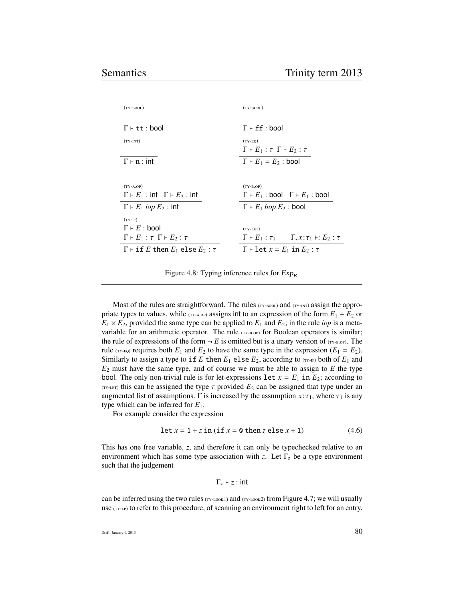| $(TY-BOOL)$                                         | $(TY-BOOL)$                                                               |
|-----------------------------------------------------|---------------------------------------------------------------------------|
|                                                     |                                                                           |
| $\Gamma \vdash \texttt{tt} : \texttt{bool}$         | $\Gamma \vdash ff : \text{bool}$                                          |
| $(TY-INT)$                                          | $(TY-EQ)$                                                                 |
|                                                     | $\Gamma \vdash E_1 : \tau \Gamma \vdash E_2 : \tau$                       |
| $\Gamma \vdash n : \mathsf{int}$                    | $\Gamma \vdash E_1 = E_2$ : bool                                          |
|                                                     |                                                                           |
| $(TY-A.OP)$                                         | $(TY-B.OP)$                                                               |
| $\Gamma \vdash E_1$ : int $\Gamma \vdash E_2$ : int | $\Gamma \vdash E_1$ : bool $\Gamma \vdash E_1$ : bool                     |
| $\Gamma \vdash E_1$ <i>iop</i> $E_2$ : int          | $\Gamma \vdash E_1 \; loop \; E_2$ : bool                                 |
| $(TY-F)$                                            |                                                                           |
| $\Gamma \vdash E : \text{bool}$                     | $(TY-LET)$                                                                |
|                                                     |                                                                           |
| $\Gamma \vdash E_1 : \tau \Gamma \vdash E_2 : \tau$ | $\Gamma \vdash E_1 : \tau_1 \qquad \Gamma, x : \tau_1 \vdash: E_2 : \tau$ |
| $\Gamma$ + if E then $E_1$ else $E_2$ : $\tau$      | $\Gamma \vdash$ let $x = E_1$ in $E_2 : \tau$                             |

Figure 4.8: Typing inference rules for  $Exp_B$ 

Most of the rules are straightforward. The rules (TY-BOOL) and (TY-INT) assign the appropriate types to values, while  $(TY - A \circ P)$  assigns int to an expression of the form  $E_1 + E_2$  or  $E_1 \times E_2$ , provided the same type can be applied to  $E_1$  and  $E_2$ ; in the rule *iop* is a metavariable for an arithmetic operator. The rule  $(r_{Y-B.0P})$  for Boolean operators is similar; the rule of expressions of the form  $\neg E$  is omitted but is a unary version of  $(TY-B.P)$ . The rule ( $\text{rv-EO}$ ) requires both  $E_1$  and  $E_2$  to have the same type in the expression ( $E_1 = E_2$ ). Similarly to assign a type to if *E* then  $E_1$  else  $E_2$ , according to  $(TY \cdot F)$  both of  $E_1$  and  $E_2$  must have the same type, and of course we must be able to assign to  $E$  the type bool. The only non-trivial rule is for let-expressions  $\text{let } x = E_1$  in  $E_2$ ; according to (TY-LET) this can be assigned the type  $\tau$  provided  $E_2$  can be assigned that type under an augmented list of assumptions.  $\Gamma$  is increased by the assumption  $x : \tau_1$ , where  $\tau_1$  is any type which can be inferred for *E*1.

For example consider the expression

$$
let x = 1 + z in (if x = 0 then z else x + 1)
$$
 (4.6)

This has one free variable, *z*, and therefore it can only be typechecked relative to an environment which has some type association with *z*. Let  $\Gamma$ <sub>z</sub> be a type environment such that the judgement

$$
\Gamma_z \vdash z : \mathsf{int}
$$

can be inferred using the two rules  $(r_{Y\text{-}look1})$  and  $(r_{Y\text{-}look2})$  from Figure 4.7; we will usually use  $(TY-LP)$  to refer to this procedure, of scanning an environment right to left for an entry.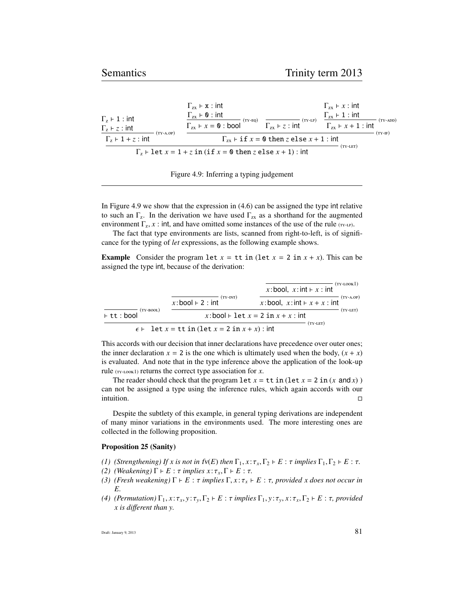|                                                   | $\Gamma_{\rm zx}$ + x : int                                             |                                                          | $\Gamma_{\rm zx}$ + x : int                     |
|---------------------------------------------------|-------------------------------------------------------------------------|----------------------------------------------------------|-------------------------------------------------|
| $\Gamma$ <sub>z</sub> + 1 : int                   | $\Gamma_{zx}$ $\vdash$ 0 : int<br>$(TY-EQ)$                             | $(TY-LP)$                                                | $\Gamma_{zx}$ + 1 : int<br>$(TY-ADD)$           |
| $\Gamma_z \vdash z : \mathsf{int}$<br>$(TY-A.OP)$ | $\Gamma_{\rm zx}$ $\vdash x = \mathbf{0}$ : bool                        | $\Gamma_{zx}$ + z : int                                  | $\Gamma_{\text{zx}}$ + x + 1 : int<br>$(TY-IF)$ |
| $\Gamma_z \vdash 1 + z$ : int                     |                                                                         | $\Gamma_{\tau x}$ + if $x = 0$ then z else $x + 1$ : int |                                                 |
|                                                   | $\Gamma_z$ + let $x = 1 + z$ in (if $x = 0$ then z else $x + 1$ ) : int |                                                          | (TY-LET)                                        |

| Figure 4.9: Inferring a typing judgement |  |  |
|------------------------------------------|--|--|
|                                          |  |  |
|                                          |  |  |

In Figure 4.9 we show that the expression in (4.6) can be assigned the type int relative to such an  $\Gamma_z$ . In the derivation we have used  $\Gamma_{zx}$  as a shorthand for the augmented environment  $\Gamma_z$ , *x* : int, and have omitted some instances of the use of the rule (TY-LP).

The fact that type environments are lists, scanned from right-to-left, is of significance for the typing of *let* expressions, as the following example shows.

**Example** Consider the program let  $x =$  tt in (let  $x = 2$  in  $x + x$ ). This can be assigned the type int, because of the derivation:

|                            |                                                       | x:bool, $x$ : int $\vdash x$ : int           | (TY-LOOK1)  |
|----------------------------|-------------------------------------------------------|----------------------------------------------|-------------|
|                            | (TY-INT)<br>$x:$ bool $\vdash$ 2 : int                | x: bool, $x$ : int $\vdash x + x$ : int      | $(TY-A.OP)$ |
| (TY-BOOL)<br>$F$ tt : bool |                                                       | x:bool $\vdash$ let $x = 2$ in $x + x$ : int | (TY-LET)    |
|                            | $\epsilon$ + let x = tt in (let x = 2 in x + x) : int | $(TY-LET)$                                   |             |

This accords with our decision that inner declarations have precedence over outer ones; the inner declaration  $x = 2$  is the one which is ultimately used when the body,  $(x + x)$ is evaluated. And note that in the type inference above the application of the look-up rule  $(TY-LOOK1)$  returns the correct type association for *x*.

The reader should check that the program  $\text{let } x = \text{tt in } (\text{let } x = 2 \text{ in } (x \text{ and } x))$ can not be assigned a type using the inference rules, which again accords with our intuition.

Despite the subtlety of this example, in general typing derivations are independent of many minor variations in the environments used. The more interesting ones are collected in the following proposition.

#### Proposition 25 (Sanity)

- *(1) (Strengthening) If x is not in fv(E) then*  $\Gamma_1, x : \tau_x, \Gamma_2 \vdash E : \tau$  *implies*  $\Gamma_1, \Gamma_2 \vdash E : \tau$ .
- *(2) (Weakening)*  $\Gamma \vdash E : \tau$  *implies*  $x : \tau_x, \Gamma \vdash E : \tau$ .
- *(3) (Fresh weakening)*  $\Gamma \vdash E : \tau$  *implies*  $\Gamma, x : \tau_x \vdash E : \tau$ *, provided x does not occur in E.*
- *(4) (Permutation)* Γ<sub>1</sub>, *x* :  $τ_x$ , *y* :  $τ_y$ , Γ<sub>2</sub>  $⊢$  *E* :  $τ$  *implies* Γ<sub>1</sub>, *y* :  $τ_y$ , *x* :  $τ_x$ , Γ<sub>2</sub>  $⊢$  *E* :  $τ$ *, provided x is di*ff*erent than y.*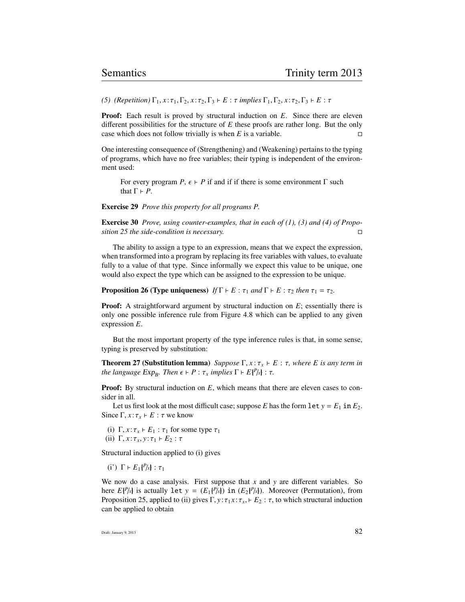*(5) (Repetition)*  $\Gamma_1, x : \tau_1, \Gamma_2, x : \tau_2, \Gamma_3 \vdash E : \tau$  *implies*  $\Gamma_1, \Gamma_2, x : \tau_2, \Gamma_3 \vdash E : \tau$ 

**Proof:** Each result is proved by structural induction on *E*. Since there are eleven different possibilities for the structure of *E* these proofs are rather long. But the only case which does not follow trivially is when  $E$  is a variable.

One interesting consequence of (Strengthening) and (Weakening) pertains to the typing of programs, which have no free variables; their typing is independent of the environment used:

For every program *P*,  $\epsilon$  *- P* if and if if there is some environment  $\Gamma$  such that  $\Gamma \vdash P$ .

Exercise 29 *Prove this property for all programs P.*

Exercise 30 *Prove, using counter-examples, that in each of (1), (3) and (4) of Proposition 25 the side-condition is necessary.*

The ability to assign a type to an expression, means that we expect the expression, when transformed into a program by replacing its free variables with values, to evaluate fully to a value of that type. Since informally we expect this value to be unique, one would also expect the type which can be assigned to the expression to be unique.

**Proposition 26 (Type uniqueness)** *If*  $\Gamma \vdash E : \tau_1$  *and*  $\Gamma \vdash E : \tau_2$  *then*  $\tau_1 = \tau_2$ *.* 

**Proof:** A straightforward argument by structural induction on E; essentially there is only one possible inference rule from Figure 4.8 which can be applied to any given expression *E*.

But the most important property of the type inference rules is that, in some sense, typing is preserved by substitution:

**Theorem 27 (Substitution lemma)** *Suppose*  $\Gamma$ ,  $x : \tau_x \vdash E : \tau$ , where E is any term in  $the$  *language*  $Exp_B$ *. Then*  $\epsilon \vdash P : \tau_x$  *implies*  $\Gamma \vdash E\{^P/\mathbf{x}\} : \tau_x$ 

**Proof:** By structural induction on *E*, which means that there are eleven cases to consider in all.

Let us first look at the most difficult case; suppose *E* has the form  $\text{let } y = E_1$  in  $E_2$ . Since Γ,  $x:τ_x \vdash E : τ$  we know

(i)  $\Gamma$ ,  $x: \tau_x \vdash E_1 : \tau_1$  for some type  $\tau_1$ (ii)  $\Gamma$ ,  $x: \tau_x, y: \tau_1 \vdash E_2 : \tau$ 

Structural induction applied to (i) gives

(i')  $\Gamma$   $\vdash$   $E_1$ { $P/x$ } :  $\tau_1$ 

We now do a case analysis. First suppose that *x* and *y* are different variables. So here  $E\{P/x\}$  is actually let  $y = (E_1\{P/x\})$  in  $(E_2\{P/x\})$ . Moreover (Permutation), from Proposition 25, applied to (ii) gives  $\Gamma$ ,  $y : \tau_1 x : \tau_x$ ,  $\vdash E_2 : \tau$ , to which structural induction can be applied to obtain

Draft: January 9, 2013  $82$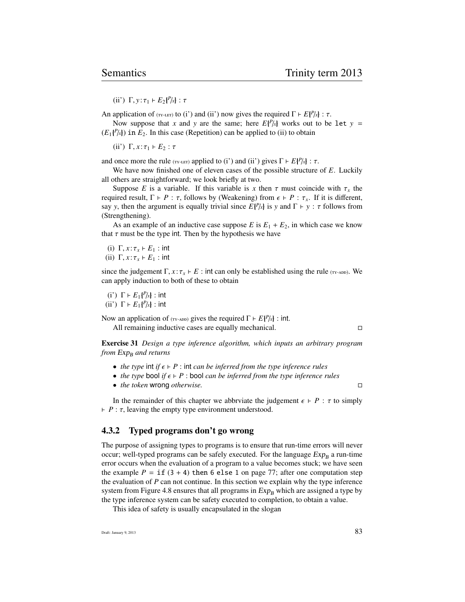(ii')  $\Gamma$ ,  $y: \tau_1 \vdash E_2{P/x}$  : τ

An application of (TY-LET) to (i') and (ii') now gives the required  $\Gamma \vdash E\{P/x\} : \tau$ .

Now suppose that *x* and *y* are the same; here  $E\{P/x\}$  works out to be let *y* =  $(E_1{P\lambda})$  in  $E_2$ . In this case (Repetition) can be applied to (ii) to obtain

(ii')  $\Gamma$ ,  $x: \tau_1 \vdash E_2 : \tau$ 

and once more the rule ( $\tau$ <sup>r</sup>-LET</sup>) applied to (i') and (ii') gives  $\Gamma \vdash E\{P/x\} : \tau$ .

We have now finished one of eleven cases of the possible structure of *E*. Luckily all others are straightforward; we look briefly at two.

Suppose *E* is a variable. If this variable is *x* then  $\tau$  must coincide with  $\tau_x$  the required result,  $\Gamma \vdash P : \tau$ , follows by (Weakening) from  $\epsilon \vdash P : \tau_x$ . If it is different, say *y*, then the argument is equally trivial since  $E\{P/x\}$  is *y* and  $\Gamma \vdash y : \tau$  follows from (Strengthening).

As an example of an inductive case suppose  $E$  is  $E_1 + E_2$ , in which case we know that  $\tau$  must be the type int. Then by the hypothesis we have

(i)  $\Gamma$ ,  $x: \tau_x \vdash E_1$  : int (ii)  $\Gamma$ ,  $x: \tau_x \vdash E_1$  : int

since the judgement  $\Gamma$ ,  $x : \tau_x \vdash E$  : int can only be established using the rule (TY-ADD). We can apply induction to both of these to obtain

(i')  $\Gamma \vdash E_1\{P/x\}$  : int (ii')  $\Gamma$  *F*  $E_1\{P/x\}$  : int

Now an application of ( $_{\text{TY-ADD}}$ ) gives the required  $\Gamma \vdash E\{P/x\}$ : int.

All remaining inductive cases are equally mechanical.

Exercise 31 *Design a type inference algorithm, which inputs an arbitrary program from Exp<sub>B</sub> and returns* 

- *the type* int *if*  $\epsilon \vdash P$  : int *can be inferred from the type inference rules*
- *the type* bool *if*  $\epsilon \vdash P$  : bool *can be inferred from the type inference rules*
- *the token* wrong *otherwise.*

In the remainder of this chapter we abbrviate the judgement  $\epsilon \vdash P : \tau$  to simply  $$ 

### 4.3.2 Typed programs don't go wrong

The purpose of assigning types to programs is to ensure that run-time errors will never occur; well-typed programs can be safely executed. For the language  $Exp_B$  a run-time error occurs when the evaluation of a program to a value becomes stuck; we have seen the example  $P = \text{if } (3 + 4)$  then 6 else 1 on page 77; after one computation step the evaluation of *P* can not continue. In this section we explain why the type inference system from Figure 4.8 ensures that all programs in  $Exp_B$  which are assigned a type by the type inference system can be safety executed to completion, to obtain a value.

This idea of safety is usually encapsulated in the slogan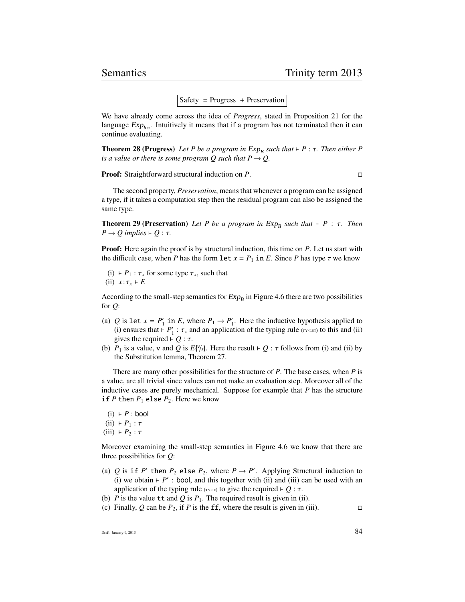#### $Safety = Progress + Preservation$

We have already come across the idea of *Progress*, stated in Proposition 21 for the language  $Exp<sub>loc</sub>$ . Intuitively it means that if a program has not terminated then it can continue evaluating.

**Theorem 28 (Progress)** Let P be a program in Exp<sub>B</sub> such that  $\vdash P : \tau$ . Then either P is a value or there is some program O such that  $P \rightarrow Q$ *is a value or there is some program Q such that*  $P \rightarrow Q$ .

Proof: Straightforward structural induction on *P*.

The second property, *Preservation*, means that whenever a program can be assigned a type, if it takes a computation step then the residual program can also be assigned the same type.

**Theorem 29 (Preservation)** *Let P be a program in*  $Exp_B$  *such that*  $\vdash P : \tau$ *. Then*  $P \rightarrow O$  *innlies*  $\vdash Q : \tau$  $P \rightarrow Q$  *implies*  $\vdash Q : \tau$ .

**Proof:** Here again the proof is by structural induction, this time on *P*. Let us start with the difficult case, when *P* has the form let  $x = P_1$  in *E*. Since *P* has type  $\tau$  we know

(i)  $\vdash P_1 : \tau_x$  for some type  $\tau_x$ , such that (ii)  $x: \tau_x \vdash E$ 

According to the small-step semantics for  $Exp_B$  in Figure 4.6 there are two possibilities for *Q*:

- (a) *Q* is let  $x = P'_1$  in *E*, where  $P_1 \rightarrow P'_1$ . Here the inductive hypothesis applied to (i) ensures that  $\vdash P'_1$ :  $\tau_x$  and an application of the typing rule ( $\tau_y$ -LET) to this and (ii) gives the required  $\vdash Q$ :  $\tau$ gives the required  $\vdash Q : \tau$ .
- (b)  $P_1$  is a value, v and Q is  $E[\%]$ . Here the result  $\vdash Q : \tau$  follows from (i) and (ii) by the Substitution lemma, Theorem 27.

There are many other possibilities for the structure of *P*. The base cases, when *P* is a value, are all trivial since values can not make an evaluation step. Moreover all of the inductive cases are purely mechanical. Suppose for example that *P* has the structure if *P* then  $P_1$  else  $P_2$ . Here we know

 $(i)$  *+ P* : bool  $(ii) \vDash P_1 : \tau$ (iii)  $\vdash P_2 : \tau$ 

Moreover examining the small-step semantics in Figure 4.6 we know that there are three possibilities for *Q*:

- (a) *Q* is if *P*<sup> $\prime$ </sup> then *P*<sub>2</sub> else *P*<sub>2</sub>, where *P*  $\rightarrow$  *P*<sup> $\prime$ </sup>. Applying Structural induction to (i) we obtain  $\vdash$  *P*': bool, and this together with (ii) and (iii) can be used with an application of the typing rule ( $_{\text{TV-F}}$ ) to give the required  $\vdash Q : \tau$ .
- (b) *P* is the value tt and *Q* is  $P_1$ . The required result is given in (ii).
- (c) Finally, Q can be  $P_2$ , if P is the ff, where the result is given in (iii).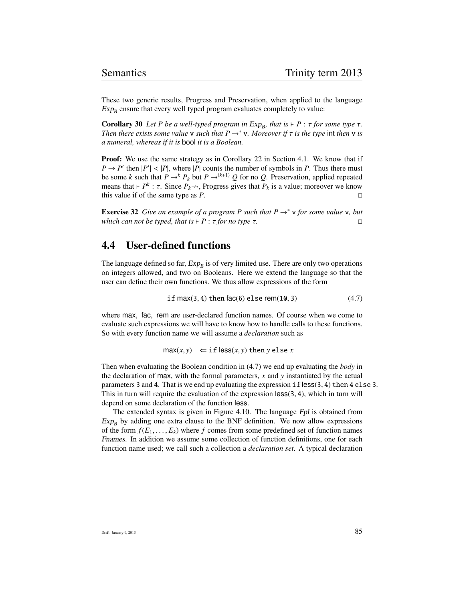These two generic results, Progress and Preservation, when applied to the language  $Exp_B$  ensure that every well typed program evaluates completely to value:

**Corollary 30** Let P be a well-typed program in  $Exp_B$ , that is  $\vdash P : \tau$  for some type  $\tau$ .<br>Then there exists some value y such that  $P \rightarrow^* y$ . Moreover if  $\tau$  is the type int then y is *Then there exists some value* **v** *such that*  $P \rightarrow^* \mathbf{v}$ *. Moreover if*  $\tau$  *is the type* int *then* **v** *is a numeral, whereas if it is* bool *it is a Boolean.*

Proof: We use the same strategy as in Corollary 22 in Section 4.1. We know that if  $P \rightarrow P'$  then  $|P'| < |P|$ , where  $|P|$  counts the number of symbols in *P*. Thus there must<br>be some *k* such that  $P \rightarrow^k P$ , but  $P \rightarrow^{(k+1)} Q$  for no *Q*. Preservation, annied repeated be some *k* such that  $P \rightarrow^k P_k$  but  $P \rightarrow^{(k+1)} Q$  for no  $Q$ . Preservation, applied repeated means that  $\vdash P^k : \tau$ . Since  $P_k \nrightarrow$ , Progress gives that  $P_k$  is a value; moreover we know this value if of the same type as *P*.

**Exercise 32** *Give an example of a program P such that P*  $\rightarrow^*$  *v for some value v, but which can not be typed, that is*  $\vdash P : \tau$  *for no type*  $\tau$ *.* 

# 4.4 User-defined functions

The language defined so far,  $Exp_B$  is of very limited use. There are only two operations on integers allowed, and two on Booleans. Here we extend the language so that the user can define their own functions. We thus allow expressions of the form

if 
$$
max(3, 4)
$$
 then  $fac(6)$  else  $rem(10, 3)$  (4.7)

where max, fac, rem are user-declared function names. Of course when we come to evaluate such expressions we will have to know how to handle calls to these functions. So with every function name we will assume a *declaration* such as

$$
\max(x, y) \Leftarrow \text{if } \text{less}(x, y) \text{ then } y \text{ else } x
$$

Then when evaluating the Boolean condition in (4.7) we end up evaluating the *body* in the declaration of max, with the formal parameters, *x* and *y* instantiated by the actual parameters 3 and 4. That is we end up evaluating the expression  $\mathbf{if}$  less(3, 4) then 4 else 3. This in turn will require the evaluation of the expression  $\text{less}(3, 4)$ , which in turn will depend on some declaration of the function less.

The extended syntax is given in Figure 4.10. The language Fpl is obtained from  $Exp_B$  by adding one extra clause to the BNF definition. We now allow expressions of the form  $f(E_1, \ldots, E_k)$  where f comes from some predefined set of function names Fnames. In addition we assume some collection of function definitions, one for each function name used; we call such a collection a *declaration set*. A typical declaration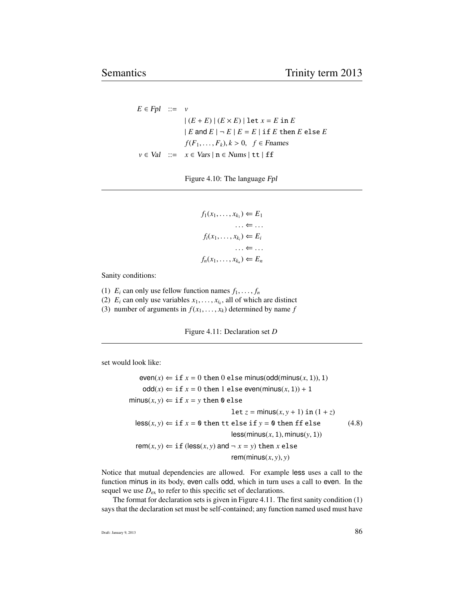$E \in Fpl$  ::= *v*  $|(E + E) | (E \times E) |$  let  $x = E$  in  $E$  $|E \text{ and } E| - E |E = E$  if *E* then *E* else *E f*( $F_1$ , . . . ,  $F_k$ ),  $k > 0$ , *f* ∈ *Fnames*  $v \in Val$  ::=  $x \in Vars \mid n \in Nums \mid tt \mid ff$ 

Figure 4.10: The language Fpl

```
f_1(x_1, ..., x_{k_1}) \Leftarrow E_1\ldots \Leftarrow \ldotsf_i(x_1, \ldots, x_{k_i}) \Leftarrow E_i\ldots \Leftarrow \ldotsf_n(x_1,\ldots,x_{k_n}) \Leftarrow E_n
```
Sanity conditions:

- (1)  $E_i$  can only use fellow function names  $f_1, \ldots, f_n$
- (2)  $E_i$  can only use variables  $x_1, \ldots, x_{i_k}$ , all of which are distinct (3) number of arguments in  $f(x_1, \ldots, x_k)$  determined by name f
- (3) number of arguments in  $f(x_1, \ldots, x_k)$  determined by name  $f$

Figure 4.11: Declaration set *D*

set would look like:

 $even(x) \leftarrow if x = 0 then 0 else minus(odd(minus(x, 1)), 1)$  $\text{odd}(x) \Leftarrow \text{if } x = 0 \text{ then } 1 \text{ else even}(\text{minus}(x, 1)) + 1$  $minus(x, y) \Leftarrow$  if  $x = y$  then 0 else  $let z = minus(x, y + 1) in (1 + z)$  $\text{less}(x, y) \leftarrow \text{if } x = 0 \text{ then } \text{tt else if } y = 0 \text{ then } \text{ff else}$  (4.8)  $less(minus(x, 1), minus(y, 1))$ rem(*x*, *y*)  $\Leftarrow$  if (less(*x*, *y*) and  $\neg$  *x* = *y*) then *x* else rem(minus( $x$ ,  $y$ ),  $y$ )

Notice that mutual dependencies are allowed. For example less uses a call to the function minus in its body, even calls odd, which in turn uses a call to even. In the sequel we use  $D_{\text{ex}}$  to refer to this specific set of declarations.

The format for declaration sets is given in Figure 4.11. The first sanity condition (1) says that the declaration set must be self-contained; any function named used must have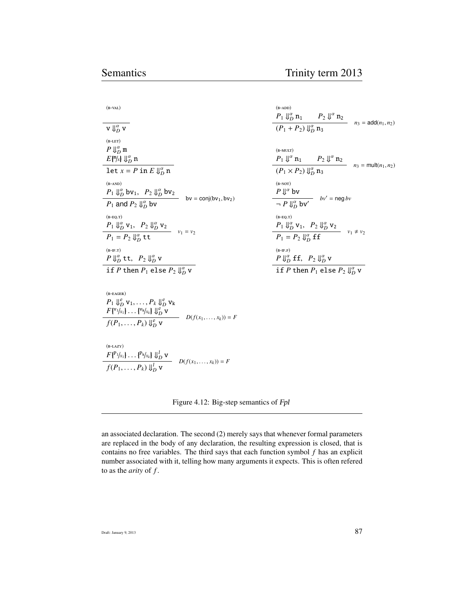| $(B-VAL)$                                                                              |
|----------------------------------------------------------------------------------------|
|                                                                                        |
| $\mathbf{v} \Downarrow_D^{\alpha} \mathbf{v}$                                          |
| $(B-LET)$                                                                              |
| $P \Downarrow_D^{\alpha} \mathfrak{m}$                                                 |
| $E\{\mathbb{T}/x\} \Downarrow_D^{\alpha} n$                                            |
| let $x = P$ in $E \Downarrow_D^{\alpha} n$                                             |
| $(B-AND)$                                                                              |
| $P_1 \Downarrow_D^{\alpha} bv_1$ , $P_2 \Downarrow_D^{\alpha} bv_2$                    |
| $bv = conj(bv1, bv2)$<br>$P_1$ and $P_2 \Downarrow_D^{\alpha}$ by                      |
| $(B-EQ.T)$                                                                             |
| $P_1 \Downarrow_D^{\alpha}$ $v_1$ , $P_2 \Downarrow_D^{\alpha} v_2$                    |
| $- v_1 = v_2$<br>$P_1 = P_2 \Downarrow^{\alpha}_{D}$ tt                                |
| $(B-IF.T)$                                                                             |
| $P \Downarrow_D^{\alpha}$ tt, $P_2 \Downarrow_D^{\alpha}$ v                            |
| if P then $P_1$ else $P_2 \Downarrow_D^{\alpha}$ v                                     |
|                                                                                        |
| $(B-EGER)$                                                                             |
| $P_1 \Downarrow_D^e$ $v_1, \ldots, P_k \Downarrow_D^e v_k$                             |
| $F[{^{v_1}}/_{x_1}] \ldots [{^{v_k}}/_{x_k}] \Downarrow_D^e v$<br>$D(f(x_1,,x_k)) = F$ |
| $f(P_1,\ldots,P_k) \Downarrow_D^e$ v                                                   |
|                                                                                        |

 $(B-ADD)$  $P_1 \Downarrow_D^{\alpha} \mathfrak{n}_1$   $P_2 \Downarrow^{\alpha} \mathfrak{n}_2$  $(n_1 + P_2) \Downarrow_D^{\alpha} n_3$  = add $(n_1, n_2)$  $(B-MULT)$  $P_1 \Downarrow^{\alpha}$   $n_1$  *P<sub>2</sub>*  $\Downarrow^{\alpha}$   $n_2$  $(n_1 \times P_2) \Downarrow_D^{\alpha} n_3$  = mult $(n_1, n_2)$  $(B-NOT)$  $P \Downarrow^{\alpha}$  bv  $\frac{\partial}{\partial P} \frac{\partial}{\partial P}$ **bv**<sup> $\prime$ </sup> = neg *bv*  $(B-EQ.T)$  $P_1 \Downarrow_D^{\alpha} v_1$ ,  $P_2 \Downarrow_D^{\alpha} v_2$  $P_1 = P_2 \bigcup_{D}^{\alpha} f f$   $v_1 \neq v_2$  $(B-IF.F)$  $P \Downarrow_D^{\alpha}$  **ff**,  $P_2 \Downarrow_D^{\alpha}$  **v** 

if  $P$  then  $P_1$  else  $P_2 \Downarrow_D^{\alpha}$  v

 $(B-LAZY)$  $F\{^{\mathbf{P}_1/x_1}\}\ldots\{^{\mathbf{P}_k/x_k}\}\Downarrow_{D}^{l}$  v *f*( $P_1, ..., P_k$ )  $\bigcup_{D}^{I}$  **v**  $D(f(x_1, ..., x_k)) = F$ 

Figure 4.12: Big-step semantics of Fpl

an associated declaration. The second (2) merely says that whenever formal parameters are replaced in the body of any declaration, the resulting expression is closed, that is contains no free variables. The third says that each function symbol *f* has an explicit number associated with it, telling how many arguments it expects. This is often refered to as the *arity* of *f* .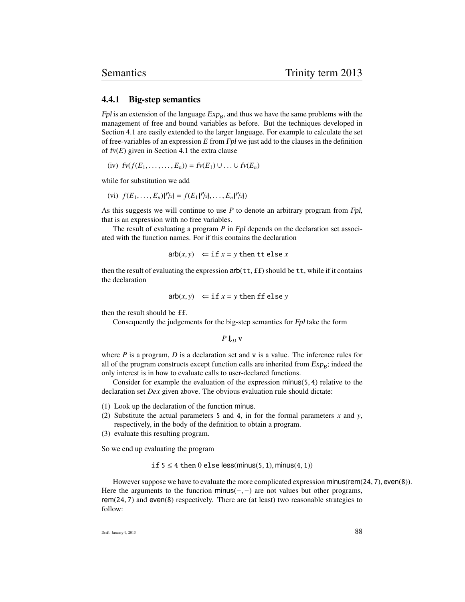#### 4.4.1 Big-step semantics

Fpl is an extension of the language  $Exp_B$ , and thus we have the same problems with the management of free and bound variables as before. But the techniques developed in Section 4.1 are easily extended to the larger language. For example to calculate the set of free-variables of an expression *E* from Fpl we just add to the clauses in the definition of fv(*E*) given in Section 4.1 the extra clause

 $f(v)$   $f(v(f(E_1, ..., ..., E_n)) = f(v(E_1) \cup ... \cup f(v(E_n))$ 

while for substitution we add

(vi) 
$$
f(E_1,..., E_n)
$$
 ${f^p/x} = f(E_1{^p/x},..., E_n{^p/x})$ 

As this suggests we will continue to use *P* to denote an arbitrary program from Fpl, that is an expression with no free variables.

The result of evaluating a program *P* in Fpl depends on the declaration set associated with the function names. For if this contains the declaration

arb $(x, y) \Leftrightarrow \text{if } x = y \text{ then } \text{tte } \text{else } x$ 

then the result of evaluating the expression  $arb(\text{tt},\text{ff})$  should be  $\text{tt}$ , while if it contains the declaration

$$
\mathsf{arb}(x, y) \ \Leftarrow \text{if } x = y \text{ then } \mathsf{ff} \text{ else } y
$$

then the result should be ff.

Consequently the judgements for the big-step semantics for Fpl take the form

*P* ⇓*<sup>D</sup>* v

where *P* is a program, *D* is a declaration set and v is a value. The inference rules for all of the program constructs except function calls are inherited from  $Exp_B$ ; indeed the only interest is in how to evaluate calls to user-declared functions.

Consider for example the evaluation of the expression minus $(5, 4)$  relative to the declaration set *Dex* given above. The obvious evaluation rule should dictate:

- (1) Look up the declaration of the function minus.
- (2) Substitute the actual parameters 5 and 4, in for the formal parameters  $x$  and  $y$ , respectively, in the body of the definition to obtain a program.
- (3) evaluate this resulting program.

So we end up evaluating the program

if  $5 \leq 4$  then 0 else less(minus(5, 1), minus(4, 1))

However suppose we have to evaluate the more complicated expression minus(rem(24, 7), even(8)). Here the arguments to the funcrion minus( $-$ ,  $-$ ) are not values but other programs, rem(24, <sup>7</sup>) and even(8) respectively. There are (at least) two reasonable strategies to follow: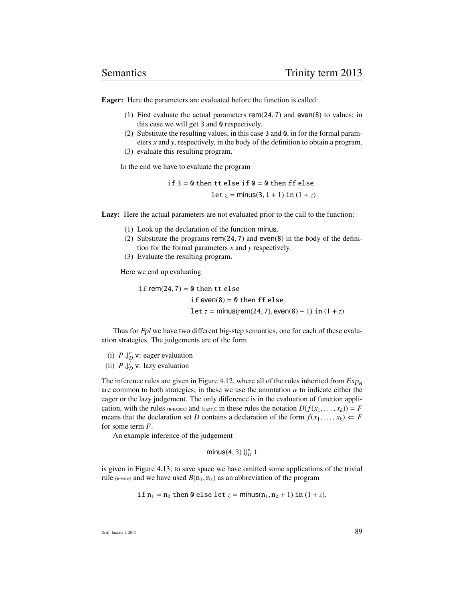Eager: Here the parameters are evaluated before the function is called:

- (1) First evaluate the actual parameters rem(24, <sup>7</sup>) and even(8) to values; in this case we will get 3 and 0 respectively.
- (2) Substitute the resulting values, in this case 3 and 0, in for the formal parameters *x* and *y*, respectively, in the body of the definition to obtain a program.
- (3) evaluate this resulting program.

In the end we have to evaluate the program

if  $3 = 0$  then tt else if  $0 = 0$  then ff else  $\text{let } z = \text{minus}(3, 1 + 1) \text{ in } (1 + z)$ 

Lazy: Here the actual parameters are not evaluated prior to the call to the function:

- (1) Look up the declaration of the function minus.
- (2) Substitute the programs rem(24, <sup>7</sup>) and even(8) in the body of the definition for the formal parameters *x* and *y* respectively.
- (3) Evaluate the resulting program.

Here we end up evaluating

if rem(24, 7) =  $\theta$  then tt else if  $even(8) = 0$  then ff else let *z* = minus(rem(24, 7), even(8) + 1) in  $(1 + z)$ 

Thus for Fpl we have two different big-step semantics, one for each of these evaluation strategies. The judgements are of the form

- (i)  $P \Downarrow_D^e$  v: eager evaluation
- (ii)  $P \Downarrow_D^l$  v: lazy evaluation

The inference rules are given in Figure 4.12, where all of the rules inherited from  $Exp_B$ are common to both strategies; in these we use the annotation  $\alpha$  to indicate either the eager or the lazy judgement. The only difference is in the evaluation of function application, with the rules (B-EAGER) and (LAZY); in these rules the notation  $D(f(x_1, \ldots, x_k)) = F$ means that the declaration set *D* contains a declaration of the form  $f(x_1, \ldots, x_k) \leftarrow F$ for some term *F*.

An example inference of the judgement

minus(4, 3)  $\Downarrow_D^e 1$ 

is given in Figure 4.13; to save space we have omitted some applications of the trivial rule (B-NUM) and we have used  $B(n_1, n_2)$  as an abbreviation of the program

if 
$$
n_1 = n_2
$$
 then 0 else let  $z = \min\{n_1, n_2 + 1\}$  in  $(1 + z)$ ,

Draft: January 9, 2013  $89$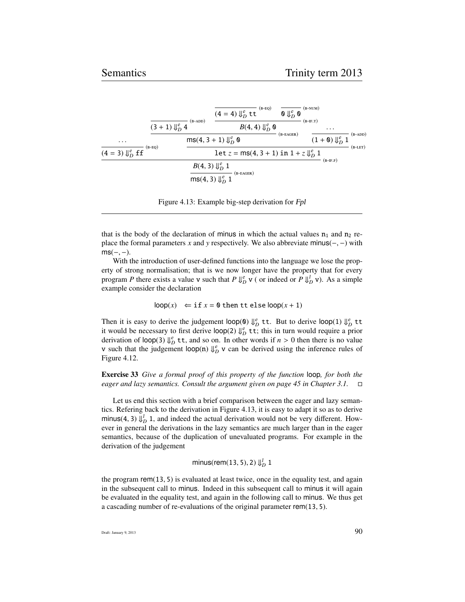|                             | $(B-ADD)$<br>$(3 + 1)$ $\int_{D}^{e} 4$                   | $(B-EQ)$<br>$(4 = 4) \Downarrow^e_D t t$<br>$B(4, 4)$ $\Downarrow^e_D \mathbf{0}$ | $\mathbf{0}\Downarrow_D^e \mathbf{0}$ | $(B-NUM)$<br>$(B-IF.T)$<br>$\cdot$  |                        |
|-----------------------------|-----------------------------------------------------------|-----------------------------------------------------------------------------------|---------------------------------------|-------------------------------------|------------------------|
| $\cdots$<br>$(B-EO)$        |                                                           | $ms(4, 3 + 1) \Downarrow_D^e 0$                                                   |                                       | $(1 + \mathbf{0}) \Downarrow_D^e 1$ | $(B-ADD)$<br>$(B-LET)$ |
| $(4 = 3) \Downarrow_D^e ff$ | $B(4, 3) \Downarrow_D^e 1$<br>$ms(4, 3) \Downarrow^e_D 1$ | let $z = ms(4, 3 + 1)$ in $1 + z \downarrow^e_D 1$<br>$(B-EAGER)$                 |                                       | $(B-IF.F)$                          |                        |

Figure 4.13: Example big-step derivation for Fpl

that is the body of the declaration of minus in which the actual values  $n_1$  and  $n_2$  replace the formal parameters *<sup>x</sup>* and *<sup>y</sup>* respectively. We also abbreviate minus(−, <sup>−</sup>) with  $ms(-, -).$ 

With the introduction of user-defined functions into the language we lose the property of strong normalisation; that is we now longer have the property that for every program *P* there exists a value v such that *P*  $\Downarrow^e_D$  v ( or indeed or *P*  $\Downarrow^l_D$  v). As a simple example consider the declaration

$$
loop(x) \Leftarrow
$$
 if  $x = 0$  then  $tt$  else  $loop(x + 1)$ 

Then it is easy to derive the judgement  $\text{loop}(0) \Downarrow_D^e$  tt. But to derive  $\text{loop}(1) \Downarrow_D^e$  tt it would be necessary to first derive  $\text{loop}(2) \Downarrow^e_D \text{tt}$ ; this in turn would require a prior derivation of  $\log(3) \Downarrow_D^e t$ , and so on. In other words if  $n > 0$  then there is no value<br>*y* such that the judgement  $\log(n) \Downarrow_e^e y$  can be derived using the inference rules of v such that the judgement  $loop(n) \Downarrow_D^e$  v can be derived using the inference rules of Figure 4.12.

Exercise 33 *Give a formal proof of this property of the function* loop*, for both the eager and lazy semantics. Consult the argument given on page 45 in Chapter 3.1.*

Let us end this section with a brief comparison between the eager and lazy semantics. Refering back to the derivation in Figure 4.13, it is easy to adapt it so as to derive minus(4, 3)  $\bigcup_{i=1}^{l}$  1, and indeed the actual derivation would not be very different. How-<br>ever in general the derivations in the lazy semantics are much larger than in the eager ever in general the derivations in the lazy semantics are much larger than in the eager semantics, because of the duplication of unevaluated programs. For example in the derivation of the judgement

$$
\text{minus}(\text{rem}(13,5),2) \Downarrow_D^l 1
$$

the program rem(13, <sup>5</sup>) is evaluated at least twice, once in the equality test, and again in the subsequent call to minus. Indeed in this subsequent call to minus it will again be evaluated in the equality test, and again in the following call to minus. We thus get a cascading number of re-evaluations of the original parameter rem(13, <sup>5</sup>).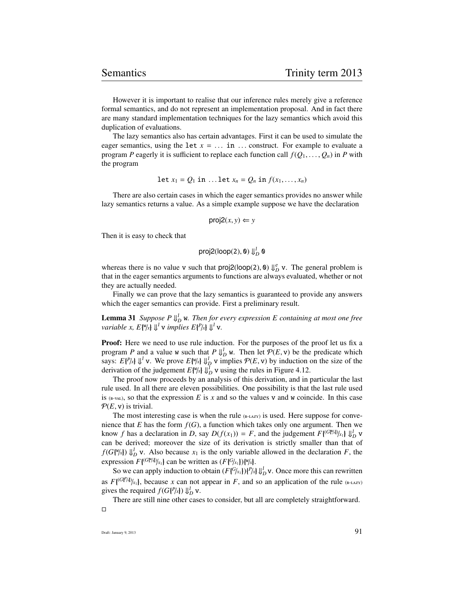However it is important to realise that our inference rules merely give a reference formal semantics, and do not represent an implementation proposal. And in fact there are many standard implementation techniques for the lazy semantics which avoid this duplication of evaluations.

The lazy semantics also has certain advantages. First it can be used to simulate the eager semantics, using the let  $x = \ldots$  in  $\ldots$  construct. For example to evaluate a program *P* eagerly it is sufficient to replace each function call  $f(Q_1, \ldots, Q_n)$  in *P* with the program

$$
\text{let } x_1 = Q_1 \text{ in } \dots \text{ let } x_n = Q_n \text{ in } f(x_1, \dots, x_n)
$$

There are also certain cases in which the eager semantics provides no answer while lazy semantics returns a value. As a simple example suppose we have the declaration

$$
\mathsf{proj2}(x, y) \Leftarrow y
$$

Then it is easy to check that

$$
proj2(logp(2), 0) \Downarrow_D^l 0
$$

whereas there is no value v such that  $proj2(logop(2), \emptyset) \Downarrow_{D}^{e}$  v. The general problem is that in the eager semantics arguments to functions are always evaluated, whether or not that in the eager semantics arguments to functions are always evaluated, whether or not they are actually needed.

Finally we can prove that the lazy semantics is guaranteed to provide any answers which the eager semantics can provide. First a preliminary result.

**Lemma 31** Suppose  $P \Downarrow_{D}^{1} \mathbf{w}$ . Then for every expression E containing at most one free *variable x,*  $E\{\mathbb{V}/x\} \Downarrow^{l} \mathbf{v}$  *implies*  $E\{\mathbb{P}/x\} \Downarrow^{l} \mathbf{v}$ *.* 

Proof: Here we need to use rule induction. For the purposes of the proof let us fix a program *P* and a value w such that  $P \Downarrow_D^1$  w. Then let  $P(E, v)$  be the predicate which<br>says:  $E[P\cup W]$  We prove  $E[N\cup W]$  winnlies  $P(E, v)$  by induction on the size of the says:  $E\{P/x\}$   $\downarrow^l$  v. We prove  $E\{W/x\}$   $\downarrow^l_D$  v implies  $P(E, v)$  by induction on the size of the derivation of the judgement  $E\{W/x\}$   $\downarrow^l_D$  v using the rules in Figure 4.12 derivation of the judgement  $E[\mathbb{W}_k] \Downarrow_D^l$  v using the rules in Figure 4.12.<br>The proof now proceeds by an analysis of this derivation, and in

The proof now proceeds by an analysis of this derivation, and in particular the last rule used. In all there are eleven possibilities. One possibility is that the last rule used is  $(E-VAL)$ , so that the expression *E* is *x* and so the values v and w coincide. In this case  $P(E, v)$  is trivial.

The most interesting case is when the rule  $_{(B-LAZ)}$  is used. Here suppose for convenience that *E* has the form  $f(G)$ , a function which takes only one argument. Then we know *f* has a declaration in *D*, say  $D(f(x_1)) = F$ , and the judgement  $F\{G^{[x]}(x_k)\}\downarrow_b^1 D$  v<br>can be derived: moreover the size of its derivation is strictly smaller than that of can be derived; moreover the size of its derivation is strictly smaller than that of  $f(G[\mathbb{W}_X]) \Downarrow_D^l$  v. Also because  $x_1$  is the only variable allowed in the declaration *F*, the expression  $F\{^{(G\#_N)}(x_1)\}$  can be written as  $(F\{^{G}(x_1)\})^{\{w\}}(x)$ .

So we can apply induction to obtain  $(F\{\mathcal{G}/x_1\})\{P/x\}\bigcup_{D}^{L} \mathbf{v}$ . Once more this can rewritten as  $F\{^{(G|F/A)}\}_{x_1}$ , because *x* can not appear in *F*, and so an application of the rule (B-LAZY) gives the required  $f(G\{P/L\})$   $\parallel^1$  **y** gives the required  $f(G\{P/x\}) \Downarrow_D^l$  v.<br>There are still nine other case

There are still nine other cases to consider, but all are completely straightforward.  $\Box$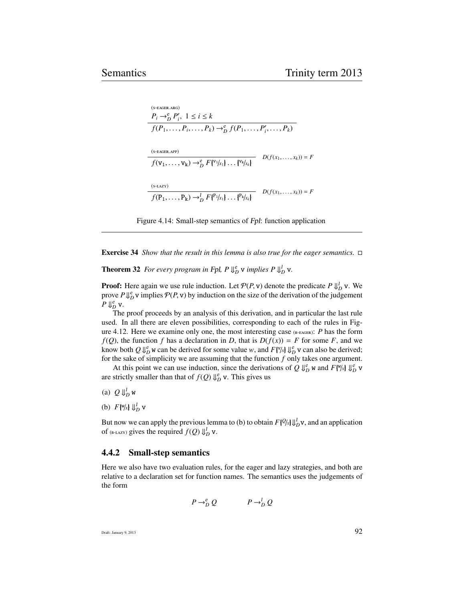$(S-EGER, ARG)$  $P_i \rightarrow_D^e P'_i, \ 1 \leq i \leq k$  $f(P_1, \ldots, P_i, \ldots, P_k) \to_D^e f(P_1, \ldots, P'_i, \ldots, P_k)$  $(s$ -EAGER.APP $)$  $f(\mathbf{v}_1, \ldots, \mathbf{v}_k) \to_{D}^{e} F\{\mathbf{v}_1/x_1\} \ldots \{\mathbf{v}_k/x_k\}$   $D(f(x_1, \ldots, x_k)) = F$  $(s$ -LAZY $)$  $f(P_1, ..., P_k) \rightarrow_D^l F\{P_1/x_1\} ... \{P_k/x_k\}$   $D(f(x_1, ..., x_k)) = F$ 

Figure 4.14: Small-step semantics of Fpl: function application

Exercise 34 *Show that the result in this lemma is also true for the eager semantics.*

**Theorem 32** For every program in Fpl,  $P \Downarrow_D^e$  v implies  $P \Downarrow_D^l$  v.

**Proof:** Here again we use rule induction. Let  $\mathcal{P}(P, \mathbf{v})$  denote the predicate  $P \Downarrow_D^1 \mathbf{v}$ . We prove  $P \parallel^e \mathbf{v}$  implies  $\mathcal{P}(P, \mathbf{v})$  by induction on the size of the derivation of the judgement prove  $P \downarrow^e_D$  v implies  $P(P, v)$  by induction on the size of the derivation of the judgement  $P \parallel^e V$ *P*  $\Downarrow^e_D$  v.

The proof proceeds by an analysis of this derivation, and in particular the last rule used. In all there are eleven possibilities, corresponding to each of the rules in Figure 4.12. Here we examine only one, the most interesting case  $_{(B-EGER)}$ : *P* has the form  $f(Q)$ , the function *f* has a declaration in *D*, that is  $D(f(x)) = F$  for some *F*, and we know both  $Q \Downarrow_{D}^{e}$  w can be derived for some value *w*, and  $F\left[\frac{\nu}{\lambda}\right] \Downarrow_{D}^{e}$  v can also be derived;<br>for the sake of simplicity we are assuming that the function f only takes one argument for the sake of simplicity we are assuming that the function *f* only takes one argument.

At this point we can use induction, since the derivations of  $Q \Downarrow_D^e w$  and  $F[\% \downarrow \Downarrow_D^e w]$ are strictly smaller than that of  $f(Q) \Downarrow_D^e$  v. This gives us

(a)  $Q \Downarrow_D^l$  w

(b)  $F[\mathbb{W}/x] \Downarrow_D^l$  v

But now we can apply the previous lemma to (b) to obtain  $F\{\mathcal{Q}_k\}\downarrow_{D}^{l}$  v, and an application of  $(n, m)$  gives the required  $f(O)\parallel^l$  v of (B-LAZY) gives the required  $f(Q) \Downarrow_D^l$  v.

#### 4.4.2 Small-step semantics

Here we also have two evaluation rules, for the eager and lazy strategies, and both are relative to a declaration set for function names. The semantics uses the judgements of the form

$$
P \to_D^e Q \qquad \qquad P \to_D^l Q
$$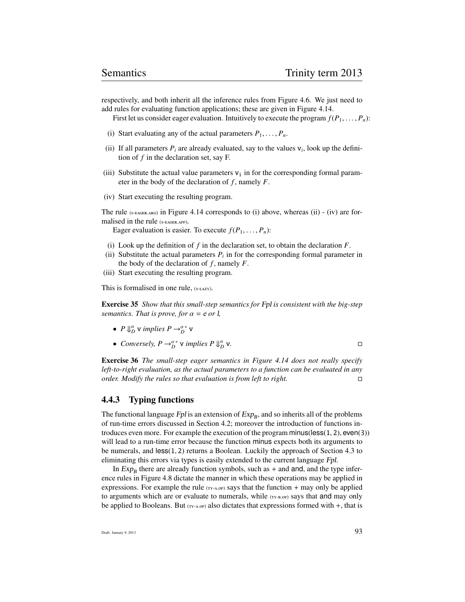respectively, and both inherit all the inference rules from Figure 4.6. We just need to add rules for evaluating function applications; these are given in Figure 4.14.

First let us consider eager evaluation. Intuitively to execute the program  $f(P_1, \ldots, P_n)$ :

- (i) Start evaluating any of the actual parameters  $P_1, \ldots, P_n$ .
- (ii) If all parameters  $P_i$  are already evaluated, say to the values  $v_i$ , look up the definition of *f* in the declaration set, say F.
- (iii) Substitute the actual value parameters  $v_i$  in for the corresponding formal parameter in the body of the declaration of *f* , namely *F*.
- (iv) Start executing the resulting program.

The rule  $(s$ -EAGER.ARG) in Figure 4.14 corresponds to (i) above, whereas (ii) - (iv) are formalised in the rule (S-EAGER.APP).

Eager evaluation is easier. To execute  $f(P_1, \ldots, P_n)$ :

- (i) Look up the definition of  $f$  in the declaration set, to obtain the declaration  $F$ .
- (ii) Substitute the actual parameters  $P_i$  in for the corresponding formal parameter in the body of the declaration of  $f$ , namely  $F$ .
- (iii) Start executing the resulting program.

This is formalised in one rule, (S-LAZY).

Exercise 35 *Show that this small-step semantics for* Fpl *is consistent with the big-step semantics. That is prove, for*  $\alpha = e$  *or l*,

- *P*  $\bigcup_{D}^{\alpha}$  *v implies P*  $\rightarrow_D^{\alpha*}$  *v*
- *Conversely,*  $P \rightarrow_D^{\alpha^*}$  *v implies P*  $\Downarrow_D^{\alpha}$ v*.*

Exercise 36 *The small-step eager semantics in Figure 4.14 does not really specify left-to-right evaluation, as the actual parameters to a function can be evaluated in any order. Modify the rules so that evaluation is from left to right.*

#### 4.4.3 Typing functions

The functional language  $Fpl$  is an extension of  $Exp_B$ , and so inherits all of the problems of run-time errors discussed in Section 4.2; moreover the introduction of functions introduces even more. For example the execution of the program minus(less(1, <sup>2</sup>), even(3)) will lead to a run-time error because the function minus expects both its arguments to be numerals, and less(1, <sup>2</sup>) returns a Boolean. Luckily the approach of Section 4.3 to eliminating this errors via types is easily extended to the current language Fpl.

In  $Exp_B$  there are already function symbols, such as  $+$  and and, and the type inference rules in Figure 4.8 dictate the manner in which these operations may be applied in expressions. For example the rule  $(TY- A, OP)$  says that the function + may only be applied to arguments which are or evaluate to numerals, while (TY-B.OP) says that and may only be applied to Booleans. But  $(TY-A.0P)$  also dictates that expressions formed with  $+$ , that is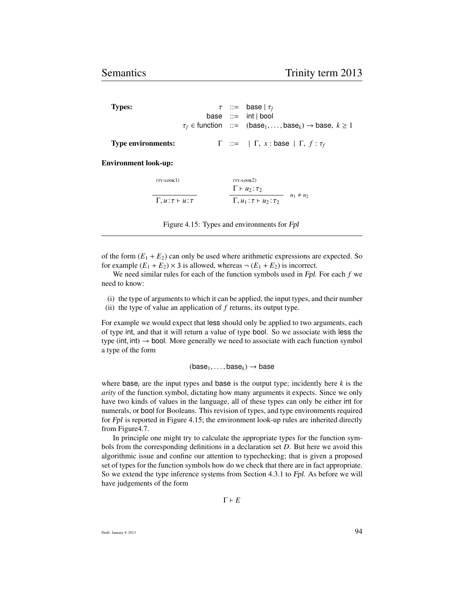Types:  $\tau$  ::= base |  $\tau_f$ base ::= int | bool  $\tau_f \in$  function ::= (base<sub>1</sub>, ..., base<sub>k</sub>)  $\rightarrow$  base,  $k \ge 1$ 

Type environments:  $\Gamma := |\Gamma, x : \text{base} | \Gamma, f : \tau_f$ 

Environment look-up:

| $(TY-LOOK1)$                       | $(TY-LOOK2)$<br>$\Gamma \vdash u_2 : \tau_2$ |                |
|------------------------------------|----------------------------------------------|----------------|
| $\Gamma, u : \tau \vdash u : \tau$ | $\Gamma, u_1 : \tau \vdash u_2 : \tau_2$     | $u_1 \neq u_2$ |

Figure 4.15: Types and environments for Fpl

of the form  $(E_1 + E_2)$  can only be used where arithmetic expressions are expected. So for example  $(E_1 + E_2) \times 3$  is allowed, whereas  $\neg (E_1 + E_2)$  is incorrect.

We need similar rules for each of the function symbols used in Fpl. For each *f* we need to know:

- (i) the type of arguments to which it can be applied, the input types, and their number
- (ii) the type of value an application of *f* returns, its output type.

For example we would expect that less should only be applied to two arguments, each of type int, and that it will return a value of type bool. So we associate with less the type (int, int)  $\rightarrow$  bool. More generally we need to associate with each function symbol a type of the form

 $(base<sub>1</sub>, \ldots, base<sub>k</sub>) \rightarrow base$ 

where  $base_i$  are the input types and base is the output type; incidently here  $k$  is the *arity* of the function symbol, dictating how many arguments it expects. Since we only have two kinds of values in the language, all of these types can only be either int for numerals, or bool for Booleans. This revision of types, and type environments required for Fpl is reported in Figure 4.15; the environment look-up rules are inherited directly from Figure4.7.

In principle one might try to calculate the appropriate types for the function symbols from the corresponding definitions in a declaration set *D*. But here we avoid this algorithmic issue and confine our attention to typechecking; that is given a proposed set of types for the function symbols how do we check that there are in fact appropriate. So we extend the type inference systems from Section 4.3.1 to Fpl. As before we will have judgements of the form

 $\Gamma \vdash E$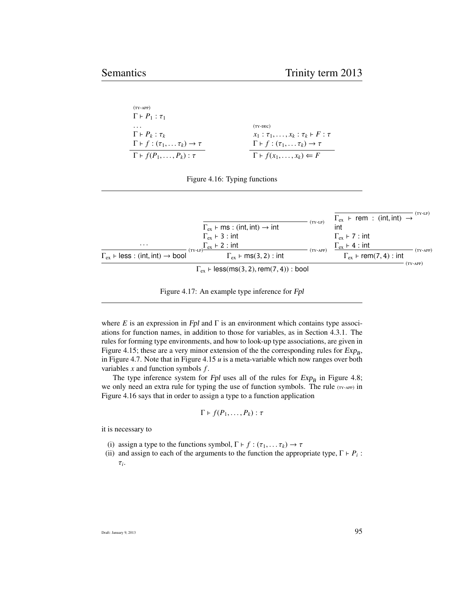| $(TY-APP)$                                                   |                                                              |
|--------------------------------------------------------------|--------------------------------------------------------------|
| $\Gamma \vdash P_1 : \tau_1$                                 |                                                              |
| .                                                            | $(TY-DEC)$                                                   |
| $\Gamma \vdash P_k : \tau_k$                                 | $x_1 : \tau_1, \ldots, x_k : \tau_k \vdash F : \tau$         |
| $\Gamma \vdash f : (\tau_1, \ldots \tau_k) \rightarrow \tau$ | $\Gamma \vdash f : (\tau_1, \ldots \tau_k) \rightarrow \tau$ |
| $\Gamma \vdash f(P_1, \ldots, P_k) : \tau$                   | $\Gamma \vdash f(x_1, \ldots, x_k) \Leftarrow F$             |
|                                                              |                                                              |

|                                                                  | $\Gamma_{\rm ex}$ $\vdash$ ms : (int, int) $\rightarrow$ int | $(TY-LP)$  | $(TY-LP)$<br>$\Gamma_{\rm ex}$ + rem : (int, int) $\rightarrow$<br>int |  |  |
|------------------------------------------------------------------|--------------------------------------------------------------|------------|------------------------------------------------------------------------|--|--|
|                                                                  | $\Gamma_{\rm ex}$ + 3 : int                                  |            | $\Gamma_{\rm ex}$ + 7 : int                                            |  |  |
| $\cdots$                                                         | $\Gamma_{\rm ex}$ + 2 : int<br>$(TY-LP)$                     | $(TY-APP)$ | $\Gamma_{\rm ex}$ + 4 : int<br>$(TY-APP)$                              |  |  |
| $\Gamma_{\rm ex}$ + less : (int, int) $\rightarrow$ bool         | $\Gamma_{\rm ex}$ + ms(3, 2) : int                           |            | $\Gamma_{\rm ex}$ + rem(7, 4) : int                                    |  |  |
| (TY-APP)<br>$\Gamma_{\rm ex}$ + less(ms(3, 2), rem(7, 4)) : bool |                                                              |            |                                                                        |  |  |



where  $E$  is an expression in Fpl and  $\Gamma$  is an environment which contains type associations for function names, in addition to those for variables, as in Section 4.3.1. The rules for forming type environments, and how to look-up type associations, are given in Figure 4.15; these are a very minor extension of the the corresponding rules for  $Exp_B$ , in Figure 4.7. Note that in Figure 4.15 *u* is a meta-variable which now ranges over both variables *x* and function symbols *f* .

The type inference system for Fpl uses all of the rules for  $Exp_B$  in Figure 4.8; we only need an extra rule for typing the use of function symbols. The rule (TY-APP) in Figure 4.16 says that in order to assign a type to a function application

$$
\Gamma \vdash f(P_1, \ldots, P_k) : \tau
$$

it is necessary to

- (i) assign a type to the functions symbol,  $\Gamma \vdash f : (\tau_1, \ldots \tau_k) \rightarrow \tau$
- (ii) and assign to each of the arguments to the function the appropriate type,  $\Gamma \vdash P_i$ :
	- τ*i* .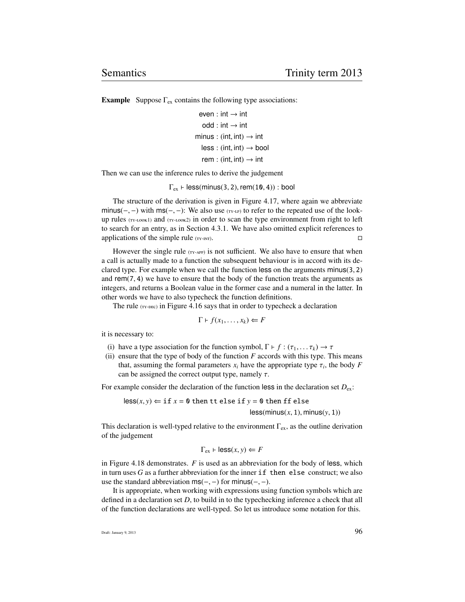**Example** Suppose  $\Gamma_{\text{ex}}$  contains the following type associations:

```
even : int \rightarrow int
 odd : int \rightarrow intminus : (int, int) \rightarrow int
less: (int, int) \rightarrow boolrem : (int, int) \rightarrow int
```
Then we can use the inference rules to derive the judgement

 $\Gamma_{\rm ex}$   $\vdash$  less(minus(3, 2), rem(10, 4)) : bool

The structure of the derivation is given in Figure 4.17, where again we abbreviate minus(-, -) with ms(-, -): We also use  $(\text{r}x\text{-}1P)$  to refer to the repeated use of the lookup rules  $(TY-LOOK1)$  and  $(TY-LOOK2)$  in order to scan the type environment from right to left to search for an entry, as in Section 4.3.1. We have also omitted explicit references to applications of the simple rule  $(TY-TNT)$ .

However the single rule  $(r_{Y-APP})$  is not sufficient. We also have to ensure that when a call is actually made to a function the subsequent behaviour is in accord with its declared type. For example when we call the function less on the arguments minus(3, <sup>2</sup>) and rem(7, <sup>4</sup>) we have to ensure that the body of the function treats the arguments as integers, and returns a Boolean value in the former case and a numeral in the latter. In other words we have to also typecheck the function definitions.

The rule  $(TY-PBC)$  in Figure 4.16 says that in order to typecheck a declaration

$$
\Gamma \vdash f(x_1, \ldots, x_k) \Leftarrow F
$$

it is necessary to:

- (i) have a type association for the function symbol,  $\Gamma \vdash f : (\tau_1, \ldots, \tau_k) \rightarrow \tau$
- (ii) ensure that the type of body of the function  $F$  accords with this type. This means that, assuming the formal parameters  $x_i$  have the appropriate type  $\tau_i$ , the body *F* can be assigned the correct output type, namely  $\tau$ can be assigned the correct output type, namely  $\tau$ .

For example consider the declaration of the function less in the declaration set  $D_{ex}$ :

 $\text{less}(x, y) \leftarrow \text{if } x = 0 \text{ then } \text{it else if } y = 0 \text{ then } \text{if } \text{else}$ 

 $less(minus(x, 1), minus(y, 1))$ 

This declaration is well-typed relative to the environment  $\Gamma_{ex}$ , as the outline derivation of the judgement

$$
\Gamma_{\text{ex}} \vdash \text{less}(x, y) \Leftarrow F
$$

in Figure 4.18 demonstrates. *F* is used as an abbreviation for the body of less, which in turn uses *G* as a further abbreviation for the inner if then else construct; we also use the standard abbreviation  $ms(-, -)$  for minus(-, -).

It is appropriate, when working with expressions using function symbols which are defined in a declaration set *D*, to build in to the typechecking inference a check that all of the function declarations are well-typed. So let us introduce some notation for this.

Draft: January 9, 2013  $96$